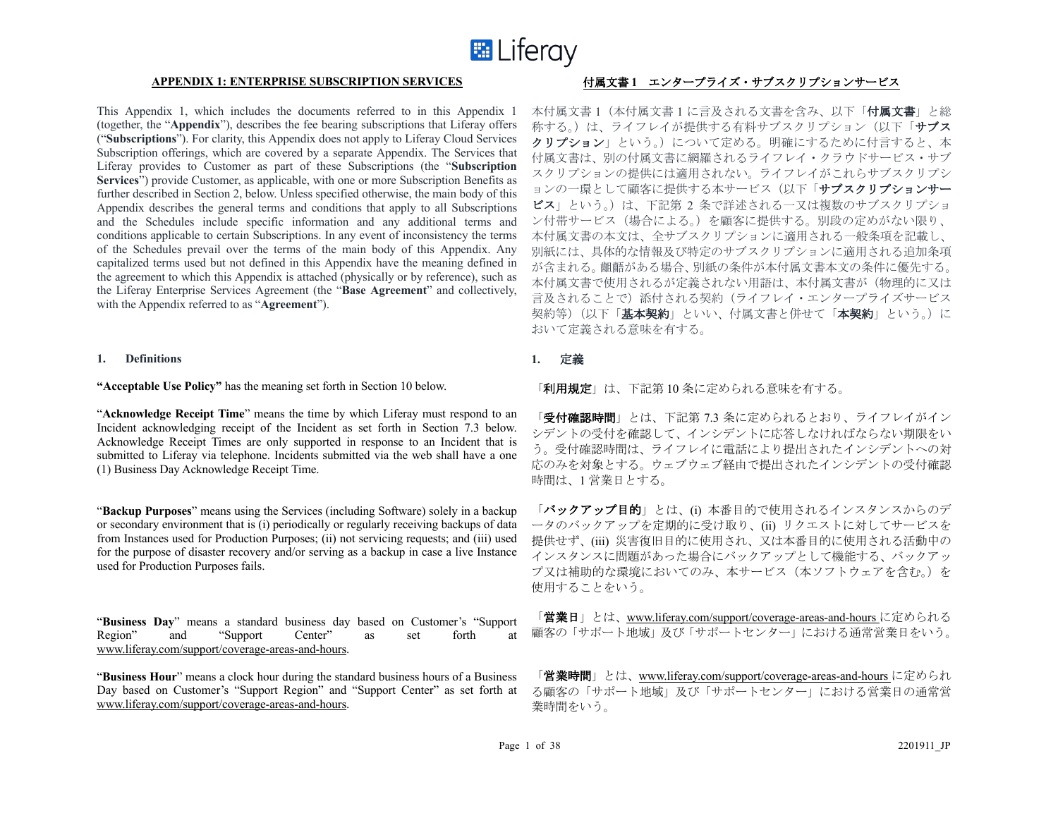

This Appendix 1, which includes the documents referred to in this Appendix 1 (together, the "**Appendix**"), describes the fee bearing subscriptions that Liferay offers ("**Subscriptions**"). For clarity, this Appendix does not apply to Liferay Cloud Services Subscription offerings, which are covered by a separate Appendix. The Services that Liferay provides to Customer as part of these Subscriptions (the "**Subscription Services**") provide Customer, as applicable, with one or more Subscription Benefits as further described in Section 2, below. Unless specified otherwise, the main body of this Appendix describes the general terms and conditions that apply to all Subscriptions and the Schedules include specific information and any additional terms and conditions applicable to certain Subscriptions. In any event of inconsistency the terms of the Schedules prevail over the terms of the main body of this Appendix. Any capitalized terms used but not defined in this Appendix have the meaning defined in the agreement to which this Appendix is attached (physically or by reference), such as the Liferay Enterprise Services Agreement (the "**Base Agreement**" and collectively, with the Appendix referred to as "**Agreement**").

#### **1. Definitions**

**"Acceptable Use Policy"** has the meaning set forth in Section 10 below.

"**Acknowledge Receipt Time**" means the time by which Liferay must respond to an Incident acknowledging receipt of the Incident as set forth in Section 7.3 below. Acknowledge Receipt Times are only supported in response to an Incident that is submitted to Liferay via telephone. Incidents submitted via the web shall have a one (1) Business Day Acknowledge Receipt Time.

"**Backup Purposes**" means using the Services (including Software) solely in a backup or secondary environment that is (i) periodically or regularly receiving backups of data from Instances used for Production Purposes; (ii) not servicing requests; and (iii) used for the purpose of disaster recovery and/or serving as a backup in case a live Instance used for Production Purposes fails.

"**Business Day**" means a standard business day based on Customer's "Support Region" and "Support Center" as set forth at www.liferay.com/support/coverage-areas-and-hours.

"**Business Hour**" means a clock hour during the standard business hours of a Business Day based on Customer's "Support Region" and "Support Center" as set forth at www.liferay.com/support/coverage-areas-and-hours.

# **APPENDIX 1: ENTERPRISE SUBSCRIPTION SERVICES** 付属文書 **1** エンタープライズ・サブスクリプションサービス

本付属文書 1(本付属文書 1 に言及される文書を含み、以下「付属文書」と総 称する。)は、ライフレイが提供する有料サブスクリプション(以下「サブス クリプション」という。)について定める。明確にするために付言すると、本 付属文書は、別の付属文書に網羅されるライフレイ・クラウドサービス・サブ スクリプションの提供には適用されない。ライフレイがこれらサブスクリプシ ョンの一環として顧客に提供する本サービス(以下「サブスクリプションサー ビス」という。)は、下記第 2 条で詳述される一又は複数のサブスクリプショ ン付帯サービス(場合による。)を顧客に提供する。別段の定めがない限り、 本付属文書の本文は、全サブスクリプションに適用される一般条項を記載し、 別紙には、具体的な情報及び特定のサブスクリプションに適用される追加条項 が含まれる。齟齬がある場合、別紙の条件が本付属文書本文の条件に優先する。 本付属文書で使用されるが定義されない用語は、本付属文書が(物理的に又は 言及されることで)添付される契約(ライフレイ・エンタープライズサービス 契約等)(以下「**基本契約**」といい、付属文書と併せて「**本契約**」という。)に おいて定義される意味を有する。

# **1.** 定義

「利用規定」は、下記第 10 条に定められる意味を有する。

「受付確認時間」とは、下記第 7.3 条に定められるとおり、ライフレイがイン シデントの受付を確認して、インシデントに応答しなければならない期限をい う。受付確認時間は、ライフレイに電話により提出されたインシデントへの対 応のみを対象とする。ウェブウェブ経由で提出されたインシデントの受付確認 時間は、1 営業日とする。

「バックアップ目的」とは、(i) 本番目的で使用されるインスタンスからのデ ータのバックアップを定期的に受け取り、(ii) リクエストに対してサービスを 提供せず、(iii) 災害復旧目的に使用され、又は本番目的に使用される活動中の インスタンスに問題があった場合にバックアップとして機能する、バックアッ プ又は補助的な環境においてのみ、本サービス(本ソフトウェアを含む。)を 使用することをいう。

「営業日」とは、www.liferay.com/support/coverage-areas-and-hours に定められる 顧客の「サポート地域」及び「サポートセンター」における通常営業日をいう。

「営業時間」とは、www.liferay.com/support/coverage-areas-and-hours に定められ る顧客の「サポート地域」及び「サポートセンター」における営業日の通常営 業時間をいう。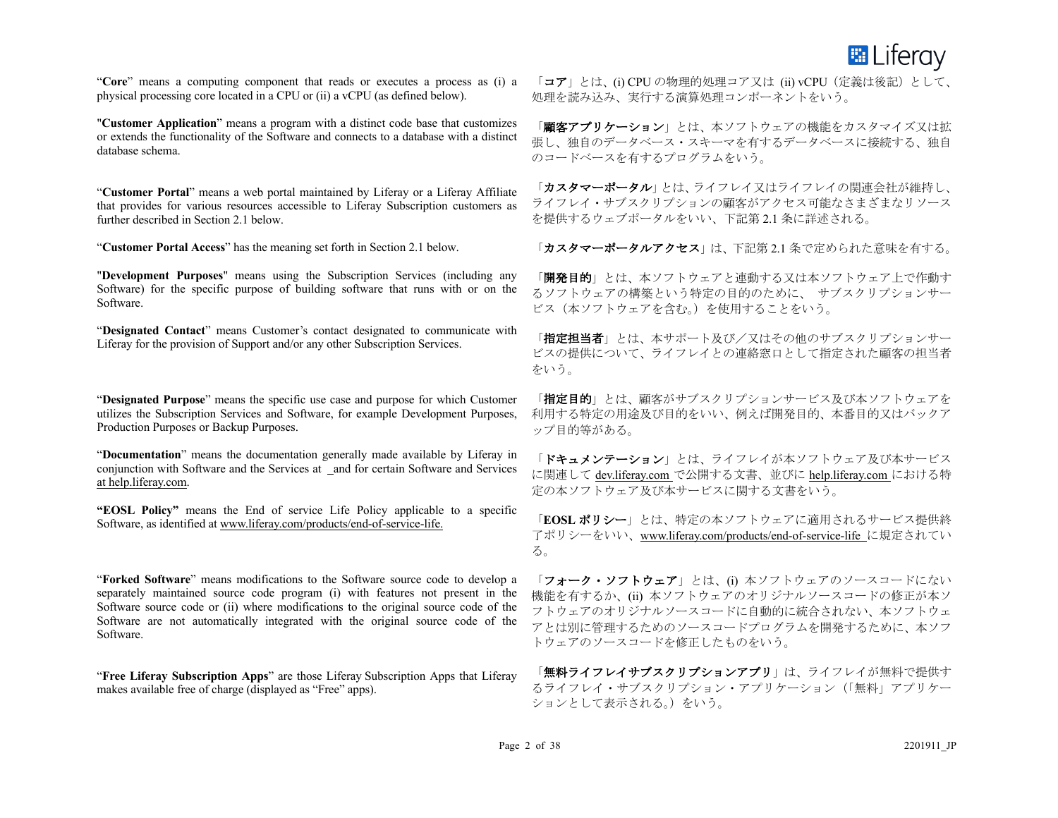

"**Core**" means a computing component that reads or executes a process as (i) a physical processing core located in a CPU or (ii) a vCPU (as defined below).

"**Customer Application**" means a program with a distinct code base that customizes or extends the functionality of the Software and connects to a database with a distinct database schema.

"**Customer Portal**" means a web portal maintained by Liferay or a Liferay Affiliate that provides for various resources accessible to Liferay Subscription customers as further described in Section 2.1 below.

"**Customer Portal Access**" has the meaning set forth in Section 2.1 below.

"**Development Purposes**" means using the Subscription Services (including any Software) for the specific purpose of building software that runs with or on the Software.

"**Designated Contact**" means Customer's contact designated to communicate with Liferay for the provision of Support and/or any other Subscription Services.

"**Designated Purpose**" means the specific use case and purpose for which Customer utilizes the Subscription Services and Software, for example Development Purposes, Production Purposes or Backup Purposes.

"**Documentation**" means the documentation generally made available by Liferay in conjunction with Software and the Services at and for certain Software and Services at help.liferay.com.

**"EOSL Policy"** means the End of service Life Policy applicable to a specific Software, as identified at www.liferay.com/products/end-of-service-life.

"**Forked Software**" means modifications to the Software source code to develop a separately maintained source code program (i) with features not present in the Software source code or (ii) where modifications to the original source code of the Software are not automatically integrated with the original source code of the Software.

"**Free Liferay Subscription Apps**" are those Liferay Subscription Apps that Liferay makes available free of charge (displayed as "Free" apps).

「コア」とは、(i) CPU の物理的処理コア又は (ii) vCPU (定義は後記) として、 処理を読み込み、実行する演算処理コンポーネントをいう。

「顧客アプリケーション」とは、本ソフトウェアの機能をカスタマイズ又は拡 張し、独自のデータベース・スキーマを有するデータベースに接続する、独自 のコードベースを有するプログラムをいう。

「カスタマーポータル」とは、ライフレイ又はライフレイの関連会社が維持し、 ライフレイ・サブスクリプションの顧客がアクセス可能なさまざまなリソース を提供するウェブポータルをいい、下記第 2.1 条に詳述される。

「カスタマーポータルアクセス」は、下記第2.1 条で定められた意味を有する。

「開発目的」とは、本ソフトウェアと連動する又は本ソフトウェア上で作動す るソフトウェアの構築という特定の目的のために、 サブスクリプションサー ビス(本ソフトウェアを含む。)を使用することをいう。

「指定担当者」とは、本サポート及び/又はその他のサブスクリプションサー ビスの提供について、ライフレイとの連絡窓口として指定された顧客の担当者 をいう。

「**指定目的**」とは、顧客がサブスクリプションサービス及び本ソフトウェアを 利用する特定の用途及び目的をいい、例えば開発目的、本番目的又はバックア ップ目的等がある。

「ドキュメンテーション」とは、ライフレイが本ソフトウェア及び本サービス に関連して dev.liferay.com で公開する文書、並びに help.liferay.com における特 定の本ソフトウェア及び本サービスに関する文書をいう。

「**EOSL** ポリシー」とは、特定の本ソフトウェアに適用されるサービス提供終 了ポリシーをいい、www.liferay.com/products/end-of-service-life に規定されてい る。

「フォーク・ソフトウェア」とは、(i) 本ソフトウェアのソースコードにない 機能を有するか、(ii) 本ソフトウェアのオリジナルソースコードの修正が本ソ フトウェアのオリジナルソースコードに自動的に統合されない、本ソフトウェ アとは別に管理するためのソースコードプログラムを開発するために、本ソフ トウェアのソースコードを修正したものをいう。

「無料ライフレイサブスクリプションアプリ」は、ライフレイが無料で提供す るライフレイ・サブスクリプション・アプリケーション(「無料」アプリケー ションとして表示される。)をいう。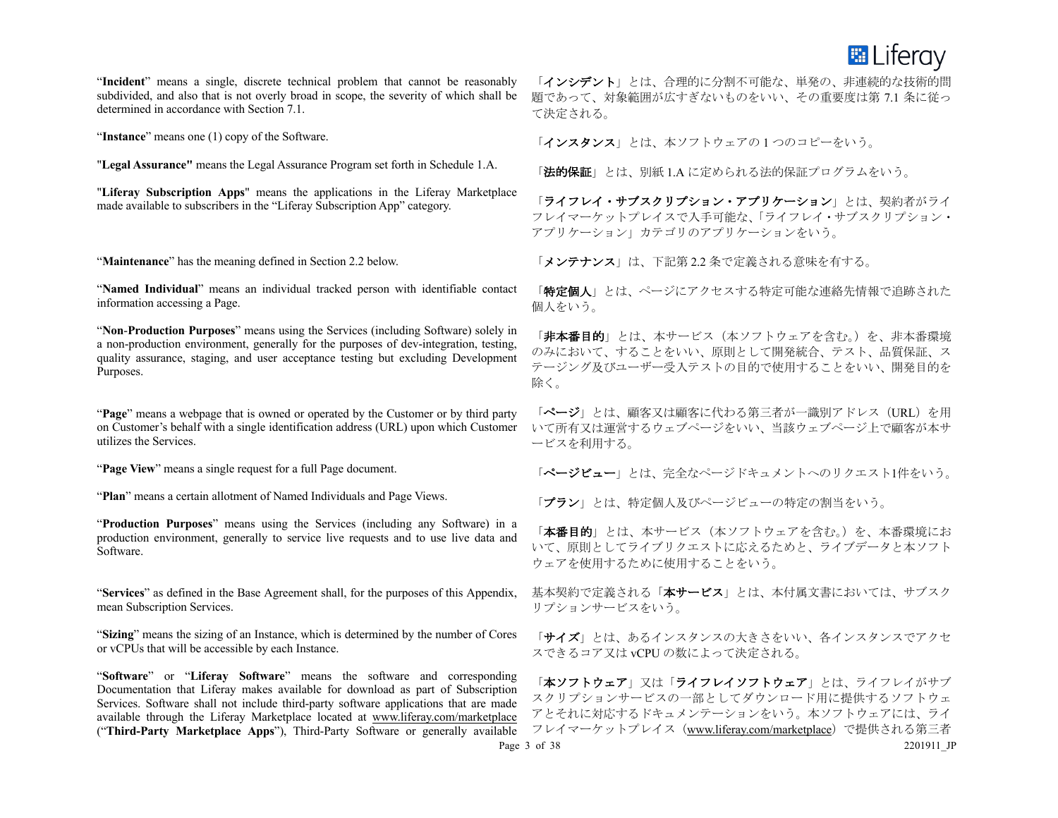

"**Incident**" means a single, discrete technical problem that cannot be reasonably subdivided, and also that is not overly broad in scope, the severity of which shall be determined in accordance with Section 7.1.

"**Instance**" means one (1) copy of the Software.

"**Legal Assurance"** means the Legal Assurance Program set forth in Schedule 1.A.

"**Liferay Subscription Apps**" means the applications in the Liferay Marketplace made available to subscribers in the "Liferay Subscription App" category.

"**Maintenance**" has the meaning defined in Section 2.2 below.

"**Named Individual**" means an individual tracked person with identifiable contact information accessing a Page.

"**Non**-**Production Purposes**" means using the Services (including Software) solely in a non-production environment, generally for the purposes of dev-integration, testing, quality assurance, staging, and user acceptance testing but excluding Development Purposes.

"**Page**" means a webpage that is owned or operated by the Customer or by third party on Customer's behalf with a single identification address (URL) upon which Customer utilizes the Services.

"**Page View**" means a single request for a full Page document.

"**Plan**" means a certain allotment of Named Individuals and Page Views.

"**Production Purposes**" means using the Services (including any Software) in a production environment, generally to service live requests and to use live data and Software.

"**Services**" as defined in the Base Agreement shall, for the purposes of this Appendix, mean Subscription Services.

"**Sizing**" means the sizing of an Instance, which is determined by the number of Cores or vCPUs that will be accessible by each Instance.

"**Software**" or "**Liferay Software**" means the software and corresponding Documentation that Liferay makes available for download as part of Subscription Services. Software shall not include third-party software applications that are made available through the Liferay Marketplace located at www.liferay.com/marketplace ("**Third-Party Marketplace Apps**"), Third-Party Software or generally available

「インシデント」とは、合理的に分割不可能な、単発の、非連続的な技術的問 題であって、対象範囲が広すぎないものをいい、その重要度は第 7.1 条に従っ て決定される。

「インスタンス」とは、本ソフトウェアの1つのコピーをいう。

「法的保証」とは、別紙 1.A に定められる法的保証プログラムをいう。

「ライフレイ・サブスクリプション・アプリケーション」とは、契約者がライ フレイマーケットプレイスで入手可能な、「ライフレイ・サブスクリプション・ アプリケーション」カテゴリのアプリケーションをいう。

「メンテナンス」は、下記第2.2 条で定義される意味を有する。

「特定個人」とは、ページにアクセスする特定可能な連絡先情報で追跡された 個人をいう。

「非本番目的」とは、本サービス(本ソフトウェアを含む。)を、非本番環境 のみにおいて、することをいい、原則として開発統合、テスト、品質保証、ス テージング及びユーザー受入テストの目的で使用することをいい、開発目的を 除く。

「ページ」とは、顧客又は顧客に代わる第三者が一識別アドレス(URL)を用 いて所有又は運営するウェブページをいい、当該ウェブページ上で顧客が本サ ービスを利用する。

「ページビュー」とは、完全なページドキュメントへのリクエスト1件をいう。

「プラン」とは、特定個人及びページビューの特定の割当をいう。

「本番目的」とは、本サービス(本ソフトウェアを含む。)を、本番環境にお いて、原則としてライブリクエストに応えるためと、ライブデータと本ソフト ウェアを使用するために使用することをいう。

基本契約で定義される「本サービス」とは、本付属文書においては、サブスク リプションサービスをいう。

「サイズ」とは、あるインスタンスの大きさをいい、各インスタンスでアクセ スできるコア又は vCPU の数によって決定される。

Page 3 of 38 2201911 JP 「本ソフトウェア」又は「ライフレイソフトウェア」とは、ライフレイがサブ スクリプションサービスの一部としてダウンロード用に提供するソフトウェ アとそれに対応するドキュメンテーションをいう。本ソフトウェアには、ライ フレイマーケットプレイス(www.liferay.com/marketplace)で提供される第三者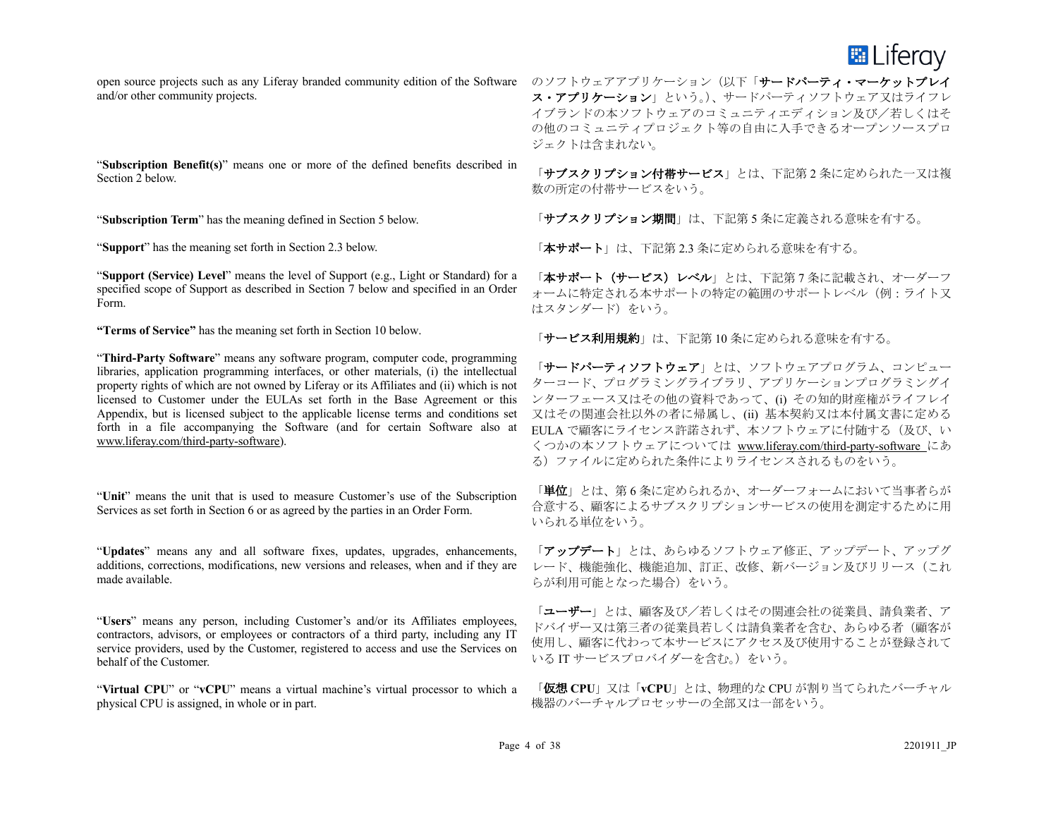**EL** Liferay

open source projects such as any Liferay branded community edition of the Software のソフトウェアアプリケーション(以下「サードパーティ・マーケットプレイ and/or other community projects.

"**Subscription Benefit(s)**" means one or more of the defined benefits described in Section 2 below.

"**Subscription Term**" has the meaning defined in Section 5 below.

"**Support**" has the meaning set forth in Section 2.3 below.

"**Support (Service) Level**" means the level of Support (e.g., Light or Standard) for a specified scope of Support as described in Section 7 below and specified in an Order Form.

**"Terms of Service"** has the meaning set forth in Section 10 below.

"**Third-Party Software**" means any software program, computer code, programming libraries, application programming interfaces, or other materials, (i) the intellectual property rights of which are not owned by Liferay or its Affiliates and (ii) which is not licensed to Customer under the EULAs set forth in the Base Agreement or this Appendix, but is licensed subject to the applicable license terms and conditions set forth in a file accompanying the Software (and for certain Software also at www.liferay.com/third-party-software).

"**Unit**" means the unit that is used to measure Customer's use of the Subscription Services as set forth in Section 6 or as agreed by the parties in an Order Form.

"**Updates**" means any and all software fixes, updates, upgrades, enhancements, additions, corrections, modifications, new versions and releases, when and if they are made available.

"**Users**" means any person, including Customer's and/or its Affiliates employees, contractors, advisors, or employees or contractors of a third party, including any IT service providers, used by the Customer, registered to access and use the Services on behalf of the Customer.

"**Virtual CPU**" or "**vCPU**" means a virtual machine's virtual processor to which a physical CPU is assigned, in whole or in part.

ス・アプリケーション」という。)、サードパーティソフトウェア又はライフレ イブランドの本ソフトウェアのコミュニティエディション及び/若しくはそ の他のコミュニティプロジェクト等の自由に入手できるオープンソースプロ ジェクトは含まれない。

「サブスクリプション付帯サービス」とは、下記第2条に定められた一又は複 数の所定の付帯サービスをいう。

「サブスクリプション期間」は、下記第5条に定義される意味を有する。

「本サポート」は、下記第2.3 条に定められる意味を有する。

「本サポート(サービス)レベル」とは、下記第7条に記載され、オーダーフ ォームに特定される本サポートの特定の範囲のサポートレベル(例:ライト又 はスタンダード)をいう。

「サービス利用規約」は、下記第10条に定められる意味を有する。

「サードパーティソフトウェア」とは、ソフトウェアプログラム、コンピュー ターコード、プログラミングライブラリ、アプリケーションプログラミングイ ンターフェース又はその他の資料であって、(i) その知的財産権がライフレイ 又はその関連会社以外の者に帰属し、(ii) 基本契約又は本付属文書に定める EULA で顧客にライセンス許諾されず、本ソフトウェアに付随する(及び、い くつかの本ソフトウェアについては www.liferay.com/third-party-software にあ る)ファイルに定められた条件によりライセンスされるものをいう。

「単位」とは、第6条に定められるか、オーダーフォームにおいて当事者らが 合意する、顧客によるサブスクリプションサービスの使用を測定するために用 いられる単位をいう。

「アップデート」とは、あらゆるソフトウェア修正、アップデート、アップグ レード、機能強化、機能追加、訂正、改修、新バージョン及びリリース(これ らが利用可能となった場合)をいう。

「ユーザー」とは、顧客及び/若しくはその関連会社の従業員、請負業者、ア ドバイザー又は第三者の従業員若しくは請負業者を含む、あらゆる者(顧客が 使用し、顧客に代わって本サービスにアクセス及び使用することが登録されて いる IT サービスプロバイダーを含む。) をいう。

「仮想 **CPU**」又は「**vCPU**」とは、物理的な CPU が割り当てられたバーチャル 機器のバーチャルプロセッサーの全部又は一部をいう。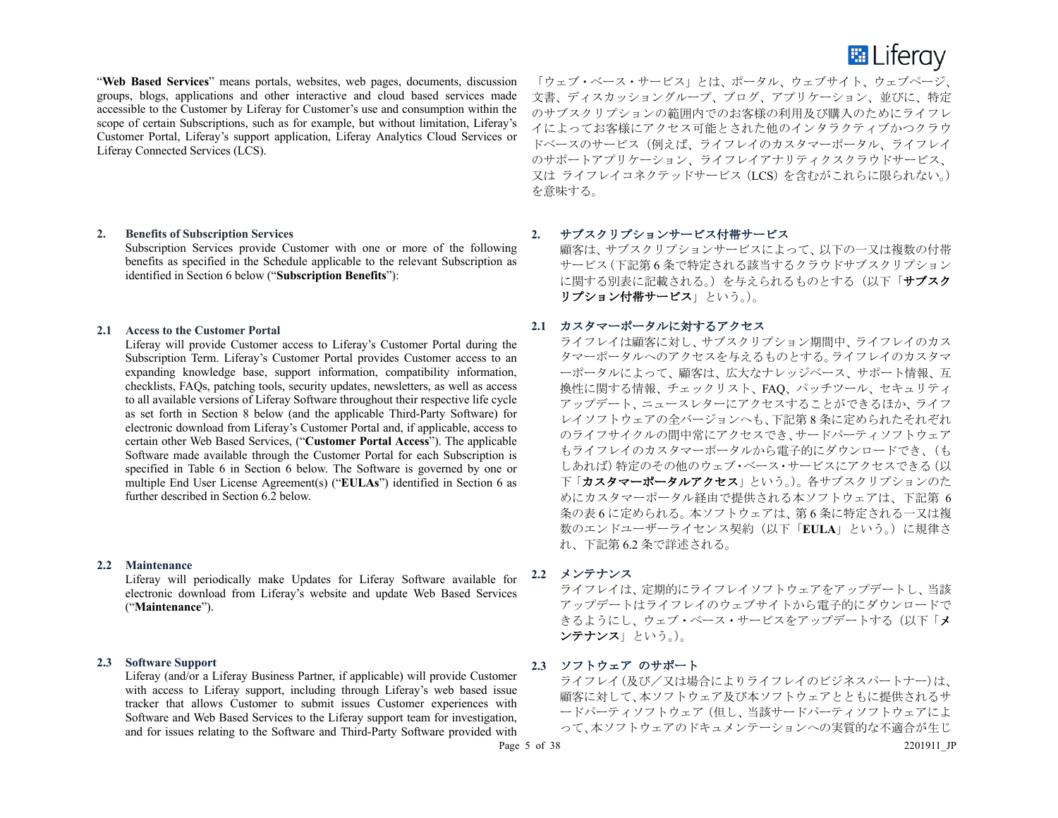

"**Web Based Services**" means portals, websites, web pages, documents, discussion groups, blogs, applications and other interactive and cloud based services made accessible to the Customer by Liferay for Customer's use and consumption within the scope of certain Subscriptions, such as for example, but without limitation, Liferay's Customer Portal, Liferay's support application, Liferay Analytics Cloud Services or Liferay Connected Services (LCS).

#### **2. Benefits of Subscription Services**

Subscription Services provide Customer with one or more of the following benefits as specified in the Schedule applicable to the relevant Subscription as identified in Section 6 below ("**Subscription Benefits**"):

#### **2.1 Access to the Customer Portal**

Liferay will provide Customer access to Liferay's Customer Portal during the Subscription Term. Liferay's Customer Portal provides Customer access to an expanding knowledge base, support information, compatibility information, checklists, FAQs, patching tools, security updates, newsletters, as well as access to all available versions of Liferay Software throughout their respective life cycle as set forth in Section 8 below (and the applicable Third-Party Software) for electronic download from Liferay's Customer Portal and, if applicable, access to certain other Web Based Services, ("**Customer Portal Access**"). The applicable Software made available through the Customer Portal for each Subscription is specified in Table 6 in Section 6 below. The Software is governed by one or multiple End User License Agreement(s) ("**EULAs**") identified in Section 6 as further described in Section 6.2 below.

#### **2.2 Maintenance**

Liferay will periodically make Updates for Liferay Software available for electronic download from Liferay's website and update Web Based Services ("**Maintenance**").

#### **2.3 Software Support**

Liferay (and/or a Liferay Business Partner, if applicable) will provide Customer with access to Liferay support, including through Liferay's web based issue tracker that allows Customer to submit issues Customer experiences with Software and Web Based Services to the Liferay support team for investigation, and for issues relating to the Software and Third-Party Software provided with

「ウェブ・ベース・サービス」とは、ポータル、ウェブサイト、ウェブページ、 文書、ディスカッショングループ、ブログ、アプリケーション、並びに、特定 のサブスクリプションの範囲内でのお客様の利用及び購入のためにライフレ イによってお客様にアクセス可能とされた他のインタラクティブかつクラウ ドベースのサービス(例えば、ライフレイのカスタマーポータル、ライフレイ のサポートアプリケーション、ライフレイアナリティクスクラウドサービス、 又は ライフレイコネクテッドサービス(LCS)を含むがこれらに限られない。) を意味する。

# **2.** サブスクリプションサービス付帯サービス

顧客は、サブスクリプションサービスによって、以下の一又は複数の付帯 サービス(下記第 6 条で特定される該当するクラウドサブスクリプション に関する別表に記載される。)を与えられるものとする(以下「サブスク リプション付帯サービス」という。)。

#### **2.1** カスタマーポータルに対するアクセス

ライフレイは顧客に対し、サブスクリプション期間中、ライフレイのカス タマーポータルへのアクセスを与えるものとする。ライフレイのカスタマ ーポータルによって、顧客は、広大なナレッジベース、サポート情報、互 換性に関する情報、チェックリスト、FAQ、パッチツール、セキュリティ アップデート、ニュースレターにアクセスすることができるほか、ライフ レイソフトウェアの全バージョンへも、下記第 8 条に定められたそれぞれ のライフサイクルの間中常にアクセスでき、サードパーティソフトウェア もライフレイのカスタマーポータルから電子的にダウンロードでき、(も しあれば)特定のその他のウェブ・ベース・サービスにアクセスできる(以 下「カスタマーポータルアクセス」という。)。各サブスクリプションのた めにカスタマーポータル経由で提供される本ソフトウェアは、下記第 6 条の表 6 に定められる。本ソフトウェアは、第 6 条に特定される一又は複 数のエンドユーザーライセンス契約(以下「**EULA**」という。)に規律さ れ、下記第 6.2 条で詳述される。

**2.2** メンテナンス

ライフレイは、定期的にライフレイソフトウェアをアップデートし、当該 アップデートはライフレイのウェブサイトから電子的にダウンロードで きるようにし、ウェブ・ベース・サービスをアップデートする(以下「メ ンテナンス」という。)。

# **2.3** ソフトウェア のサポート

ライフレイ(及び/又は場合によりライフレイのビジネスパートナー)は、 顧客に対して、本ソフトウェアントウェアとともに提供されるサ ードパーティソフトウェア(但し、当該サードパーティソフトウェアによ って、本ソフトウェアのドキュメンテーションへの実質的な不適合が生じ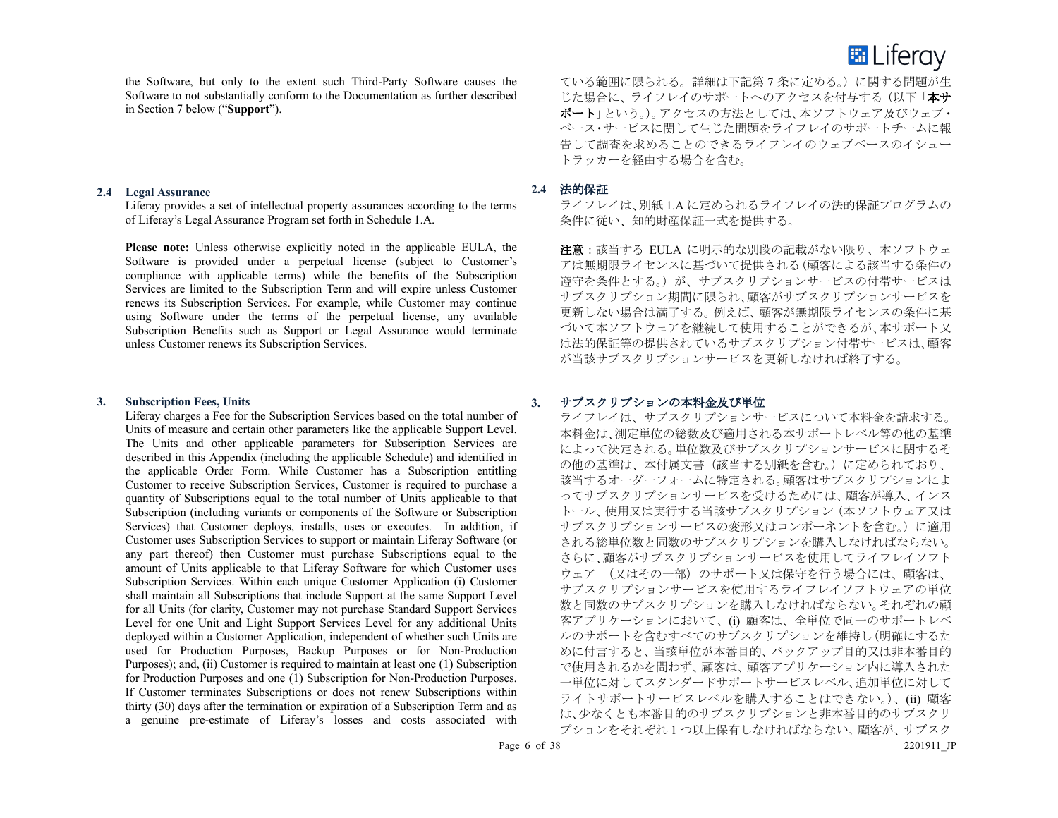

the Software, but only to the extent such Third-Party Software causes the Software to not substantially conform to the Documentation as further described in Section 7 below ("**Support**").

#### **2.4 Legal Assurance**

Liferay provides a set of intellectual property assurances according to the terms of Liferay's Legal Assurance Program set forth in Schedule 1.A.

**Please note:** Unless otherwise explicitly noted in the applicable EULA, the Software is provided under a perpetual license (subject to Customer's compliance with applicable terms) while the benefits of the Subscription Services are limited to the Subscription Term and will expire unless Customer renews its Subscription Services. For example, while Customer may continue using Software under the terms of the perpetual license, any available Subscription Benefits such as Support or Legal Assurance would terminate unless Customer renews its Subscription Services.

#### **3. Subscription Fees, Units**

Liferay charges a Fee for the Subscription Services based on the total number of Units of measure and certain other parameters like the applicable Support Level. The Units and other applicable parameters for Subscription Services are described in this Appendix (including the applicable Schedule) and identified in the applicable Order Form. While Customer has a Subscription entitling Customer to receive Subscription Services, Customer is required to purchase a quantity of Subscriptions equal to the total number of Units applicable to that Subscription (including variants or components of the Software or Subscription Services) that Customer deploys, installs, uses or executes. In addition, if Customer uses Subscription Services to support or maintain Liferay Software (or any part thereof) then Customer must purchase Subscriptions equal to the amount of Units applicable to that Liferay Software for which Customer uses Subscription Services. Within each unique Customer Application (i) Customer shall maintain all Subscriptions that include Support at the same Support Level for all Units (for clarity, Customer may not purchase Standard Support Services Level for one Unit and Light Support Services Level for any additional Units deployed within a Customer Application, independent of whether such Units are used for Production Purposes, Backup Purposes or for Non-Production Purposes); and, (ii) Customer is required to maintain at least one (1) Subscription for Production Purposes and one (1) Subscription for Non-Production Purposes. If Customer terminates Subscriptions or does not renew Subscriptions within thirty (30) days after the termination or expiration of a Subscription Term and as a genuine pre-estimate of Liferay's losses and costs associated with

ている範囲に限られる。詳細は下記第 7 条に定める。)に関する問題が生 じた場合に、ライフレイのサポートへのアクセスを付与する(以下「本サ ポート」という。)。アクセスの方法としては、本ソフトウェア及びウェブ· ベース・サービスに関して生じた問題をライフレイのサポートチームに報 告して調査を求めることのできるライフレイのウェブベースのイシュー トラッカーを経由する場合を含む。

#### **2.4** 法的保証

ライフレイは、別紙 1.A に定められるライフレイの法的保証プログラムの 条件に従い、知的財産保証一式を提供する。

注意:該当する EULA に明示的な別段の記載がない限り、本ソフトウェ アは無期限ライセンスに基づいて提供される(顧客による該当する条件の 遵守を条件とする。)が、サブスクリプションサービスの付帯サービスは サブスクリプション期間に限られ、顧客がサブスクリプションサービスを 更新しない場合は満了する。例えば、顧客が無期限ライセンスの条件に基 づいて本ソフトウェアを継続して使用することができるが、本サポート又 は法的保証等の提供されているサブスクリプション付帯サービスは、顧客 が当該サブスクリプションサービスを更新しなければ終了する。

# **3.** サブスクリプションの本料金及び単位

ライフレイは、サブスクリプションサービスについて本料金を請求する。 本料金は、測定単位の総数及び適用される本サポートレベル等の他の基準 によって決定される。単位数及びサブスクリプションサービスに関するそ の他の基準は、本付属文書(該当する別紙を含む。)に定められており、 該当するオーダーフォームに特定される。顧客はサブスクリプションによ ってサブスクリプションサービスを受けるためには、顧客が導入、インス トール、使用又は実行する当該サブスクリプション(本ソフトウェア又は サブスクリプションサービスの変形又はコンポーネントを含む。)に適用 される総単位数と同数のサブスクリプションを購入しなければならない。 さらに、顧客がサブスクリプションサービスを使用してライフレイソフト ウェア (又はその一部)のサポート又は保守を行う場合には、顧客は、 サブスクリプションサービスを使用するライフレイソフトウェアの単位 数と同数のサブスクリプションを購入しなければならない。それぞれの顧 客アプリケーションにおいて、(i) 顧客は、全単位で同一のサポートレベ ルのサポートを含むすべてのサブスクリプションを維持し(明確にするた めに付言すると、当該単位が本番目的、バックアップ目的又は非本番目的 で使用されるかを問わず、顧客は、顧客アプリケーション内に導入された 一単位に対してスタンダードサポートサービスレベル、追加単位に対して ライトサポートサービスレベルを購入することはできない。)、(ii) 顧客 は、少なくとも本番目的のサブスクリプションと非本番目的のサブスクリ プションをそれぞれ 1 つ以上保有しなければならない。顧客が、サブスク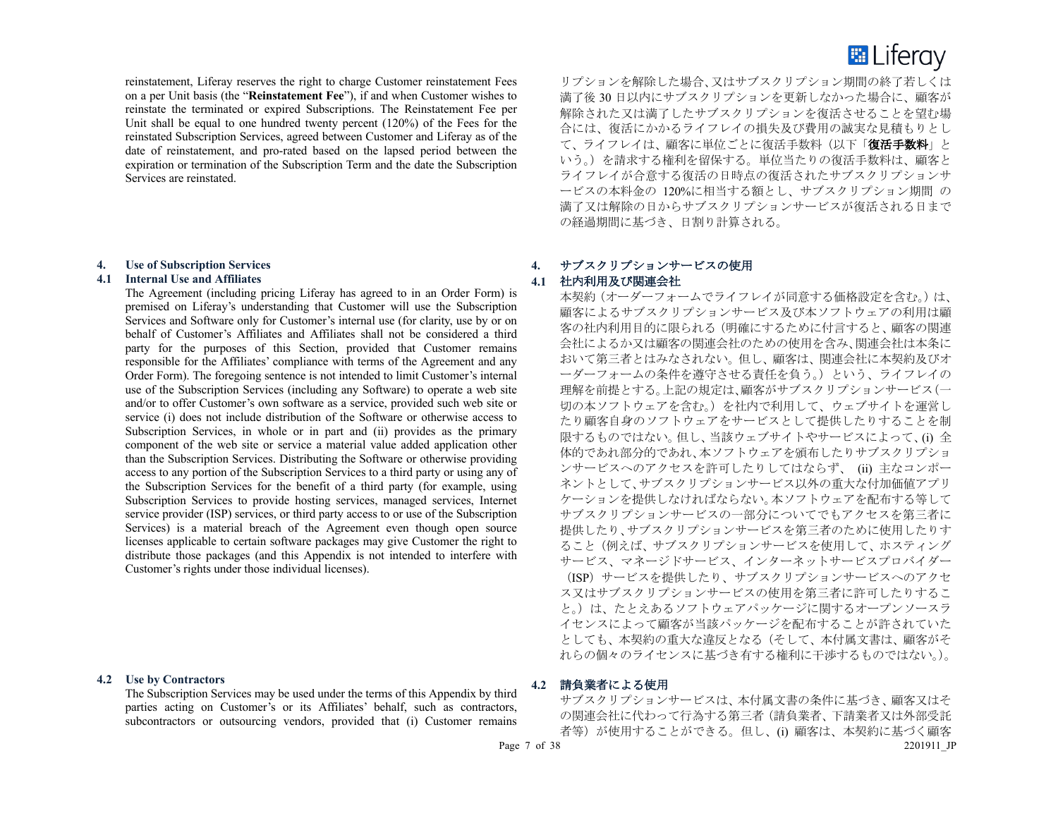reinstatement, Liferay reserves the right to charge Customer reinstatement Fees on a per Unit basis (the "**Reinstatement Fee**"), if and when Customer wishes to reinstate the terminated or expired Subscriptions. The Reinstatement Fee per Unit shall be equal to one hundred twenty percent (120%) of the Fees for the reinstated Subscription Services, agreed between Customer and Liferay as of the date of reinstatement, and pro-rated based on the lapsed period between the expiration or termination of the Subscription Term and the date the Subscription Services are reinstated.

# **4. Use of Subscription Services**

#### **4.1 Internal Use and Affiliates**

The Agreement (including pricing Liferay has agreed to in an Order Form) is premised on Liferay's understanding that Customer will use the Subscription Services and Software only for Customer's internal use (for clarity, use by or on behalf of Customer's Affiliates and Affiliates shall not be considered a third party for the purposes of this Section, provided that Customer remains responsible for the Affiliates' compliance with terms of the Agreement and any Order Form). The foregoing sentence is not intended to limit Customer's internal use of the Subscription Services (including any Software) to operate a web site and/or to offer Customer's own software as a service, provided such web site or service (i) does not include distribution of the Software or otherwise access to Subscription Services, in whole or in part and (ii) provides as the primary component of the web site or service a material value added application other than the Subscription Services. Distributing the Software or otherwise providing access to any portion of the Subscription Services to a third party or using any of the Subscription Services for the benefit of a third party (for example, using Subscription Services to provide hosting services, managed services, Internet service provider (ISP) services, or third party access to or use of the Subscription Services) is a material breach of the Agreement even though open source licenses applicable to certain software packages may give Customer the right to distribute those packages (and this Appendix is not intended to interfere with Customer's rights under those individual licenses).

# **4.2 Use by Contractors**

The Subscription Services may be used under the terms of this Appendix by third parties acting on Customer's or its Affiliates' behalf, such as contractors, subcontractors or outsourcing vendors, provided that (i) Customer remains

# **E** Liferay

リプションを解除した場合、又はサブスクリプション期間の終了若しくは 満了後 30 日以内にサブスクリプションを更新しなかった場合に、顧客が 解除された又は満了したサブスクリプションを復活させることを望む場 合には、復活にかかるライフレイの損失及び費用の誠実な見積もりとし て、ライフレイは、顧客に単位ごとに復活手数料(以下「復活手数料」と いう。)を請求する権利を留保する。単位当たりの復活手数料は、顧客と ライフレイが合意する復活の日時点の復活されたサブスクリプションサ ービスの本料金の 120%に相当する額とし、サブスクリプション期間 の 満了又は解除の日からサブスクリプションサービスが復活される日まで の経過期間に基づき、日割り計算される。

# **4.** サブスクリプションサービスの使用

# **4.1** 社内利用及び関連会社

本契約(オーダーフォームでライフレイが同意する価格設定を含む。)は、 顧客によるサブスクリプションサービス及び本ソフトウェアの利用は顧 客の社内利用目的に限られる(明確にするために付言すると、顧客の関連 会社によるか又は顧客の関連会社のための使用を含み、関連会社は本条に おいて第三者とはみなされない。但し、顧客は、関連会社に本契約及びオ ーダーフォームの条件を遵守させる責任を負う。)という、ライフレイの 理解を前提とする。上記の規定は、顧客がサブスクリプションサービス(一 切の本ソフトウェアを含む。)を社内で利用して、ウェブサイトを運営し たり顧客自身のソフトウェアをサービスとして提供したりすることを制 限するものではない。但し、当該ウェブサイトやサービスによって、(i) 全 体的であれ密めれ、本ソフトウェアを領布したりサブスクリプショ ンサービスへのアクセスを許可したりしてはならず、 (ii) 主なコンポー ネントとして、サブスクリプションサービス以外の重大な付加価値アプリ ケーションを提供しなければならない。本ソフトウェアを配布する等して サブスクリプションサービスの一部分についてでもアクセスを第三者に 提供したり、サブスクリプションサービスを第三者のために使用したりす ること(例えば、サブスクリプションサービスを使用して、ホスティング サービス、マネージドサービス、インターネットサービスプロバイダー (ISP)サービスを提供したり、サブスクリプションサービスへのアクセ ス又はサブスクリプションサービスの使用を第三者に許可したりするこ と。)は、たとえあるソフトウェアパッケージに関するオープンソースラ イセンスによって顧客が当該パッケージを配布することが許されていた としても、本契約の重大な違反となる(そして、本付属文書は、顧客がそ れらの個々のライセンスに基づき有する権利に干渉するものではない。)。

#### **4.2** 請負業者による使用

Page 7 of 38 2201911 JP サブスクリプションサービスは、本付属文書の条件に基づき、顧客又はそ の関連会社に代わって行為する第三者(請負業者、下請業者又は外部受託 者等)が使用することができる。但し、(i) 顧客は、本契約に基づく顧客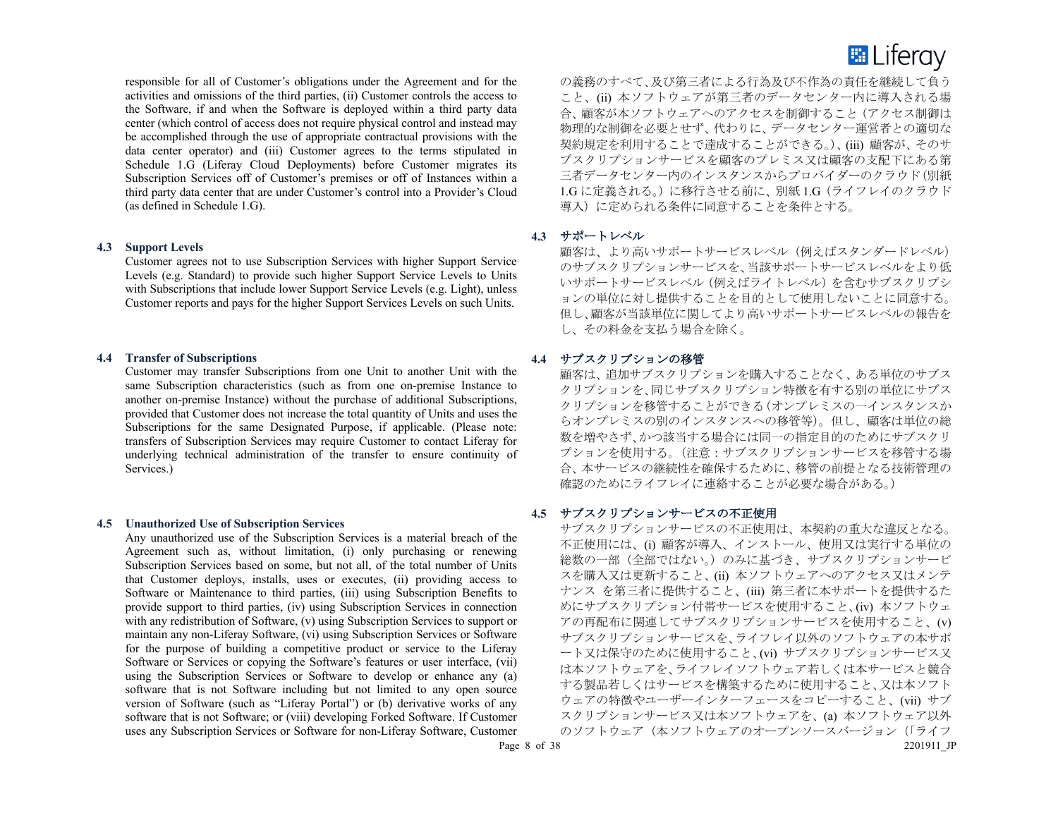

responsible for all of Customer's obligations under the Agreement and for the activities and omissions of the third parties, (ii) Customer controls the access to the Software, if and when the Software is deployed within a third party data center (which control of access does not require physical control and instead may be accomplished through the use of appropriate contractual provisions with the data center operator) and (iii) Customer agrees to the terms stipulated in Schedule 1.G (Liferay Cloud Deployments) before Customer migrates its Subscription Services off of Customer's premises or off of Instances within a third party data center that are under Customer's control into a Provider's Cloud (as defined in Schedule 1.G).

#### **4.3 Support Levels**

Customer agrees not to use Subscription Services with higher Support Service Levels (e.g. Standard) to provide such higher Support Service Levels to Units with Subscriptions that include lower Support Service Levels (e.g. Light), unless Customer reports and pays for the higher Support Services Levels on such Units.

#### **4.4 Transfer of Subscriptions**

Customer may transfer Subscriptions from one Unit to another Unit with the same Subscription characteristics (such as from one on-premise Instance to another on-premise Instance) without the purchase of additional Subscriptions, provided that Customer does not increase the total quantity of Units and uses the Subscriptions for the same Designated Purpose, if applicable. (Please note: transfers of Subscription Services may require Customer to contact Liferay for underlying technical administration of the transfer to ensure continuity of Services.)

#### **4.5 Unauthorized Use of Subscription Services**

Any unauthorized use of the Subscription Services is a material breach of the Agreement such as, without limitation, (i) only purchasing or renewing Subscription Services based on some, but not all, of the total number of Units that Customer deploys, installs, uses or executes, (ii) providing access to Software or Maintenance to third parties, (iii) using Subscription Benefits to provide support to third parties, (iv) using Subscription Services in connection with any redistribution of Software, (v) using Subscription Services to support or maintain any non-Liferay Software, (vi) using Subscription Services or Software for the purpose of building a competitive product or service to the Liferay Software or Services or copying the Software's features or user interface, (vii) using the Subscription Services or Software to develop or enhance any (a) software that is not Software including but not limited to any open source version of Software (such as "Liferay Portal") or (b) derivative works of any software that is not Software; or (viii) developing Forked Software. If Customer uses any Subscription Services or Software for non-Liferay Software, Customer

の義務のすべて、及び第三者による行為及び不作為の責任を継続して負う こと、(ii) 本ソフトウェアが第三者のデータセンター内に導入される場 合、顧客が本ソフトウェアへのアクセスを制御すること(アクセス制御は 物理的な制御を必要とせず、代わりに、データセンター運営者との適切な 契約規定を利用することで達成することができる。)、(iii) 顧客が、そのサ ブスクリプションサービスを顧客のプレミス又は顧客の支配下にある第 三者データセンター内のインスタンスからプロバイダーのクラウド(別紙 1.G に定義される。)に移行させる前に、別紙 1.G(ライフレイのクラウド 導入)に定められる条件に同意することを条件とする。

#### **4.3** サポートレベル

顧客は、より高いサポートサービスレベル(例えばスタンダードレベル) のサブスクリプションサービスを、当該サポートサービスレベルをより低 いサポートサービスレベル(例えばライトレベル)を含むサブスクリプシ ョンの単位に対し提供することを目的として使用しないことに同意する。 但し、顧客が当該単位に関してより高いサポートサービスレベルの報告を し、その料金を支払う場合を除く。

## **4.4** サブスクリプションの移管

顧客は、追加サブスクリプションを購入することなく、ある単位のサブス クリプションを、同じサブスクリプション特徴を有する別の単位にサブス クリプションを移管することができる(オンプレミスの一インスタンスか らオンプレミスの別のインスタンスへの移管等)。但し、顧客は単位の総 数を増やさず、かつ該当する場合には同一の指定目的のためにサブスクリ プションを使用する。(注意:サブスクリプションサービスを移管する場 合、本サービスの継続性を確保するために、移管の前提となる技術管理の 確認のためにライフレイに連絡することが必要な場合がある。)

#### **4.5** サブスクリプションサービスの不正使用

Page 8 of 38 2201911 JP サブスクリプションサービスの不正使用は、本契約の重大な違反となる。 不正使用には、(i) 顧客が導入、インストール、使用又は実行する単位の 総数の一部(全部ではない。)のみに基づき、サブスクリプションサービ スを購入又は更新すること、(ii) 本ソフトウェアへのアクセス又はメンテ ナンス を第三者に提供すること、(iii) 第三者に本サポートを提供するた めにサブスクリプション付帯サービスを使用すること、(iv) 本ソフトウェ アの再配布に関連してサブスクリプションサービスを使用すること、(v) サブスクリプションサービスを、ライフレイ以外のソフトウェアの本サポ ート又は保守のために使用すること、(vi) サブスクリプションサービス又 は本ソフトウェアを、ライフレイソフトウェア若しくは本サービスと競合 する製品若しくはサービスを構築するために使用すること、又は本ソフト ウェアの特徴やユーザーインターフェースをコピーすること、(vii) サブ スクリプションサービス又は本ソフトウェアを、(a) 本ソフトウェア以外 のソフトウェア (本ソフトウェアのオープンソースバージョン(「ライフ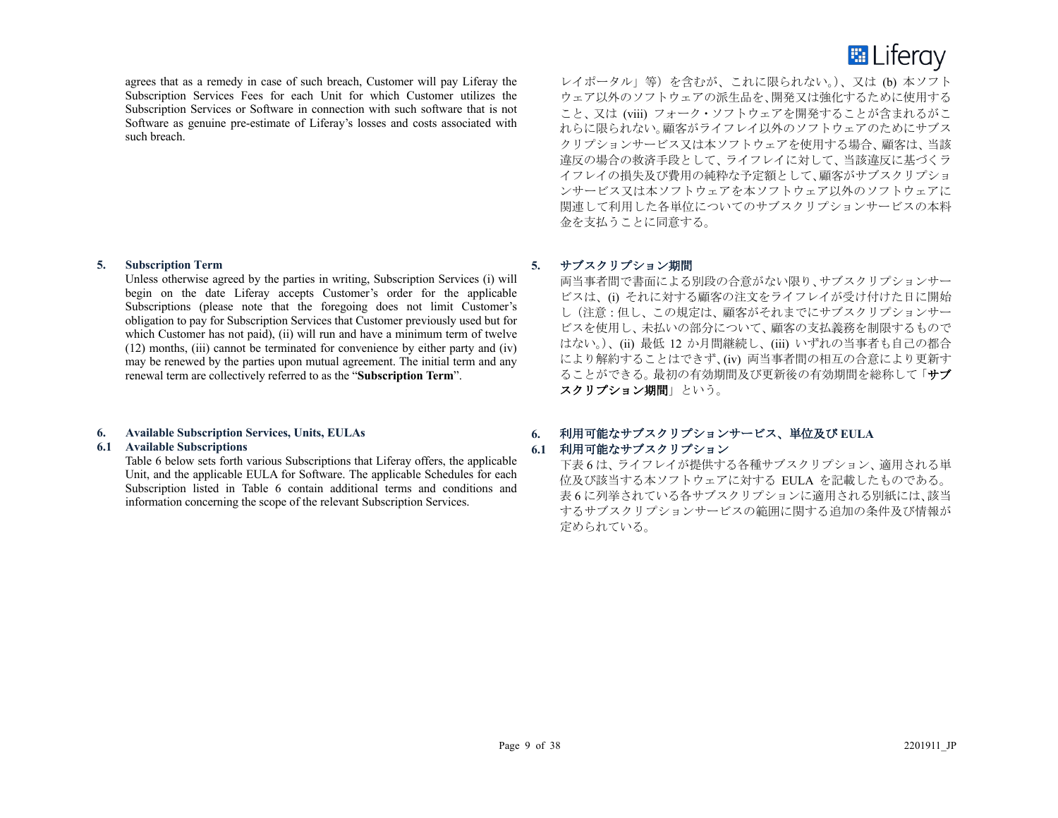

agrees that as a remedy in case of such breach, Customer will pay Liferay the Subscription Services Fees for each Unit for which Customer utilizes the Subscription Services or Software in connection with such software that is not Software as genuine pre-estimate of Liferay's losses and costs associated with such breach.

#### **5. Subscription Term**

Unless otherwise agreed by the parties in writing, Subscription Services (i) will begin on the date Liferay accepts Customer's order for the applicable Subscriptions (please note that the foregoing does not limit Customer's obligation to pay for Subscription Services that Customer previously used but for which Customer has not paid), (ii) will run and have a minimum term of twelve (12) months, (iii) cannot be terminated for convenience by either party and (iv) may be renewed by the parties upon mutual agreement. The initial term and any renewal term are collectively referred to as the "**Subscription Term**".

# **6. Available Subscription Services, Units, EULAs**

# **6.1 Available Subscriptions**

Table 6 below sets forth various Subscriptions that Liferay offers, the applicable Unit, and the applicable EULA for Software. The applicable Schedules for each Subscription listed in Table 6 contain additional terms and conditions and information concerning the scope of the relevant Subscription Services.

レイポータル」等)を含むが、これに限られない。)、又は (b) 本ソフト ウェア以外のソフトウェアの派生品を、開発又は強化するために使用する こと、又は (viii) フォーク・ソフトウェアを開発することが含まれるがこ れらに限られない。顧客がライフレイ以外のソフトウェアのためにサブス クリプションサービス又は本ソフトウェアを使用する場合、顧客は、当該 違反の場合の救済手段として、ライフレイに対して、当該違反に基づくラ イフレイの損失及び費用の純粋な予定額として、顧客がサブスクリプショ ンサービス又は本ソフトウェアを本ソフトウェア以外のソフトウェアに 関連して利用した各単位についてのサブスクリプションサービスの本料 金を支払うことに同意する。

# **5.** サブスクリプション期間

両当事者間で書面による別段の合意がない限り、サブスクリプションサー ビスは、(i) それに対する顧客の注文をライフレイが受け付けた日に開始 し(注意:但し、この規定は、顧客がそれまでにサブスクリプションサー ビスを使用し、未払いの部分について、顧客の支払義務を制限するもので はない。)、(ii) 最低 12 か月間継続し、(iii) いずれの当事者も自己の都合 により解約することはできず、(iv) 両当事者間の相互の合意により更新す ることができる。最初の有効期間及び更新後の有効期間を総称して「サブ スクリプション期間」という。

# **6.** 利用可能なサブスクリプションサービス、単位及び **EULA**

# **6.1** 利用可能なサブスクリプション

下表 6 は、ライフレイが提供する各種サブスクリプション、適用される単 位及び該当する本ソフトウェアに対する EULA を記載したものである。 表 6 に列挙されている各サブスクリプションに適用される別紙には、該当 するサブスクリプションサービスの範囲に関する追加の条件及び情報が 定められている。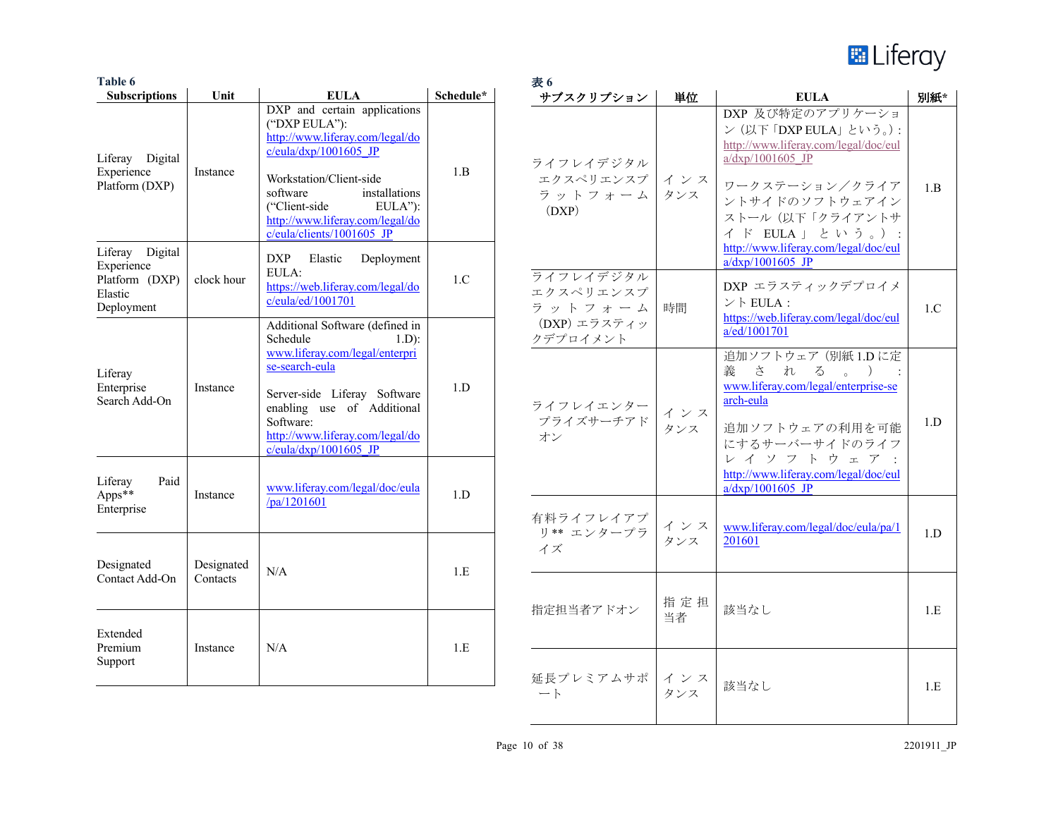

| Table 6                                                                  |                        |                                                                                                                                                                                                                                                                 |           | 表6                                                           |            |                                                                                                                                                                                 |     |
|--------------------------------------------------------------------------|------------------------|-----------------------------------------------------------------------------------------------------------------------------------------------------------------------------------------------------------------------------------------------------------------|-----------|--------------------------------------------------------------|------------|---------------------------------------------------------------------------------------------------------------------------------------------------------------------------------|-----|
| <b>Subscriptions</b>                                                     | Unit                   | <b>EULA</b>                                                                                                                                                                                                                                                     | Schedule* | サブスクリプション                                                    | 単位         | <b>EULA</b>                                                                                                                                                                     | 別紙* |
| Liferay Digital<br>Experience<br>Platform (DXP)                          | Instance               | DXP and certain applications<br>("DXP EULA"):<br>http://www.liferay.com/legal/do<br>$c/eula/dxp/1001605$ JP<br>Workstation/Client-side<br>installations<br>software<br>("Client-side<br>EULA"):<br>http://www.liferay.com/legal/do<br>c/eula/clients/1001605 JP | 1.B       | ライフレイデジタル<br>エクスペリエンスプ インス<br>ラットフォーム<br>(DXP)               | タンス        | DXP 及び特定のアプリケーショ<br>ン (以下「DXP EULA」という。):<br>http://www.liferay.com/legal/doc/eul<br>a/dxp/1001605 JP<br>ワークステーション/クライア<br>ントサイドのソフトウェアイン<br>ストール(以下「クライアントサ<br>イド EULA」 という。): | 1.B |
| Liferay Digital<br>Experience<br>Platform (DXP)<br>Elastic<br>Deployment | clock hour             | <b>DXP</b><br>Elastic<br>Deployment<br>EULA:<br>https://web.liferay.com/legal/do<br>c/eula/ed/1001701                                                                                                                                                           | 1.C       | ライフレイデジタル<br>エクスペリエンスプ<br>ラットフォーム                            | 時間         | http://www.liferay.com/legal/doc/eul<br>$a/dxp/1001605$ JP<br>DXP エラスティックデプロイメ<br>$\vee$ FULA :<br>https://web.liferay.com/legal/doc/eul                                        | 1.C |
| Liferay<br>Enterprise<br>Search Add-On                                   | Instance               | Additional Software (defined in<br>Schedule<br>$1.D$ :<br>www.liferay.com/legal/enterpri<br>se-search-eula<br>Server-side Liferay Software<br>enabling use of Additional<br>Software:<br>http://www.liferay.com/legal/do<br>$c/eula/dxp/1001605$ JP             | 1.D       | (DXP) エラスティッ<br>クデプロイメント<br>ライフレイエンター<br>- プライズサーチアド<br>- オン | インス<br>タンス | a/ed/1001701<br>追加ソフトウェア (別紙 1.D に定<br>義<br>さ<br>れる。<br>$\rightarrow$<br>www.liferay.com/legal/enterprise-se<br>arch-eula<br>追加ソフトウェアの利用を可能<br>にするサーバーサイドのライフ<br>レイソフトウェア:      | 1.D |
| Liferay<br>Paid<br>Apps**<br>Enterprise                                  | Instance               | www.liferay.com/legal/doc/eula<br>$\sqrt{pa/1201601}$                                                                                                                                                                                                           | 1.D       | 有料ライフレイアプ<br>リ** エンタープラ                                      | インス<br>タンス | http://www.liferay.com/legal/doc/eul<br>$a/dxp/1001605$ JP<br>www.liferay.com/legal/doc/eula/pa/1<br>201601                                                                     | 1.D |
| Designated<br>Contact Add-On                                             | Designated<br>Contacts | N/A                                                                                                                                                                                                                                                             | 1.E       | イズ<br>指定担当者アドオン                                              | 指定担<br>当者  | 該当なし                                                                                                                                                                            | 1.E |
| Extended<br>Premium<br>Support                                           | Instance               | N/A                                                                                                                                                                                                                                                             | 1.E       | 延長プレミアムサポ インス<br>$ \vdash$                                   | タンス        | 該当なし                                                                                                                                                                            | 1.E |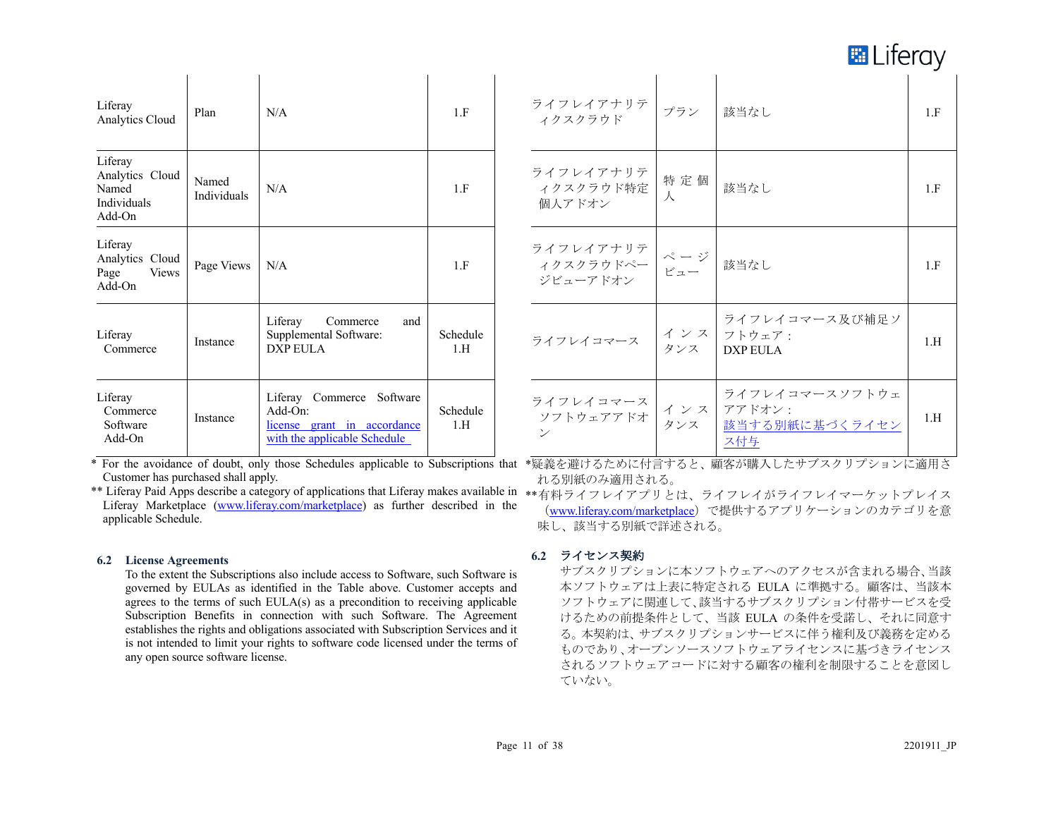**E** Liferay

| Liferay<br>Analytics Cloud                                      | Plan                 | N/A                                                                                                       | 1.F             |
|-----------------------------------------------------------------|----------------------|-----------------------------------------------------------------------------------------------------------|-----------------|
| Liferay<br>Analytics Cloud<br>Named<br>Individuals<br>$Add$ -On | Named<br>Individuals | N/A                                                                                                       | 1.F             |
| Liferay<br>Analytics Cloud<br>Page<br>Views<br>$Add$ -On        | Page Views           | N/A                                                                                                       | 1.F             |
| Liferay<br>Commerce                                             | Instance             | Liferay<br>Commerce<br>and<br>Supplemental Software:<br><b>DXP EULA</b>                                   | Schedule<br>1.H |
| Liferay<br>Commerce<br>Software<br>Add-On                       | Instance             | Liferay Commerce Software<br>$Add$ - $On:$<br>license grant in accordance<br>with the applicable Schedule | Schedule<br>1.H |

| ライフレイアナリテ<br>ィクスクラウド                    | プラン                                | 該当なし                                              | 1.F |
|-----------------------------------------|------------------------------------|---------------------------------------------------|-----|
| ライフレイアナリテ<br>ィクスクラウド特定<br>個人アドオン        | 特定個<br>人                           | 該当なし                                              | 1.F |
| ライフレイアナリテ<br>ィクスクラウドペー<br>ジビューアドオン      | $\mathcal{N}-\mathcal{Y}$<br>$P -$ | 該当なし                                              | 1.F |
| ライフレイコマース                               | インス<br>タンス                         | ライフレイコマース及び補足ソ<br>フトウェア:<br>DXP EULA              | 1.H |
| ライフレイコマース<br>ソフトウェアアドオ<br>$\mathcal{V}$ | インス<br>タンス                         | ライフレイコマースソフトウェ<br>アアドオン:<br>該当する別紙に基づくライセン<br>ス付与 | 1.H |

\* For the avoidance of doubt, only those Schedules applicable to Subscriptions that \*疑義を避けるために付言すると、顧客が購入したサブスクリプションに適用さ Customer has purchased shall apply.

\*\* Liferay Paid Apps describe a category of applications that Liferay makes available in \*\*有料ライフレイアプリとは、ライフレイがライフレイマーケットプレイス Liferay Marketplace (www.liferay.com/marketplace) as further described in the applicable Schedule.

#### **6.2 License Agreements**

To the extent the Subscriptions also include access to Software, such Software is governed by EULAs as identified in the Table above. Customer accepts and agrees to the terms of such EULA(s) as a precondition to receiving applicable Subscription Benefits in connection with such Software. The Agreement establishes the rights and obligations associated with Subscription Services and it is not intended to limit your rights to software code licensed under the terms of any open source software license.

れる別紙のみ適用される。

(www.liferay.com/marketplace)で提供するアプリケーションのカテゴリを意 味し、該当する別紙で詳述される。

# **6.2** ライセンス契約

サブスクリプションに本ソフトウェアへのアクセスが含まれる場合、当該 本ソフトウェアは上表に特定される EULA に準拠する。顧客は、当該本 ソフトウェアに関連して、該当するサブスクリプション付帯サービスを受 けるための前提条件として、当該 EULA の条件を受諾し、それに同意す る。本契約は、サブスクリプションサービスに伴う権利及び義務を定める ものであり、オープンソースソフトウェアライセンスに基づきライセンス されるソフトウェアコードに対する顧客の権利を制限することを意図し ていない。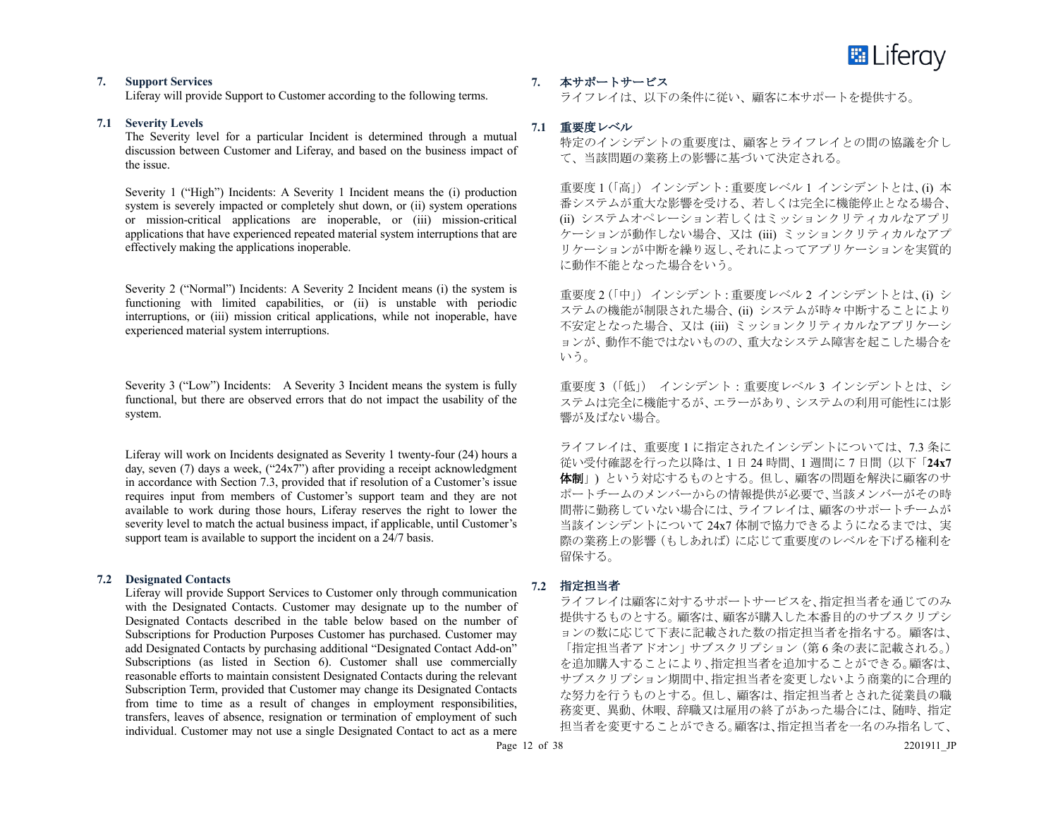

#### **7. Support Services**

Liferay will provide Support to Customer according to the following terms.

#### **7.1 Severity Levels**

The Severity level for a particular Incident is determined through a mutual discussion between Customer and Liferay, and based on the business impact of the issue.

Severity 1 ("High") Incidents: A Severity 1 Incident means the (i) production system is severely impacted or completely shut down, or (ii) system operations or mission-critical applications are inoperable, or (iii) mission-critical applications that have experienced repeated material system interruptions that are effectively making the applications inoperable.

Severity 2 ("Normal") Incidents: A Severity 2 Incident means (i) the system is functioning with limited capabilities, or (ii) is unstable with periodic interruptions, or (iii) mission critical applications, while not inoperable, have experienced material system interruptions.

Severity 3 ("Low") Incidents: A Severity 3 Incident means the system is fully functional, but there are observed errors that do not impact the usability of the system.

Liferay will work on Incidents designated as Severity 1 twenty-four (24) hours a day, seven  $(7)$  days a week,  $("24x7")$  after providing a receipt acknowledgment in accordance with Section 7.3, provided that if resolution of a Customer's issue requires input from members of Customer's support team and they are not available to work during those hours, Liferay reserves the right to lower the severity level to match the actual business impact, if applicable, until Customer's support team is available to support the incident on a 24/7 basis.

# **7.2 Designated Contacts**

Liferay will provide Support Services to Customer only through communication with the Designated Contacts. Customer may designate up to the number of Designated Contacts described in the table below based on the number of Subscriptions for Production Purposes Customer has purchased. Customer may add Designated Contacts by purchasing additional "Designated Contact Add-on" Subscriptions (as listed in Section 6). Customer shall use commercially reasonable efforts to maintain consistent Designated Contacts during the relevant Subscription Term, provided that Customer may change its Designated Contacts from time to time as a result of changes in employment responsibilities, transfers, leaves of absence, resignation or termination of employment of such individual. Customer may not use a single Designated Contact to act as a mere

**7.** 本サポートサービス

ライフレイは、以下の条件に従い、顧客に本サポートを提供する。

# **7.1** 重要度レベル

特定のインシデントの重要度は、顧客とライフレイとの間の協議を介し て、当該問題の業務上の影響に基づいて決定される。

重要度 1(「高」)インシデント:重要度レベル 1 インシデントとは、(i) 本 番システムが重大な影響を受ける、若しくは完全に機能停止となる場合、 (ii) システムオペレーション若しくはミッションクリティカルなアプリ ケーションが動作しない場合、又は (iii) ミッションクリティカルなアプ リケーションが中断を繰り返し、それによってアプリケーションを実質的 に動作不能となった場合をいう。

重要度 2(「中」)インシデント:重要度レベル 2 インシデントとは、(i) シ ステムの機能が制限された場合、(ii) システムが時々中断することにより 不安定となった場合、又は (iii) ミッションクリティカルなアプリケーシ ョンが、動作不能ではないものの、重大なシステム障害を起こした場合を いう。

重要度 3 (「低」) インシデント: 重要度レベル 3 インシデントとは、シ ステムは完全に機能するが、エラーがあり、システムの利用可能性には影 響が及ばない場合。

ライフレイは、重要度 1 に指定されたインシデントについては、7.3 条に 従い受付確認を行った以降は、1 日 24 時間、1 週間に 7 日間(以下「**24x7** 体制」) という対応するものとする。但し、顧客の問題を解決に顧客のサ ポートチームのメンバーからの情報提供が必要で、当該メンバーがその時 間帯に勤務していない場合には、ライフレイは、顧客のサポートチームが 当該インシデントについて 24x7 体制で協力できるようになるまでは、実 際の業務上の影響(もしあれば)に応じて重要度のレベルを下げる権利を 留保する。

#### **7.2** 指定担当者

ライフレイは顧客に対するサポートサービスを、指定担当者を通じてのみ 提供するものとする。顧客は、顧客が購入した本番目的のサブスクリプシ ョンの数に応じて下表に記載された数の指定担当者を指名する。顧客は、 「指定担当者アドオン」サブスクリプション(第6条の表に記載される。) を追加購入することにより、指定担当者を追加することができる。顧客は、 サブスクリプション期間中、指定担当者を変更しないよう商業的に合理的 な努力を行うものとする。但し、顧客は、指定担当者とされた従業員の職 務変更、異動、休暇、辞職又は雇用の終了があった場合には、随時、指定 担当者を変更することができる。顧客は、指定担当者を一名のみ指名して、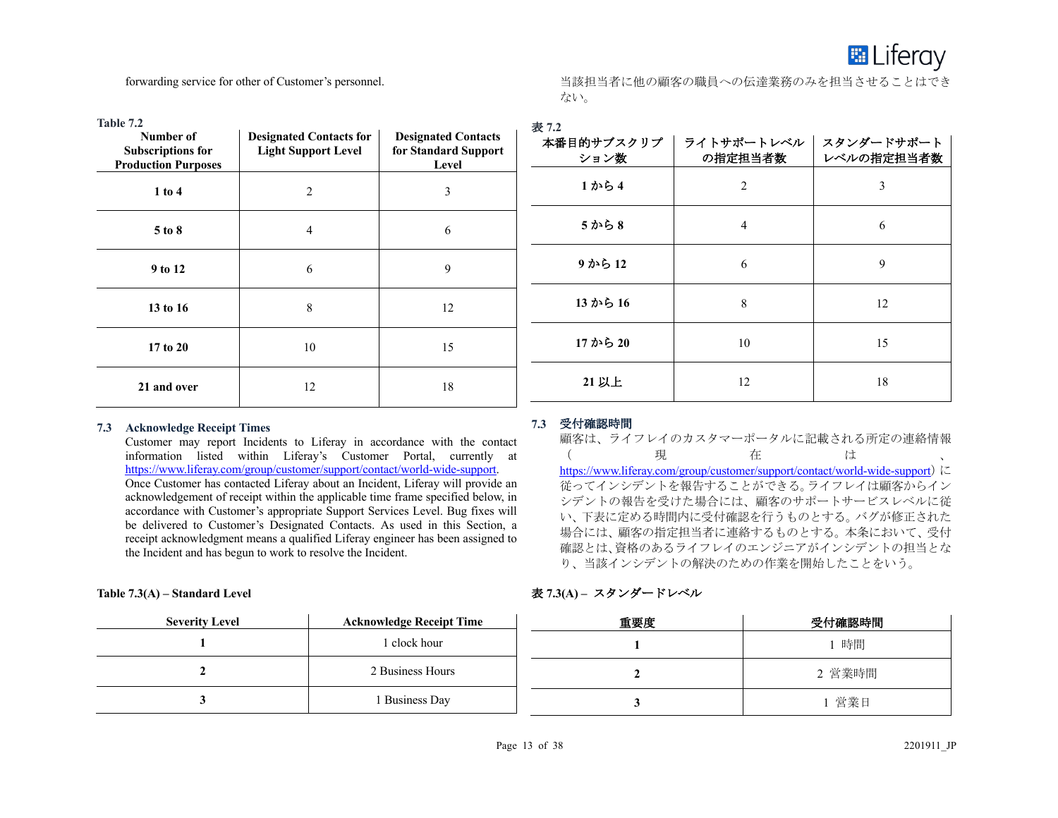

forwarding service for other of Customer's personnel.

当該担当者に他の顧客の職員への伝達業務のみを担当させることはでき ない。

| Table 7.2<br>Number of<br><b>Subscriptions for</b><br><b>Production Purposes</b> | <b>Designated Contacts for</b><br><b>Light Support Level</b> | <b>Designated Contacts</b><br>for Standard Support<br>Level | 表 7.2<br>本番目的サブスクリプ<br>ション数 | ライトサポートレベル  <br>の指定担当者数 | スタンダードサポート<br>レベルの指定担当者数 |
|----------------------------------------------------------------------------------|--------------------------------------------------------------|-------------------------------------------------------------|-----------------------------|-------------------------|--------------------------|
| $1$ to $4$                                                                       | $\overline{2}$                                               | 3                                                           | 1から4                        | 2                       | 3                        |
| 5 to 8                                                                           | $\overline{4}$                                               | 6                                                           | 5から8                        | 4                       | 6                        |
| 9 to 12                                                                          | 6                                                            | 9                                                           | 9から12                       | 6                       | 9                        |
| 13 to 16                                                                         | 8                                                            | 12                                                          | 13 から 16                    | 8                       | 12                       |
| 17 to 20                                                                         | $10\,$                                                       | 15                                                          | 17 から 20                    | 10                      | 15                       |
| 21 and over                                                                      | 12                                                           | 18                                                          | 21 以上                       | 12                      | 18                       |
|                                                                                  |                                                              |                                                             |                             |                         |                          |

#### **7.3 Acknowledge Receipt Times**

Customer may report Incidents to Liferay in accordance with the contact information listed within Liferay's Customer Portal, currently at https://www.liferay.com/group/customer/support/contact/world-wide-support.

Once Customer has contacted Liferay about an Incident, Liferay will provide an acknowledgement of receipt within the applicable time frame specified below, in accordance with Customer's appropriate Support Services Level. Bug fixes will be delivered to Customer's Designated Contacts. As used in this Section, a receipt acknowledgment means a qualified Liferay engineer has been assigned to the Incident and has begun to work to resolve the Incident.

#### **Table 7.3(A) – Standard Level**

# **7.3** 受付確認時間

顧客は、ライフレイのカスタマーポータルに記載される所定の連絡情報<br>( 現 在 は ( 現 在 は 、 https://www.liferay.com/group/customer/support/contact/world-wide-support)に 従ってインシデントを報告することができる。ライフレイは顧客からイン シデントの報告を受けた場合には、顧客のサポートサービスレベルに従 い、下表に定める時間内に受付確認を行うものとする。バグが修正された 場合には、顧客の指定担当者に連絡するものとする。本条において、受付 確認とは、資格のあるライフレイのエンジニアがインシデントの担当とな り、当該インシデントの解決のための作業を開始したことをいう。

# 表 **7.3(A) –** スタンダードレベル

| <b>Severity Level</b> | <b>Acknowledge Receipt Time</b> | 重要度 | 受付確認時間 |
|-----------------------|---------------------------------|-----|--------|
|                       | 1 clock hour                    |     | 時間     |
|                       | 2 Business Hours                |     | 2 営業時間 |
|                       | Business Day                    |     | 営業日    |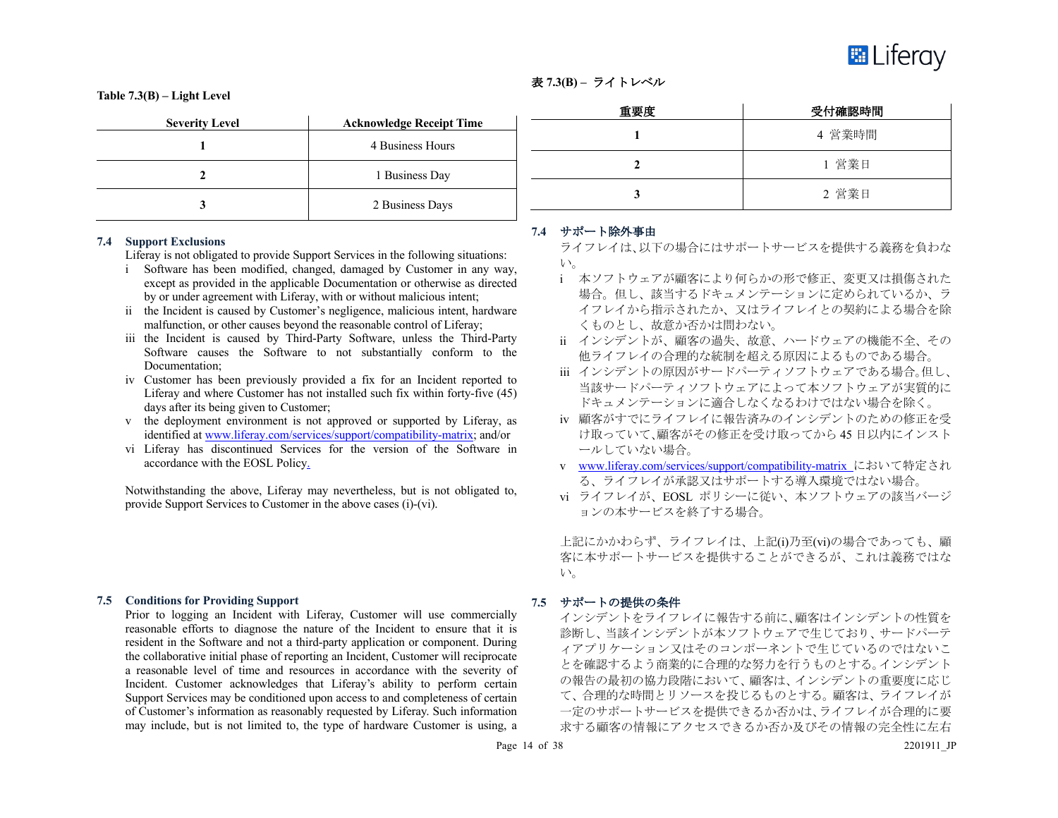

# 表 **7.3(B) –** ライトレベル

**Table 7.3(B) – Light Level**

| <b>Severity Level</b> | <b>Acknowledge Receipt Time</b> |
|-----------------------|---------------------------------|
|                       | 4 Business Hours                |
|                       | 1 Business Day                  |
|                       | 2 Business Days                 |

#### **7.4 Support Exclusions**

Liferay is not obligated to provide Support Services in the following situations:

- i Software has been modified, changed, damaged by Customer in any way, except as provided in the applicable Documentation or otherwise as directed by or under agreement with Liferay, with or without malicious intent;
- ii the Incident is caused by Customer's negligence, malicious intent, hardware malfunction, or other causes beyond the reasonable control of Liferay;
- iii the Incident is caused by Third-Party Software, unless the Third-Party Software causes the Software to not substantially conform to the Documentation;
- iv Customer has been previously provided a fix for an Incident reported to Liferay and where Customer has not installed such fix within forty-five (45) days after its being given to Customer;
- v the deployment environment is not approved or supported by Liferay, as identified at www.liferay.com/services/support/compatibility-matrix; and/or
- vi Liferay has discontinued Services for the version of the Software in accordance with the EOSL Policy.

Notwithstanding the above, Liferay may nevertheless, but is not obligated to, provide Support Services to Customer in the above cases (i)-(vi).

#### **7.5 Conditions for Providing Support**

Prior to logging an Incident with Liferay, Customer will use commercially reasonable efforts to diagnose the nature of the Incident to ensure that it is resident in the Software and not a third-party application or component. During the collaborative initial phase of reporting an Incident, Customer will reciprocate a reasonable level of time and resources in accordance with the severity of Incident. Customer acknowledges that Liferay's ability to perform certain Support Services may be conditioned upon access to and completeness of certain of Customer's information as reasonably requested by Liferay. Such information may include, but is not limited to, the type of hardware Customer is using, a

| 重要度 | 受付確認時間 |
|-----|--------|
|     | 4 営業時間 |
|     | 1 営業日  |
|     | 2 営業日  |

#### **7.4** サポート除外事由

ライフレイは、以下の場合にはサポートサービスを提供する義務を負わな い。

- i 本ソフトウェアが顧客により何らかの形で修正、変更又は損傷された 場合。但し、該当するドキュメンテーションに定められているか、ラ イフレイから指示されたか、又はライフレイとの契約による場合を除 くものとし、故意か否かは問わない。
- ii インシデントが、顧客の過失、故意、ハードウェアの機能不全、その 他ライフレイの合理的な統制を超える原因によるものである場合。
- iii インシデントの原因がサードパーティソフトウェアである場合。但し、 当該サードパーティソフトウェアによって本ソフトウェアが実質的に ドキュメンテーションに適合しなくなるわけではない場合を除く。
- iv 顧客がすでにライフレイに報告済みのインシデントのための修正を受 け取っていて、顧客がその修正を受け取ってから 45 日以内にインスト ールしていない場合。
- v www.liferay.com/services/support/compatibility-matrix において特定され る、ライフレイが承認又はサポートする導入環境ではない場合。
- vi ライフレイが、EOSL ポリシーに従い、本ソフトウェアの該当バージ ョンの本サービスを終了する場合。

上記にかかわらず、ライフレイは、上記(i)乃至(vi)の場合であっても、顧 客に本サポートサービスを提供することができるが、これは義務ではな い。

#### **7.5** サポートの提供の条件

インシデントをライフレイに報告する前に、顧客はインシデントの性質を 診断し、当該インシデントが本ソフトウェアで生じており、サードパーテ ィアプリケーション又はそのコンポーネントで生じているのではないこ とを確認するよう商業的に合理的な努力を行うものとする。インシデント の報告の最初の協力段階において、顧客は、インシデントの重要度に応じ て、合理的な時間とリソースを投じるものとする。顧客は、ライフレイが 一定のサポートサービスを提供できるか否かは、ライフレイが合理的に要 求する顧客の情報にアクセスできるか否か及びその情報の完全性に左右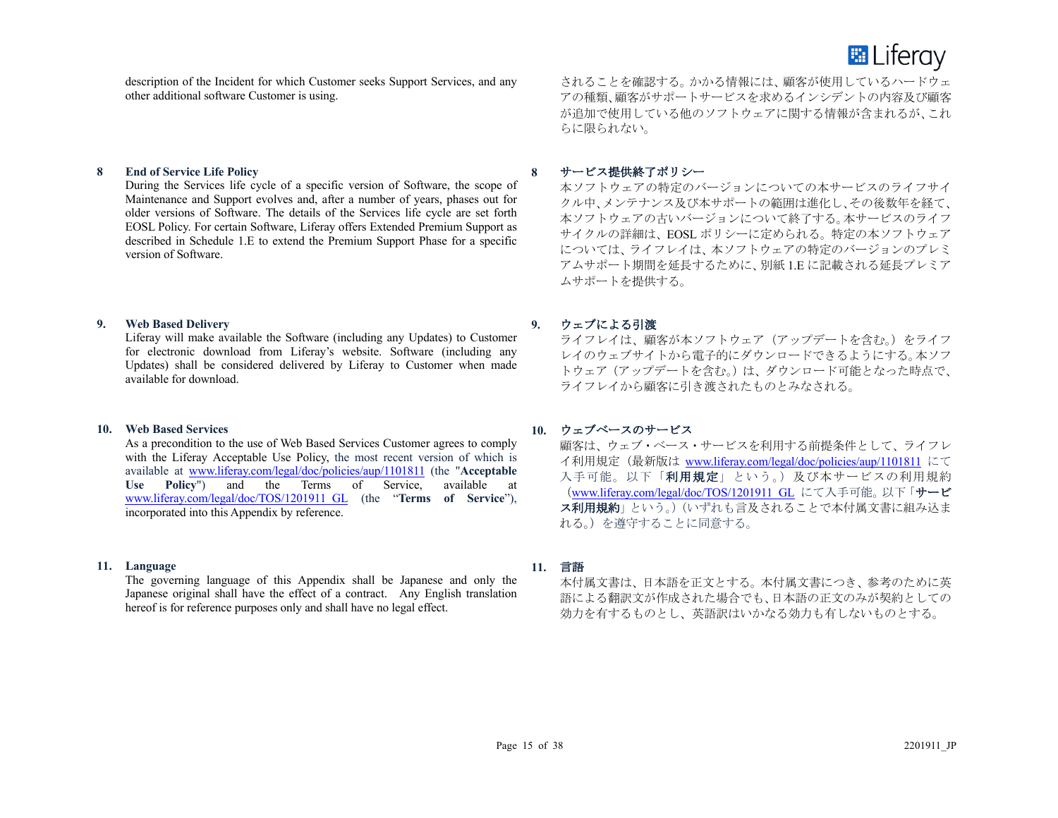

description of the Incident for which Customer seeks Support Services, and any other additional software Customer is using.

# **8 End of Service Life Policy**

During the Services life cycle of a specific version of Software, the scope of Maintenance and Support evolves and, after a number of years, phases out for older versions of Software. The details of the Services life cycle are set forth EOSL Policy. For certain Software, Liferay offers Extended Premium Support as described in Schedule 1.E to extend the Premium Support Phase for a specific version of Software.

#### **9. Web Based Delivery**

Liferay will make available the Software (including any Updates) to Customer for electronic download from Liferay's website. Software (including any Updates) shall be considered delivered by Liferay to Customer when made available for download.

#### **10. Web Based Services**

As a precondition to the use of Web Based Services Customer agrees to comply with the Liferay Acceptable Use Policy, the most recent version of which is available at www.liferay.com/legal/doc/policies/aup/1101811 (the "**Acceptable Use Policy**") and the Terms of Service, available at www.liferay.com/legal/doc/TOS/1201911\_GL (the "**Terms of Service**"), incorporated into this Appendix by reference.

#### **11. Language**

The governing language of this Appendix shall be Japanese and only the Japanese original shall have the effect of a contract. Any English translation hereof is for reference purposes only and shall have no legal effect.

されることを確認する。かかる情報には、顧客が使用しているハードウェ アの種類、顧客がサポートサービスを求めるインシデントの内容及び顧客 が追加で使用している他のソフトウェアに関する情報が含まれるが、これ らに限られない。

#### **8** サービス提供終了ポリシー

本ソフトウェアの特定のバージョンについての本サービスのライフサイ クル中、メンテナンス及び本サポートの範囲は進化し、その後数年を経て、 本ソフトウェアの古いバージョンについて終了する。本サービスのライフ サイクルの詳細は、EOSL ポリシーに定められる。特定の本ソフトウェア については、ライフレイは、本ソフトウェアの特定のバージョンのプレミ アムサポート期間を延長するために、別紙 1.E に記載される延長プレミア ムサポートを提供する。

#### **9.** ウェブによる引渡

ライフレイは、顧客が本ソフトウェア(アップデートを含む。)をライフ レイのウェブサイトから電子的にダウンロードできるようにする。本ソフ トウェア(アップデートを含む。)は、ダウンロード可能となった時点で、 ライフレイから顧客に引き渡されたものとみなされる。

#### **10.** ウェブベースのサービス

顧客は、ウェブ・ベース・サービスを利用する前提条件として、ライフレ イ利用規定(最新版は www.liferay.com/legal/doc/policies/aup/1101811 にて 入手可能。以下「利用規定」という。)及び本サービスの利用規約 (www.liferay.com/legal/doc/TOS/1201911\_GL にて入手可能。 以下「サービ ス利用規約」という。)(いずれも言及されることで本付属文書に組み込ま れる。)を遵守することに同意する。

### **11.** 言語

本付属文書は、日本語を正文とする。本付属文書につき、参考のために英 語による翻訳文が作成された場合でも、日本語の正文のみが契約としての 効力を有するものとし、英語訳はいかなる効力も有しないものとする。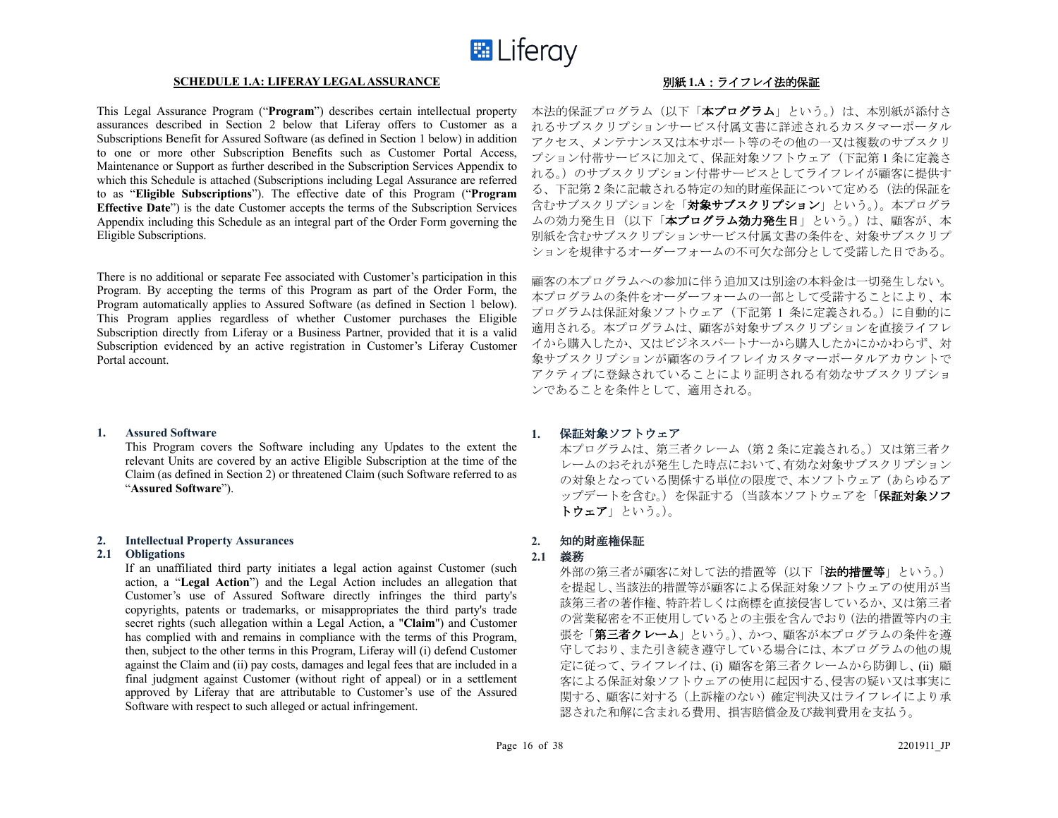

#### **SCHEDULE 1.A: LIFERAY LEGAL ASSURANCE** 別紙 **1.A**:ライフレイ法的保証

This Legal Assurance Program ("**Program**") describes certain intellectual property assurances described in Section 2 below that Liferay offers to Customer as a Subscriptions Benefit for Assured Software (as defined in Section 1 below) in addition to one or more other Subscription Benefits such as Customer Portal Access, Maintenance or Support as further described in the Subscription Services Appendix to which this Schedule is attached (Subscriptions including Legal Assurance are referred to as "**Eligible Subscriptions**"). The effective date of this Program ("**Program Effective Date**") is the date Customer accepts the terms of the Subscription Services Appendix including this Schedule as an integral part of the Order Form governing the Eligible Subscriptions.

There is no additional or separate Fee associated with Customer's participation in this Program. By accepting the terms of this Program as part of the Order Form, the Program automatically applies to Assured Software (as defined in Section 1 below). This Program applies regardless of whether Customer purchases the Eligible Subscription directly from Liferay or a Business Partner, provided that it is a valid Subscription evidenced by an active registration in Customer's Liferay Customer Portal account.

#### **1. Assured Software**

This Program covers the Software including any Updates to the extent the relevant Units are covered by an active Eligible Subscription at the time of the Claim (as defined in Section 2) or threatened Claim (such Software referred to as "**Assured Software**").

#### **2. Intellectual Property Assurances**

#### **2.1 Obligations**

If an unaffiliated third party initiates a legal action against Customer (such action, a "**Legal Action**") and the Legal Action includes an allegation that Customer's use of Assured Software directly infringes the third party's copyrights, patents or trademarks, or misappropriates the third party's trade secret rights (such allegation within a Legal Action, a "**Claim**") and Customer has complied with and remains in compliance with the terms of this Program, then, subject to the other terms in this Program, Liferay will (i) defend Customer against the Claim and (ii) pay costs, damages and legal fees that are included in a final judgment against Customer (without right of appeal) or in a settlement approved by Liferay that are attributable to Customer's use of the Assured Software with respect to such alleged or actual infringement.

本法的保証プログラム(以下「本プログラム」という。)は、本別紙が添付さ れるサブスクリプションサービス付属文書に詳述されるカスタマーポータル アクセス、メンテナンス又は本サポート等のその他の一又は複数のサブスクリ プション付帯サービスに加えて、保証対象ソフトウェア(下記第 1 条に定義さ れる。)のサブスクリプション付帯サービスとしてライフレイが顧客に提供す る、下記第 2 条に記載される特定の知的財産保証について定める(法的保証を 含むサブスクリプション」という。)。本プログラ ムの効力発生日(以下「本プログラム効力発生日」という。)は、顧客が、本 別紙を含むサブスクリプションサービス付属文書の条件を、対象サブスクリプ ションを規律するオーダーフォームの不可欠な部分として受諾した日である。

顧客の本プログラムへの参加に伴う追加又は別途の本料金は一切発生しない。 本プログラムの条件をオーダーフォームの一部として受諾することにより、本 プログラムは保証対象ソフトウェア(下記第 1 条に定義される。)に自動的に 適用される。本プログラムは、顧客が対象サブスクリプションを直接ライフレ イから購入したか、又はビジネスパートナーから購入したかにかかわらず、対 象サブスクリプションが顧客のライフレイカスタマーポータルアカウントで アクティブに登録されていることにより証明される有効なサブスクリプショ ンであることを条件として、適用される。

#### **1.** 保証対象ソフトウェア

本プログラムは、第三者クレーム(第 2 条に定義される。)又は第三者ク レームのおそれが発生した時点において、有効な対象サブスクリプション の対象となっている関係する単位の限度で、本ソフトウェア(あらゆるア ップデートを含む。)を保証する(当該本ソフトウェアを「保証対象ソフ トウェア」という。)。

#### **2.** 知的財産権保証

# **2.1** 義務

外部の第三者が顧客に対して法的措置等(以下「法的措置等」という。) を提起し、当該法的措置等が顧客による保証対象ソフトウェアの使用が当 該第三者の著作権、特許若しくは商標を直接侵害しているか、又は第三者 の営業秘密を不正使用しているとの主張を含んでおり(法的措置等内の主 張を「第三者クレーム」という。)、かつ、顧客が本プログラムの条件を導 守しており、また引き続き遵守している場合には、本プログラムの他の規 定に従って、ライフレイは、(i) 顧客を第三者クレームから防御し、(ii) 顧 客による保証対象ソフトウェアの使用に起因する、侵害の疑い又は事実に 関する、顧客に対する(上訴権のない)確定判決又はライフレイにより承 認された和解に含まれる費用、損害賠償金及び裁判費用を支払う。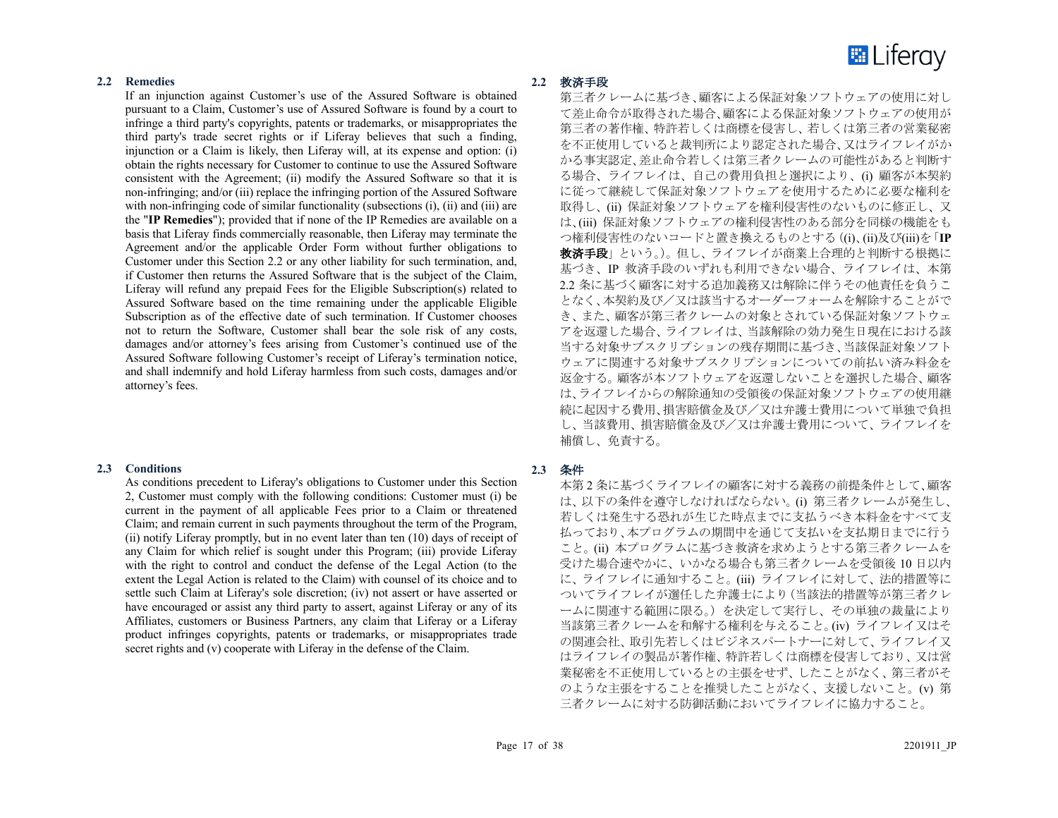

#### **2.2 Remedies**

If an injunction against Customer's use of the Assured Software is obtained pursuant to a Claim, Customer's use of Assured Software is found by a court to infringe a third party's copyrights, patents or trademarks, or misappropriates the third party's trade secret rights or if Liferay believes that such a finding, injunction or a Claim is likely, then Liferay will, at its expense and option: (i) obtain the rights necessary for Customer to continue to use the Assured Software consistent with the Agreement; (ii) modify the Assured Software so that it is non-infringing; and/or (iii) replace the infringing portion of the Assured Software with non-infringing code of similar functionality (subsections (i), (ii) and (iii) are the "**IP Remedies**"); provided that if none of the IP Remedies are available on a basis that Liferay finds commercially reasonable, then Liferay may terminate the Agreement and/or the applicable Order Form without further obligations to Customer under this Section 2.2 or any other liability for such termination, and, if Customer then returns the Assured Software that is the subject of the Claim, Liferay will refund any prepaid Fees for the Eligible Subscription(s) related to Assured Software based on the time remaining under the applicable Eligible Subscription as of the effective date of such termination. If Customer chooses not to return the Software, Customer shall bear the sole risk of any costs, damages and/or attorney's fees arising from Customer's continued use of the Assured Software following Customer's receipt of Liferay's termination notice, and shall indemnify and hold Liferay harmless from such costs, damages and/or attorney's fees.

#### **2.3 Conditions**

As conditions precedent to Liferay's obligations to Customer under this Section 2, Customer must comply with the following conditions: Customer must (i) be current in the payment of all applicable Fees prior to a Claim or threatened Claim; and remain current in such payments throughout the term of the Program, (ii) notify Liferay promptly, but in no event later than ten (10) days of receipt of any Claim for which relief is sought under this Program; (iii) provide Liferay with the right to control and conduct the defense of the Legal Action (to the extent the Legal Action is related to the Claim) with counsel of its choice and to settle such Claim at Liferay's sole discretion; (iv) not assert or have asserted or have encouraged or assist any third party to assert, against Liferay or any of its Affiliates, customers or Business Partners, any claim that Liferay or a Liferay product infringes copyrights, patents or trademarks, or misappropriates trade secret rights and (v) cooperate with Liferay in the defense of the Claim.

#### **2.2** 救済手段

第三者クレームに基づき、顧客による保証対象ソフトウェアの使用に対し て差止命令が取得された場合、顧客による保証対象ソフトウェアの使用が 第三者の著作権、特許若しくは商標を侵害し、若しくは第三者の営業秘密 を不正使用していると裁判所により認定された場合、又はライフレイがか かる事実認定、差止命令若しくは第三者クレームの可能性があると判断す る場合、ライフレイは、自己の費用負担と選択により、(i) 顧客が本契約 に従って継続して保証対象ソフトウェアを使用するために必要な権利を 取得し、(ii) 保証対象ソフトウェアを権利侵害性のないものに修正し、又 は、(iii) 保証対象ソフトウェアの権利侵害性のある部分を同様の機能をも つ権利侵害性のないコードと置き換えるものとする((i)、(ii)及び(iii)を「**IP** 救済手段」という。)。但し、ライフレイが商業上合理的と判断する根拠に 基づき、IP 救済手段のいずれも利用できない場合、ライフレイは、本第 2.2 条に基づく顧客に対する追加義務又は解除に伴うその他責任を負うこ となく、本契約及び/又は該当するオーダーフォームを解除することがで き、また、顧客が第三者クレームの対象とされている保証対象ソフトウェ アを返還した場合、ライフレイは、当該解除の効力発生日現在における該 当する対象サブスクリプションの残存期間に基づき、当該保証対象ソフト ウェアに関連する対象サブスクリプションについての前払い済み料金を 返金する。顧客が本ソフトウェアを返還しないことを選択した場合、顧客 は、ライフレイからの解除通知の受領後の保証対象ソフトウェアの使用継 続に起因する費用、損害賠償金及び/又は弁護士費用について単独で負担 し、当該費用、損害賠償金及び/又は弁護士費用について、ライフレイを 補償し、免責する。

#### **2.3** 条件

本第 2 条に基づくライフレイの顧客に対する義務の前提条件として、顧客 は、以下の条件を遵守しなければならない。(i) 第三者クレームが発生し、 若しくは発生する恐れが生じた時点までに支払うべき本料金をすべて支 払っており、本プログラムの期間中を通じて支払いを支払期日までに行う こと。(ii) 本プログラムに基づき救済を求めようとする第三者クレームを 受けた場合速やかに、いかなる場合も第三者クレームを受領後 10 日以内 に、ライフレイに通知すること。(iii) ライフレイに対して、法的措置等に ついてライフレイが選任した弁護士により(当該法的措置等が第三者クレ ームに関連する範囲に限る。)を決定して実行し、その単独の裁量により 当該第三者クレームを和解する権利を与えること。(iv) ライフレイ又はそ の関連会社、取引先若しくはビジネスパートナーに対して、ライフレイ又 はライフレイの製品が著作権、特許若しくは商標を侵害しており、又は営 業秘密を不正使用しているとの主張をせず、したことがなく、第三者がそ のような主張をすることを推奨したことがなく、支援しないこと。(v) 第 三者クレームに対する防御活動においてライフレイに協力すること。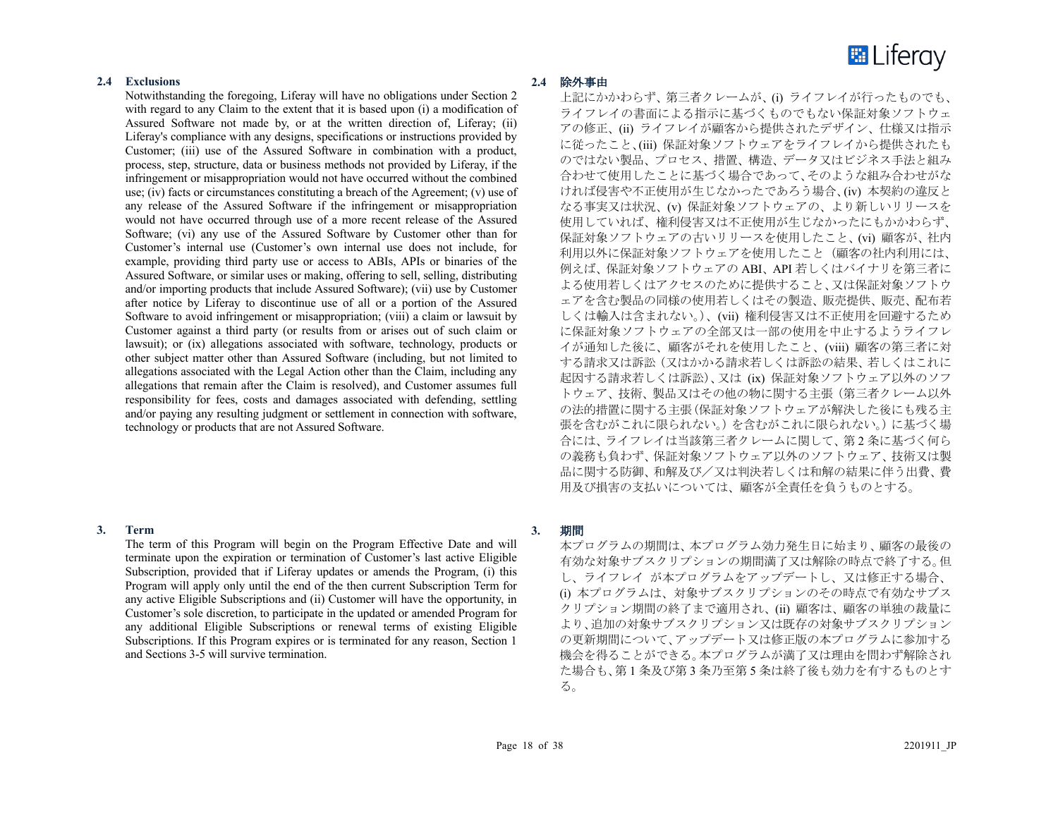

# **2.4 Exclusions**

Notwithstanding the foregoing, Liferay will have no obligations under Section 2 with regard to any Claim to the extent that it is based upon (i) a modification of Assured Software not made by, or at the written direction of, Liferay; (ii) Liferay's compliance with any designs, specifications or instructions provided by Customer; (iii) use of the Assured Software in combination with a product, process, step, structure, data or business methods not provided by Liferay, if the infringement or misappropriation would not have occurred without the combined use; (iv) facts or circumstances constituting a breach of the Agreement; (v) use of any release of the Assured Software if the infringement or misappropriation would not have occurred through use of a more recent release of the Assured Software; (vi) any use of the Assured Software by Customer other than for Customer's internal use (Customer's own internal use does not include, for example, providing third party use or access to ABIs, APIs or binaries of the Assured Software, or similar uses or making, offering to sell, selling, distributing and/or importing products that include Assured Software); (vii) use by Customer after notice by Liferay to discontinue use of all or a portion of the Assured Software to avoid infringement or misappropriation; (viii) a claim or lawsuit by Customer against a third party (or results from or arises out of such claim or lawsuit); or (ix) allegations associated with software, technology, products or other subject matter other than Assured Software (including, but not limited to allegations associated with the Legal Action other than the Claim, including any allegations that remain after the Claim is resolved), and Customer assumes full responsibility for fees, costs and damages associated with defending, settling and/or paying any resulting judgment or settlement in connection with software, technology or products that are not Assured Software.

#### **3. Term**

The term of this Program will begin on the Program Effective Date and will terminate upon the expiration or termination of Customer's last active Eligible Subscription, provided that if Liferay updates or amends the Program, (i) this Program will apply only until the end of the then current Subscription Term for any active Eligible Subscriptions and (ii) Customer will have the opportunity, in Customer's sole discretion, to participate in the updated or amended Program for any additional Eligible Subscriptions or renewal terms of existing Eligible Subscriptions. If this Program expires or is terminated for any reason, Section 1 and Sections 3-5 will survive termination.

# **2.4** 除外事由

上記にかかわらず、第三者クレームが、(i) ライフレイが行ったものでも、 ライフレイの書面による指示に基づくものでもない保証対象ソフトウェ アの修正、(ii) ライフレイが顧客から提供されたデザイン、仕様又は指示 に従ったこと、(iii) 保証対象ソフトウェアをライフレイから提供されたも のではない製品、プロセス、措置、構造、データ又はビジネス手法と組み 合わせて使用したことに基づく場合であって、そのような組み合わせがな ければ侵害や不正使用が生じなかったであろう場合、(iv) 本契約の違反と なる事実又は状況、(v) 保証対象ソフトウェアの、より新しいリリースを 使用していれば、権利侵害又は不正使用が生じなかったにもかかわらず、 保証対象ソフトウェアの古いリリースを使用したこと、(vi) 顧客が、社内 利用以外に保証対象ソフトウェアを使用したこと(顧客の社内利用には、 例えば、保証対象ソフトウェアの ABI、API 若しくはバイナリを第三者に よる使用若しくはアクセスのために提供すること、又は保証対象ソフトウ ェアを含む製品の同様の使用若しくはその製造、販売提供、販売、配布若 しくは輸入は含まれない。)、(vii) 権利侵害又は不正使用を回避するため に保証対象ソフトウェアの全部又は一部の使用を中止するようライフレ イが通知した後に、顧客がそれを使用したこと、(viii) 顧客の第三者に対 する請求又は訴訟(又はかかる請求若しくは訴訟の結果、若しくはこれに 起因する請求若しくは訴訟)、又は (ix) 保証対象ソフトウェア以外のソフ トウェア、技術、製品又はその他の物に関する主張(第三者クレーム以外 の法的措置に関する主張(保証対象ソフトウェアが解決した後にも残る主 張を含むがこれに限られない。)を含むがこれに限られない。)に基づく場 合には、ライフレイは当該第三者クレームに関して、第 2 条に基づく何ら の義務も負わず、保証対象ソフトウェア以外のソフトウェア、技術又は製 品に関する防御、和解及び/又は判決若しくは和解の結果に伴う出費、費 用及び損害の支払いについては、顧客が全責任を負うものとする。

#### **3.** 期間

本プログラムの期間は、本プログラム効力発生日に始まり、顧客の最後の 有効な対象サブスクリプションの期間満了又は解除の時点で終了する。但 し、ライフレイ が本プログラムをアップデートし、又は修正する場合、 (i) 本プログラムは、対象サブスクリプションのその時点で有効なサブス クリプション期間の終了まで適用され、(ii) 顧客は、顧客の単独の裁量に より、追加の対象サブスクリプション又は既存の対象サブスクリプション の更新期間について、アップデート又は修正版の本プログラムに参加する 機会を得ることができる。本プログラムが満了又は理由を問わず解除され た場合も、第 1 条及び第 3 条乃至第 5 条は終了後も効力を有するものとす る。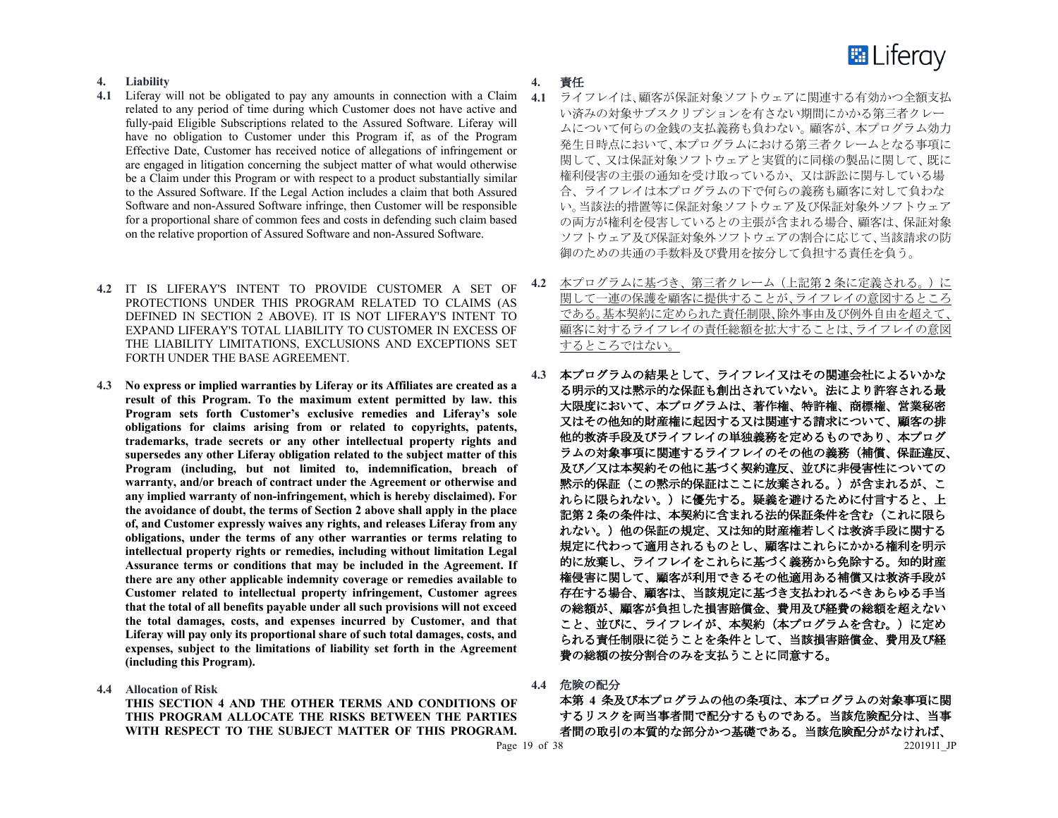

# **4. Liability**

- **4.1** Liferay will not be obligated to pay any amounts in connection with a Claim related to any period of time during which Customer does not have active and fully-paid Eligible Subscriptions related to the Assured Software. Liferay will have no obligation to Customer under this Program if, as of the Program Effective Date, Customer has received notice of allegations of infringement or are engaged in litigation concerning the subject matter of what would otherwise be a Claim under this Program or with respect to a product substantially similar to the Assured Software. If the Legal Action includes a claim that both Assured Software and non-Assured Software infringe, then Customer will be responsible for a proportional share of common fees and costs in defending such claim based on the relative proportion of Assured Software and non-Assured Software.
- **4.2** IT IS LIFERAY'S INTENT TO PROVIDE CUSTOMER A SET OF PROTECTIONS UNDER THIS PROGRAM RELATED TO CLAIMS (AS DEFINED IN SECTION 2 ABOVE). IT IS NOT LIFERAY'S INTENT TO EXPAND LIFERAY'S TOTAL LIABILITY TO CUSTOMER IN EXCESS OF THE LIABILITY LIMITATIONS, EXCLUSIONS AND EXCEPTIONS SET FORTH UNDER THE BASE AGREEMENT.
- **4.3 No express or implied warranties by Liferay or its Affiliates are created as a result of this Program. To the maximum extent permitted by law. this Program sets forth Customer's exclusive remedies and Liferay's sole obligations for claims arising from or related to copyrights, patents, trademarks, trade secrets or any other intellectual property rights and supersedes any other Liferay obligation related to the subject matter of this Program (including, but not limited to, indemnification, breach of warranty, and/or breach of contract under the Agreement or otherwise and any implied warranty of non-infringement, which is hereby disclaimed). For the avoidance of doubt, the terms of Section 2 above shall apply in the place of, and Customer expressly waives any rights, and releases Liferay from any obligations, under the terms of any other warranties or terms relating to intellectual property rights or remedies, including without limitation Legal Assurance terms or conditions that may be included in the Agreement. If there are any other applicable indemnity coverage or remedies available to Customer related to intellectual property infringement, Customer agrees that the total of all benefits payable under all such provisions will not exceed the total damages, costs, and expenses incurred by Customer, and that Liferay will pay only its proportional share of such total damages, costs, and expenses, subject to the limitations of liability set forth in the Agreement (including this Program).**
- **4.4 Allocation of Risk**

**THIS SECTION 4 AND THE OTHER TERMS AND CONDITIONS OF THIS PROGRAM ALLOCATE THE RISKS BETWEEN THE PARTIES WITH RESPECT TO THE SUBJECT MATTER OF THIS PROGRAM.** 

- **4.** 責任
- **4.1** ライフレイは、顧客が保証対象ソフトウェアに関連する有効かつ全額支払 い済みの対象サブスクリプションを有さない期間にかかる第三者クレー ムについて何らの金銭の支払義務も負わない。顧客が、本プログラム効力 発生日時点において、本プログラムにおける第三者クレームとなる事項に 関して、又は保証対象ソフトウェアと実質的に同様の製品に関して、既に 権利侵害の主張の通知を受け取っているか、又は訴訟に関与している場 合、ライフレイは本プログラムの下で何らの義務も顧客に対して負わな い。当該法的措置等に保証対象ソフトウェア及び保証対象外ソフトウェア の両方が権利を侵害しているとの主張が含まれる場合、顧客は、保証対象 ソフトウェア及び保証対象外ソフトウェアの割合に応じて、当該請求の防 御のための共通の手数料及び費用を按分して負担する責任を負う。
- **4.2** 本プログラムに基づき、第三者クレーム(上記第 2 条に定義される。)に 関して一連の保護を顧客に提供することが、ライフレイの意図するところ である。基本契約に定められた責任制限、除外事由及び例外自由を超えて、 顧客に対するライフレイの責任総額を拡大することは、ライフレイの意図 するところではない。
- **4.3** 本プログラムの結果として、ライフレイ又はその関連会社によるいかな る明示的又は黙示的な保証も創出されていない。法により許容される最 大限度において、本プログラムは、著作権、特許権、商標権、営業秘密 又はその他知的財産権に起因する又は関連する請求について、顧客の排 他的救済手段及びライフレイの単独義務を定めるものであり、本プログ ラムの対象事項に関連するライフレイのその他の義務(補償、保証違反、 及び/又は本契約その他に基づく契約違反、並びに非侵害性についての 黙示的保証(この黙示的保証はここに放棄される。)が含まれるが、こ れらに限られない。)に優先する。疑義を避けるために付言すると、上 記第 **2** 条の条件は、本契約に含まれる法的保証条件を含む(これに限ら れない。)他の保証の規定、又は知的財産権若しくは救済手段に関する 規定に代わって適用されるものとし、顧客はこれらにかかる権利を明示 的に放棄し、ライフレイをこれらに基づく義務から免除する。知的財産 権侵害に関して、顧客が利用できるその他適用ある補償又は救済手段が 存在する場合、顧客は、当該規定に基づき支払われるべきあらゆる手当 の総額が、顧客が負担した損害賠償金、費用及び経費の総額を超えない こと、並びに、ライフレイが、本契約(本プログラムを含む。)に定め られる責任制限に従うことを条件として、当該損害賠償金、費用及び経 費の総額の按分割合のみを支払うことに同意する。
- **4.4** 危険の配分

Page 19 of 38 2201911 JP 本第 **4** 条及び本プログラムの他の条項は、本プログラムの対象事項に関 するリスクを両当事者間で配分するものである。当該危険配分は、当事 者間の取引の本質的な部分かつ基礎である。当該危険配分がなければ、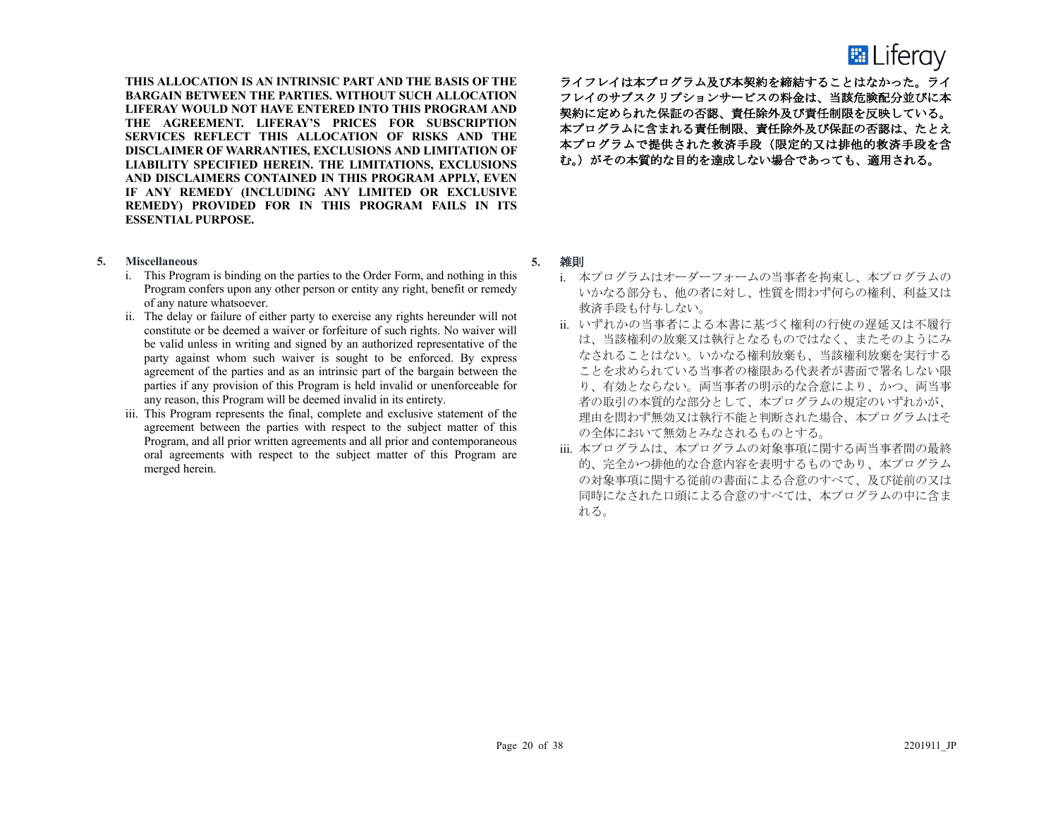# **E** Liferay

**THIS ALLOCATION IS AN INTRINSIC PART AND THE BASIS OF THE BARGAIN BETWEEN THE PARTIES. WITHOUT SUCH ALLOCATION LIFERAY WOULD NOT HAVE ENTERED INTO THIS PROGRAM AND THE AGREEMENT. LIFERAY'S PRICES FOR SUBSCRIPTION SERVICES REFLECT THIS ALLOCATION OF RISKS AND THE DISCLAIMER OF WARRANTIES, EXCLUSIONS AND LIMITATION OF LIABILITY SPECIFIED HEREIN. THE LIMITATIONS, EXCLUSIONS AND DISCLAIMERS CONTAINED IN THIS PROGRAM APPLY, EVEN IF ANY REMEDY (INCLUDING ANY LIMITED OR EXCLUSIVE REMEDY) PROVIDED FOR IN THIS PROGRAM FAILS IN ITS ESSENTIAL PURPOSE.**

- **5. Miscellaneous**
	- i. This Program is binding on the parties to the Order Form, and nothing in this Program confers upon any other person or entity any right, benefit or remedy of any nature whatsoever.
	- ii. The delay or failure of either party to exercise any rights hereunder will not constitute or be deemed a waiver or forfeiture of such rights. No waiver will be valid unless in writing and signed by an authorized representative of the party against whom such waiver is sought to be enforced. By express agreement of the parties and as an intrinsic part of the bargain between the parties if any provision of this Program is held invalid or unenforceable for any reason, this Program will be deemed invalid in its entirety.
	- iii. This Program represents the final, complete and exclusive statement of the agreement between the parties with respect to the subject matter of this Program, and all prior written agreements and all prior and contemporaneous oral agreements with respect to the subject matter of this Program are merged herein.

ライフレイは本プログラム及び本契約を締結することはなかった。ライ フレイのサブスクリプションサービスの料金は、当該危険配分並びに本 契約に定められた保証の否認、責任除外及び責任制限を反映している。 本プログラムに含まれる責任制限、責任除外及び保証の否認は、たとえ 本プログラムで提供された救済手段(限定的又は排他的救済手段を含 む。)がその本質的な目的を達成しない場合であっても、適用される。

# **5.** 雑則

- i. 本プログラムはオーダーフォームの当事者を拘束し、本プログラムの いかなる部分も、他の者に対し、性質を問わず何らの権利、利益又は 救済手段も付与しない。
- ii. いずれかの当事者による本書に基づく権利の行使の遅延又は不履行 は、当該権利の放棄又は執行となるものではなく、またそのようにみ なされることはない。いかなる権利放棄も、当該権利放棄を実行する ことを求められている当事者の権限ある代表者が書面で署名しない限 り、有効とならない。両当事者の明示的な合意により、かつ、両当事 者の取引の本質的な部分として、本プログラムの規定のいずれかが、 理由を問わず無効又は執行不能と判断された場合、本プログラムはそ の全体において無効とみなされるものとする。
- iii. 本プログラムは、本プログラムの対象事項に関する両当事者間の最終 的、完全かつ排他的な合意内容を表明するものであり、本プログラム の対象事項に関する従前の書面による合意のすべて、及び従前の又は 同時になされた口頭による合意のすべては、本プログラムの中に含ま れる。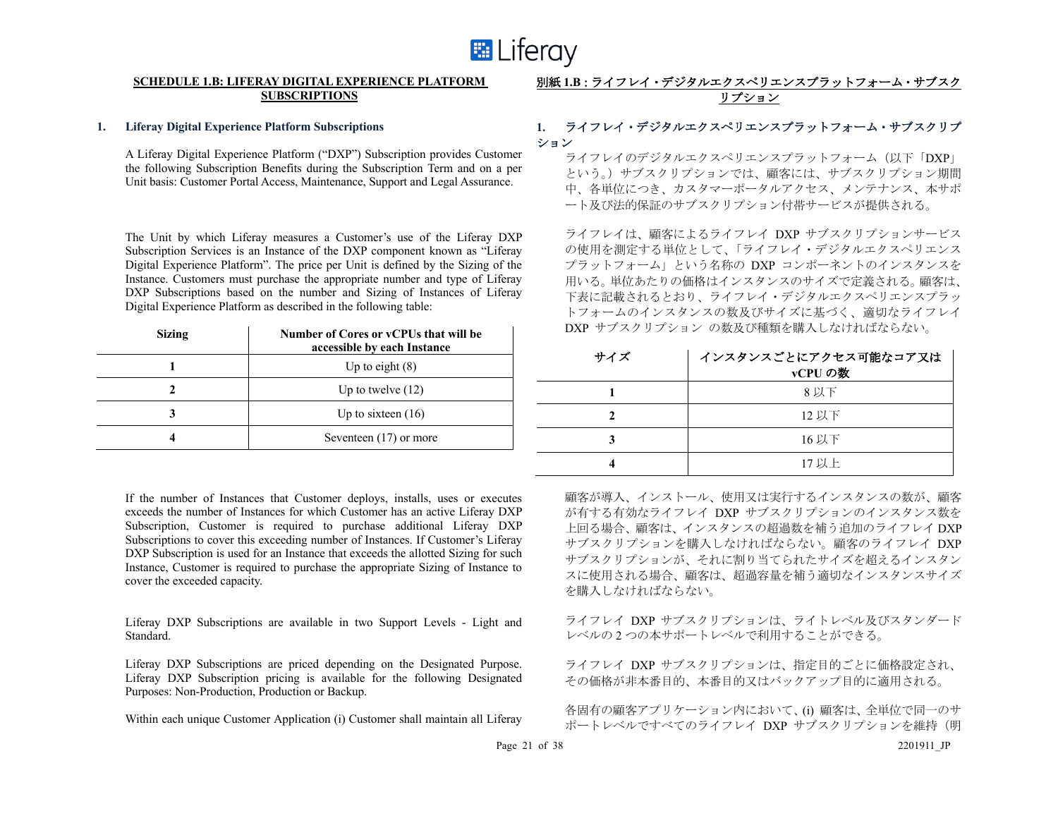

#### **SCHEDULE 1.B: LIFERAY DIGITAL EXPERIENCE PLATFORM SUBSCRIPTIONS**

#### **1. Liferay Digital Experience Platform Subscriptions**

A Liferay Digital Experience Platform ("DXP") Subscription provides Customer the following Subscription Benefits during the Subscription Term and on a per Unit basis: Customer Portal Access, Maintenance, Support and Legal Assurance.

The Unit by which Liferay measures a Customer's use of the Liferay DXP Subscription Services is an Instance of the DXP component known as "Liferay Digital Experience Platform". The price per Unit is defined by the Sizing of the Instance. Customers must purchase the appropriate number and type of Liferay DXP Subscriptions based on the number and Sizing of Instances of Liferay Digital Experience Platform as described in the following table:

| <b>Sizing</b> | Number of Cores or yCPUs that will be<br>accessible by each Instance |
|---------------|----------------------------------------------------------------------|
|               | Up to eight $(8)$                                                    |
|               | Up to twelve $(12)$                                                  |
|               | Up to sixteen $(16)$                                                 |
|               | Seventeen $(17)$ or more                                             |

If the number of Instances that Customer deploys, installs, uses or executes exceeds the number of Instances for which Customer has an active Liferay DXP Subscription, Customer is required to purchase additional Liferay DXP Subscriptions to cover this exceeding number of Instances. If Customer's Liferay DXP Subscription is used for an Instance that exceeds the allotted Sizing for such Instance, Customer is required to purchase the appropriate Sizing of Instance to cover the exceeded capacity.

Liferay DXP Subscriptions are available in two Support Levels - Light and Standard.

Liferay DXP Subscriptions are priced depending on the Designated Purpose. Liferay DXP Subscription pricing is available for the following Designated Purposes: Non-Production, Production or Backup.

Within each unique Customer Application (i) Customer shall maintain all Liferay

# 別紙 **1.B**:ライフレイ・デジタルエクスペリエンスプラットフォーム・サブスク リプション

# **1.** ライフレイ・デジタルエクスペリエンスプラットフォーム・サブスクリプ ション

ライフレイのデジタルエクスペリエンスプラットフォーム(以下「DXP」 という。)サブスクリプションでは、顧客には、サブスクリプション期間 中、各単位につき、カスタマーポータルアクセス、メンテナンス、本サポ ート及び法的保証のサブスクリプション付帯サービスが提供される。

ライフレイは、顧客によるライフレイ DXP サブスクリプションサービス の使用を測定する単位として、「ライフレイ・デジタルエクスペリエンス プラットフォーム」という名称の DXP コンポーネントのインスタンスを 用いる。単位あたりの価格はインスタンスのサイズで定義される。顧客は、 下表に記載されるとおり、ライフレイ・デジタルエクスペリエンスプラッ トフォームのインスタンスの数及びサイズに基づく、適切なライフレイ DXP サブスクリプション の数及び種類を購入しなければならない。

| サイズ | インスタンスごとにアクセス可能なコア又は<br>vCPUの数 |
|-----|--------------------------------|
|     | 8 以下                           |
|     | 12 以下                          |
|     | 16 以下                          |
|     | 17 以上                          |

顧客が導入、インストール、使用又は実行するインスタンスの数が、顧客 が有する有効なライフレイ DXP サブスクリプションのインスタンス数を 上回る場合、顧客は、インスタンスの超過数を補う追加のライフレイ DXP サブスクリプションを購入しなければならない。顧客のライフレイ DXP サブスクリプションが、それに割り当てられたサイズを超えるインスタン スに使用される場合、顧客は、超過容量を補う適切なインスタンスサイズ を購入しなければならない。

ライフレイ DXP サブスクリプションは、ライトレベル及びスタンダード レベルの 2 つの本サポートレベルで利用することができる。

ライフレイ DXP サブスクリプションは、指定目的ごとに価格設定され、 その価格が非本番目的、本番目的又はバックアップ目的に適用される。

各固有の顧客アプリケーション内において、(i) 顧客は、全単位で同一のサ ポートレベルですべてのライフレイ DXP サブスクリプションを維持(明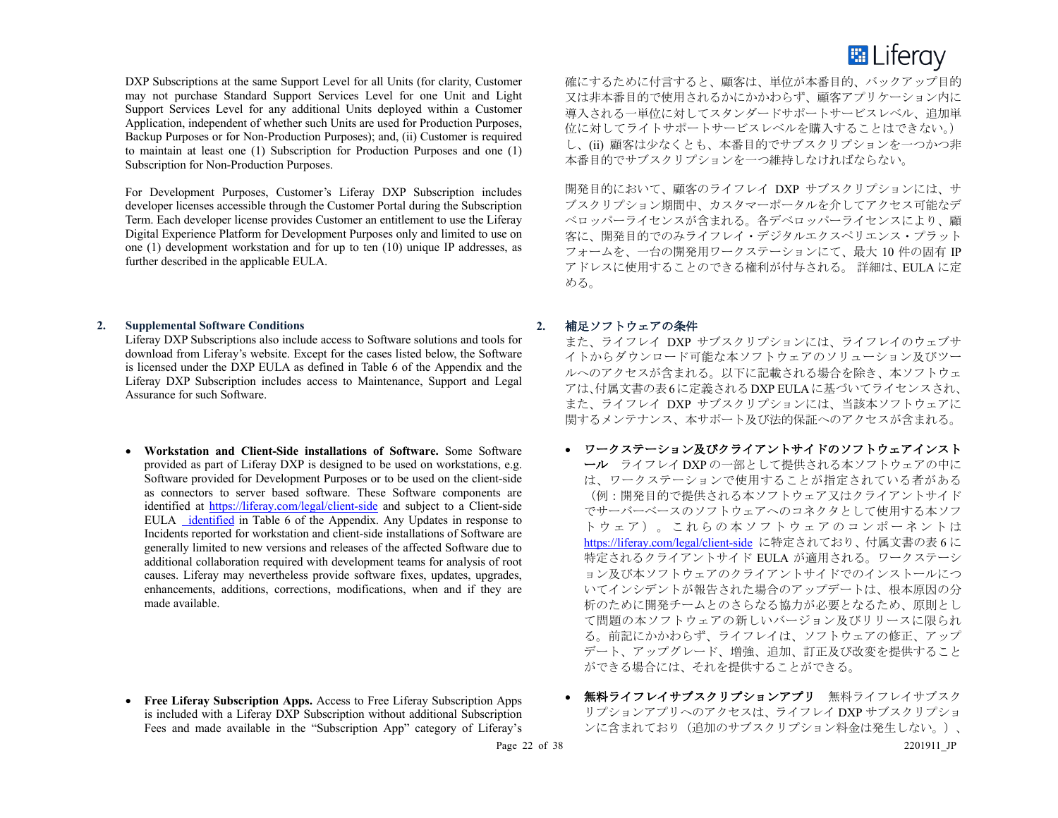

DXP Subscriptions at the same Support Level for all Units (for clarity, Customer may not purchase Standard Support Services Level for one Unit and Light Support Services Level for any additional Units deployed within a Customer Application, independent of whether such Units are used for Production Purposes, Backup Purposes or for Non-Production Purposes); and, (ii) Customer is required to maintain at least one (1) Subscription for Production Purposes and one (1) Subscription for Non-Production Purposes.

For Development Purposes, Customer's Liferay DXP Subscription includes developer licenses accessible through the Customer Portal during the Subscription Term. Each developer license provides Customer an entitlement to use the Liferay Digital Experience Platform for Development Purposes only and limited to use on one (1) development workstation and for up to ten (10) unique IP addresses, as further described in the applicable EULA.

#### **2. Supplemental Software Conditions**

Liferay DXP Subscriptions also include access to Software solutions and tools for download from Liferay's website. Except for the cases listed below, the Software is licensed under the DXP EULA as defined in Table 6 of the Appendix and the Liferay DXP Subscription includes access to Maintenance, Support and Legal Assurance for such Software.

• **Workstation and Client-Side installations of Software.** Some Software provided as part of Liferay DXP is designed to be used on workstations, e.g. Software provided for Development Purposes or to be used on the client-side as connectors to server based software. These Software components are identified at https://liferay.com/legal/client-side and subject to a Client-side EULA identified in Table 6 of the Appendix. Any Updates in response to Incidents reported for workstation and client-side installations of Software are generally limited to new versions and releases of the affected Software due to additional collaboration required with development teams for analysis of root causes. Liferay may nevertheless provide software fixes, updates, upgrades, enhancements, additions, corrections, modifications, when and if they are made available.

• **Free Liferay Subscription Apps.** Access to Free Liferay Subscription Apps is included with a Liferay DXP Subscription without additional Subscription Fees and made available in the "Subscription App" category of Liferay's 確にするために付言すると、顧客は、単位が本番目的、バックアップ目的 又は非本番目的で使用されるかにかかわらず、顧客アプリケーション内に 導入される一単位に対してスタンダードサポートサービスレベル、追加単 位に対してライトサポートサービスレベルを購入することはできない。) し、(ii) 顧客は少なくとも、本番目的でサブスクリプションを一つかつ非 本番目的でサブスクリプションを一つ維持しなければならない。

開発目的において、顧客のライフレイ DXP サブスクリプションには、サ ブスクリプション期間中、カスタマーポータルを介してアクセス可能なデ ベロッパーライセンスが含まれる。各デベロッパーライセンスにより、顧 客に、開発目的でのみライフレイ・デジタルエクスペリエンス・プラット フォームを、一台の開発用ワークステーションにて、最大 10 件の固有 IP アドレスに使用することのできる権利が付与される。 詳細は、EULA に定 める。

#### **2.** 補足ソフトウェアの条件

また、ライフレイ DXP サブスクリプションには、ライフレイのウェブサ イトからダウンロード可能な本ソフトウェアのソリューション及びツー ルへのアクセスが含まれる。以下に記載される場合を除き、本ソフトウェ アは、付属文書の表6に定義されるDXP EULAに基づいてライセンスされ、 また、ライフレイ DXP サブスクリプションには、当該本ソフトウェアに 関するメンテナンス、本サポート及び法的保証へのアクセスが含まれる。

- ワークステーション及びクライアントサイドのソフトウェアインスト ール ライフレイ DXP の一部として提供される本ソフトウェアの中に は、ワークステーションで使用することが指定されている者がある (例:開発目的で提供される本ソフトウェア又はクライアントサイド でサーバーベースのソフトウェアへのコネクタとして使用する本ソフ トウェア)。これらの 本ソフトウェア のコンポーネントは https://liferay.com/legal/client-side に特定されており、付属文書の表 6 に 特定されるクライアントサイド EULA が適用される。ワークステーシ ョン及び本ソフトウェアのクライアントサイドでのインストールにつ いてインシデントが報告された場合のアップデートは、根本原因の分 析のために開発チームとのさらなる協力が必要となるため、原則とし て問題の本ソフトウェアの新しいバージョン及びリリースに限られ る。前記にかかわらず、ライフレイは、ソフトウェアの修正、アップ デート、アップグレード、増強、追加、訂正及び改変を提供すること ができる場合には、それを提供することができる。
- 無料ライフレイサブスクリプションアプリ 無料ライフレイサブスク リプションアプリへのアクセスは、ライフレイ DXP サブスクリプショ ンに含まれており(追加のサブスクリプション料金は発生しない。)、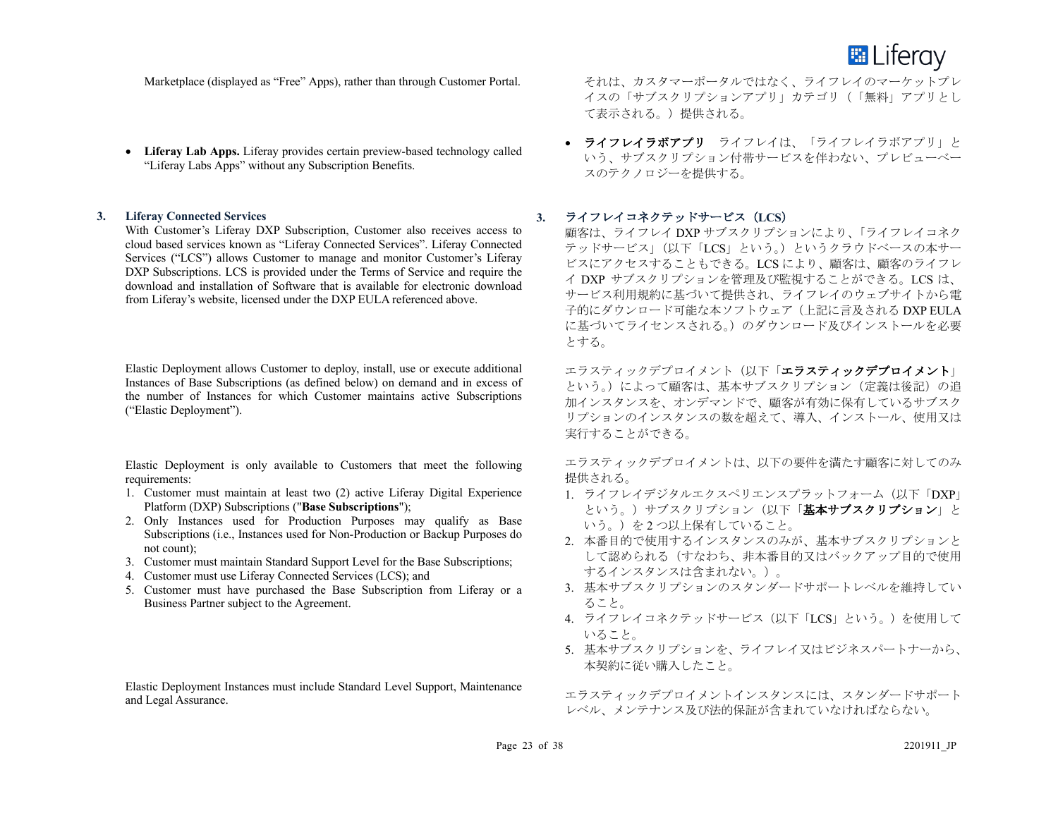

Marketplace (displayed as "Free" Apps), rather than through Customer Portal.

• **Liferay Lab Apps.** Liferay provides certain preview-based technology called "Liferay Labs Apps" without any Subscription Benefits.

#### **3. Liferay Connected Services**

With Customer's Liferay DXP Subscription, Customer also receives access to cloud based services known as "Liferay Connected Services". Liferay Connected Services ("LCS") allows Customer to manage and monitor Customer's Liferay DXP Subscriptions. LCS is provided under the Terms of Service and require the download and installation of Software that is available for electronic download from Liferay's website, licensed under the DXP EULA referenced above.

Elastic Deployment allows Customer to deploy, install, use or execute additional Instances of Base Subscriptions (as defined below) on demand and in excess of the number of Instances for which Customer maintains active Subscriptions ("Elastic Deployment").

Elastic Deployment is only available to Customers that meet the following requirements:

- 1. Customer must maintain at least two (2) active Liferay Digital Experience Platform (DXP) Subscriptions ("**Base Subscriptions**");
- 2. Only Instances used for Production Purposes may qualify as Base Subscriptions (i.e., Instances used for Non-Production or Backup Purposes do not count);
- 3. Customer must maintain Standard Support Level for the Base Subscriptions;
- 4. Customer must use Liferay Connected Services (LCS); and
- 5. Customer must have purchased the Base Subscription from Liferay or a Business Partner subject to the Agreement.

Elastic Deployment Instances must include Standard Level Support, Maintenance and Legal Assurance.

それは、カスタマーポータルではなく、ライフレイのマーケットプレ イスの「サブスクリプションアプリ」カテゴリ(「無料」アプリとし て表示される。)提供される。

• ライフレイラボアプリ ライフレイは、「ライフレイラボアプリ」と いう、サブスクリプション付帯サービスを伴わない、プレビューベー スのテクノロジーを提供する。

# **3.** ライフレイコネクテッドサービス(**LCS**)

顧客は、ライフレイ DXP サブスクリプションにより、「ライフレイコネク テッドサービス」(以下「LCS」という。)というクラウドベースの本サー ビスにアクセスすることもできる。LCS により、顧客は、顧客のライフレ イ DXP サブスクリプションを管理及び監視することができる。LCS は、 サービス利用規約に基づいて提供され、ライフレイのウェブサイトから電 子的にダウンロード可能な本ソフトウェア(上記に言及される DXP EULA に基づいてライセンスされる。)のダウンロード及びインストールを必要 とする。

エラスティックデプロイメント(以下「エラスティックデプロイメント」 という。)によって顧客は、基本サブスクリプション(定義は後記)の追 加インスタンスを、オンデマンドで、顧客が有効に保有しているサブスク リプションのインスタンスの数を超えて、導入、インストール、使用又は 実行することができる。

エラスティックデプロイメントは、以下の要件を満たす顧客に対してのみ 提供される。

- 1. ライフレイデジタルエクスペリエンスプラットフォーム (以下「DXP」 という。)サブスクリプション(以下「基本サブスクリプション」と いう。)を2つ以上保有していること。
- 2. 本番目的で使用するインスタンスのみが、基本サブスクリプションと して認められる(すなわち、非本番目的又はバックアップ目的で使用 するインスタンスは含まれない。)。
- 3. 基本サブスクリプションのスタンダードサポートレベルを維持してい ること。
- 4. ライフレイコネクテッドサービス(以下「LCS」という。)を使用して いること。
- 5. 基本サブスクリプションを、ライフレイ又はビジネスパートナーから、 本契約に従い購入したこと。

エラスティックデプロイメントインスタンスには、スタンダードサポート レベル、メンテナンス及び法的保証が含まれていなければならない。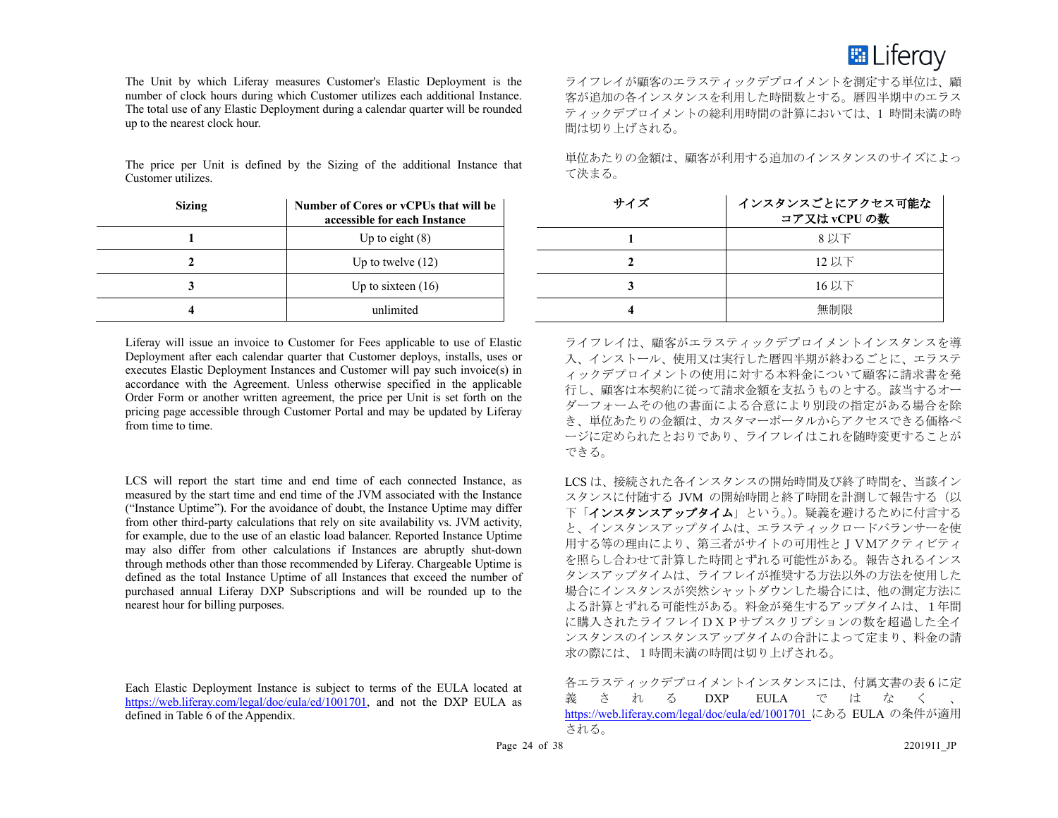

The Unit by which Liferay measures Customer's Elastic Deployment is the number of clock hours during which Customer utilizes each additional Instance. The total use of any Elastic Deployment during a calendar quarter will be rounded up to the nearest clock hour.

The price per Unit is defined by the Sizing of the additional Instance that Customer utilizes.

| <b>Sizing</b> | Number of Cores or vCPUs that will be<br>accessible for each Instance |
|---------------|-----------------------------------------------------------------------|
|               | Up to eight $(8)$                                                     |
|               | Up to twelve $(12)$                                                   |
|               | Up to sixteen $(16)$                                                  |
|               | unlimited                                                             |

Liferay will issue an invoice to Customer for Fees applicable to use of Elastic Deployment after each calendar quarter that Customer deploys, installs, uses or executes Elastic Deployment Instances and Customer will pay such invoice(s) in accordance with the Agreement. Unless otherwise specified in the applicable Order Form or another written agreement, the price per Unit is set forth on the pricing page accessible through Customer Portal and may be updated by Liferay from time to time.

LCS will report the start time and end time of each connected Instance, as measured by the start time and end time of the JVM associated with the Instance ("Instance Uptime"). For the avoidance of doubt, the Instance Uptime may differ from other third-party calculations that rely on site availability vs. JVM activity, for example, due to the use of an elastic load balancer. Reported Instance Uptime may also differ from other calculations if Instances are abruptly shut-down through methods other than those recommended by Liferay. Chargeable Uptime is defined as the total Instance Uptime of all Instances that exceed the number of purchased annual Liferay DXP Subscriptions and will be rounded up to the nearest hour for billing purposes.

Each Elastic Deployment Instance is subject to terms of the EULA located at https://web.liferay.com/legal/doc/eula/ed/1001701, and not the DXP EULA as defined in Table 6 of the Appendix.

ライフレイが顧客のエラスティックデプロイメントを測定する単位は、顧 客が追加の各インスタンスを利用した時間数とする。暦四半期中のエラス ティックデプロイメントの総利用時間の計算においては、1 時間未満の時 間は切り上げされる。

単位あたりの金額は、顧客が利用する追加のインスタンスのサイズによっ て決まる。

| サイズ | インスタンスごとにアクセス可能な<br>コア又はvCPUの数 |
|-----|--------------------------------|
|     | 8 以下                           |
|     | 12 以下                          |
| 3   | 16 以下                          |
|     | 無制限                            |

ライフレイは、顧客がエラスティックデプロイメントインスタンスを導 入、インストール、使用又は実行した暦四半期が終わるごとに、エラステ ィックデプロイメントの使用に対する本料金について顧客に請求書を発 行し、顧客は本契約に従って請求金額を支払うものとする。該当するオー ダーフォームその他の書面による合意により別段の指定がある場合を除 き、単位あたりの金額は、カスタマーポータルからアクセスできる価格ペ ージに定められたとおりであり、ライフレイはこれを随時変更することが できる。

LCS は、接続された各インスタンスの開始時間及び終了時間を、当該イン スタンスに付随する JVM の開始時間と終了時間を計測して報告する(以 下「インスタンスアップタイム」という。)。疑義を避けるために付言する と、インスタンスアップタイムは、エラスティックロードバランサーを使 用する等の理由により、第三者がサイトの可用性とJVMアクティビティ を照らし合わせて計算した時間とずれる可能性がある。報告されるインス タンスアップタイムは、ライフレイが推奨する方法以外の方法を使用した 場合にインスタンスが突然シャットダウンした場合には、他の測定方法に よる計算とずれる可能性がある。料金が発生するアップタイムは、1年間 に購入されたライフレイDXPサブスクリプションの数を超過した全イ ンスタンスのインスタンスアップタイムの合計によって定まり、料金の請 求の際には、1時間未満の時間は切り上げされる。

各エラスティックデプロイメントインスタンスには、付属文書の表 6 に定 義される DXP EULA ではなく https://web.liferay.com/legal/doc/eula/ed/1001701 にある EULA の条件が適用 される。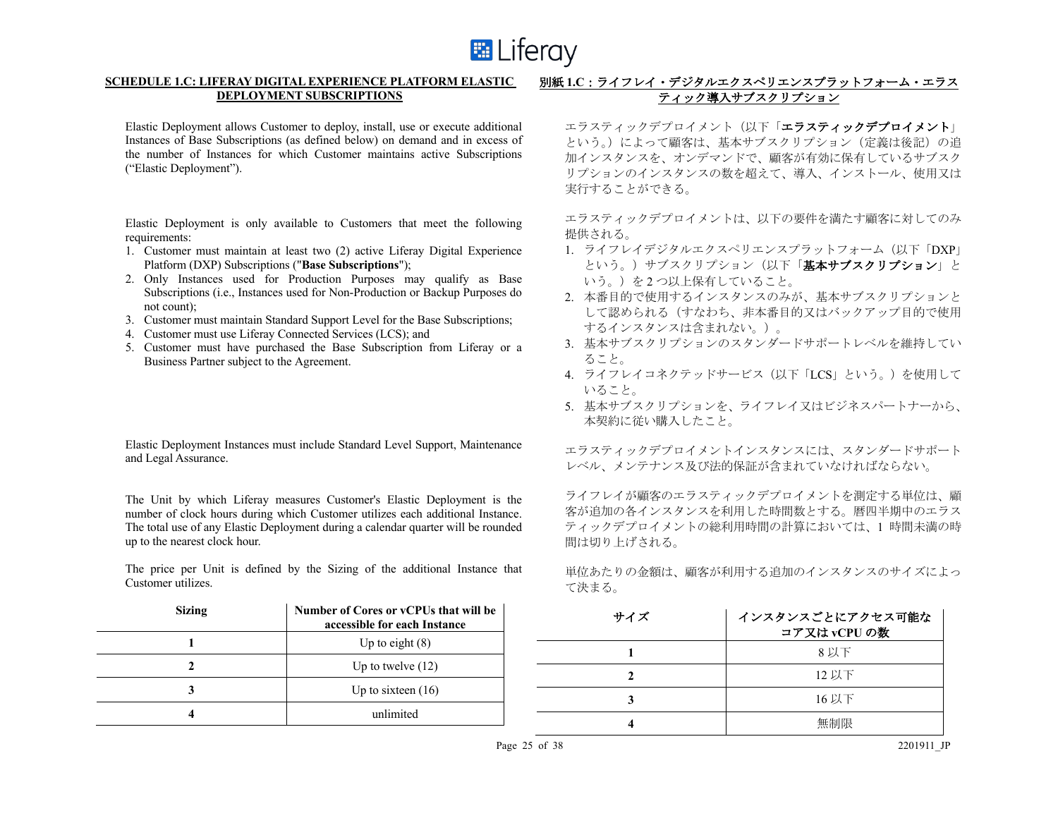

# **SCHEDULE 1.C: LIFERAY DIGITAL EXPERIENCE PLATFORM ELASTIC DEPLOYMENT SUBSCRIPTIONS**

Elastic Deployment allows Customer to deploy, install, use or execute additional Instances of Base Subscriptions (as defined below) on demand and in excess of the number of Instances for which Customer maintains active Subscriptions ("Elastic Deployment").

Elastic Deployment is only available to Customers that meet the following requirements:

- 1. Customer must maintain at least two (2) active Liferay Digital Experience Platform (DXP) Subscriptions ("**Base Subscriptions**");
- 2. Only Instances used for Production Purposes may qualify as Base Subscriptions (i.e., Instances used for Non-Production or Backup Purposes do not count);
- 3. Customer must maintain Standard Support Level for the Base Subscriptions;
- 4. Customer must use Liferay Connected Services (LCS); and
- 5. Customer must have purchased the Base Subscription from Liferay or a Business Partner subject to the Agreement.

Elastic Deployment Instances must include Standard Level Support, Maintenance and Legal Assurance.

The Unit by which Liferay measures Customer's Elastic Deployment is the number of clock hours during which Customer utilizes each additional Instance. The total use of any Elastic Deployment during a calendar quarter will be rounded up to the nearest clock hour.

The price per Unit is defined by the Sizing of the additional Instance that Customer utilizes.

| <b>Sizing</b> | Number of Cores or vCPUs that will be<br>accessible for each Instance |
|---------------|-----------------------------------------------------------------------|
|               | Up to eight $(8)$                                                     |
|               | Up to twelve $(12)$                                                   |
|               | Up to sixteen $(16)$                                                  |
|               | unlimited                                                             |

# 別紙 **1.C**:ライフレイ・デジタルエクスペリエンスプラットフォーム・エラス ティック導入サブスクリプション

エラスティックデプロイメント(以下「エラスティックデプロイメント」 という。)によって顧客は、基本サブスクリプション(定義は後記)の追 加インスタンスを、オンデマンドで、顧客が有効に保有しているサブスク リプションのインスタンスの数を超えて、導入、インストール、使用又は 実行することができる。

エラスティックデプロイメントは、以下の要件を満たす顧客に対してのみ 提供される。

- 1. ライフレイデジタルエクスペリエンスプラットフォーム (以下「DXP」 という。)サブスクリプション(以下「基本サブスクリプション」と いう。)を2つ以上保有していること。
- 2. 本番目的で使用するインスタンスのみが、基本サブスクリプションと して認められる(すなわち、非本番目的又はバックアップ目的で使用 するインスタンスは含まれない。)。
- 3. 基本サブスクリプションのスタンダードサポートレベルを維持してい ること。
- 4. ライフレイコネクテッドサービス(以下「LCS」という。)を使用して いること。
- 5. 基本サブスクリプションを、ライフレイ又はビジネスパートナーから、 本契約に従い購入したこと。

エラスティックデプロイメントインスタンスには、スタンダードサポート レベル、メンテナンス及び法的保証が含まれていなければならない。

ライフレイが顧客のエラスティックデプロイメントを測定する単位は、顧 客が追加の各インスタンスを利用した時間数とする。暦四半期中のエラス ティックデプロイメントの総利用時間の計算においては、1 時間未満の時 間は切り上げされる。

単位あたりの金額は、顧客が利用する追加のインスタンスのサイズによっ て決まる。

| サイズ | インスタンスごとにアクセス可能な<br>コア又はvCPUの数 |
|-----|--------------------------------|
|     | 8以下                            |
|     | 12 以下                          |
|     | 16 以下                          |
|     | 無制限                            |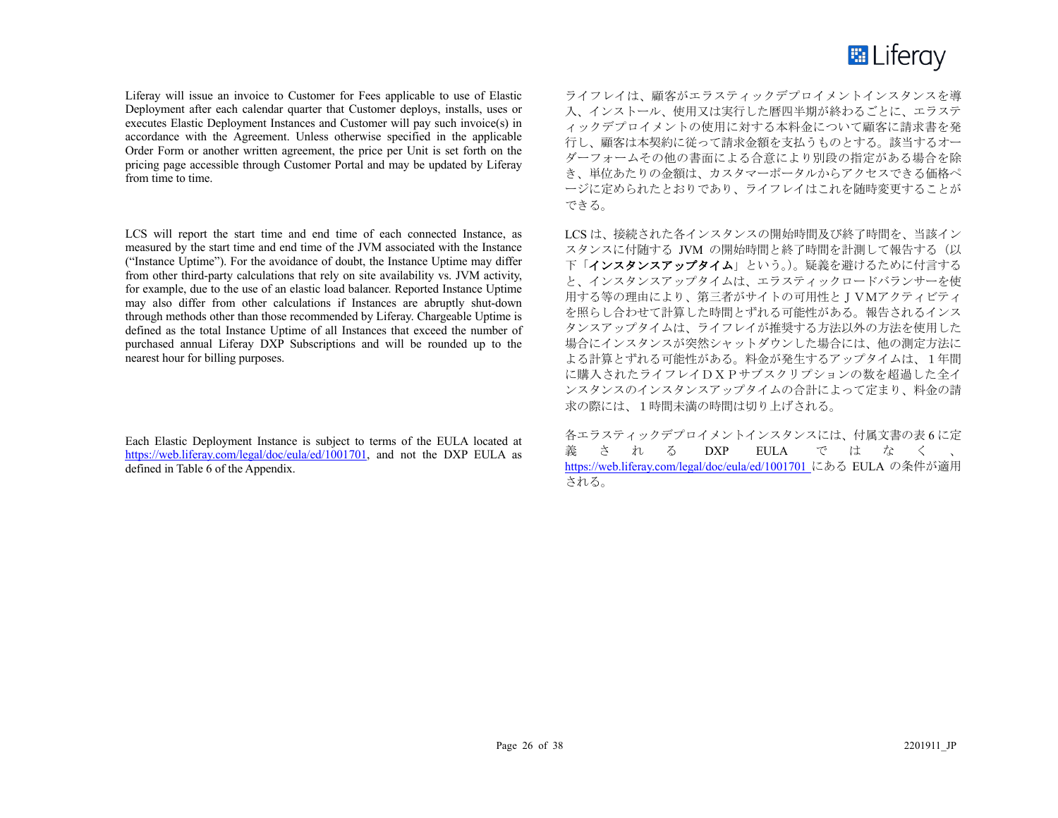

Liferay will issue an invoice to Customer for Fees applicable to use of Elastic Deployment after each calendar quarter that Customer deploys, installs, uses or executes Elastic Deployment Instances and Customer will pay such invoice(s) in accordance with the Agreement. Unless otherwise specified in the applicable Order Form or another written agreement, the price per Unit is set forth on the pricing page accessible through Customer Portal and may be updated by Liferay from time to time.

LCS will report the start time and end time of each connected Instance, as measured by the start time and end time of the JVM associated with the Instance ("Instance Uptime"). For the avoidance of doubt, the Instance Uptime may differ from other third-party calculations that rely on site availability vs. JVM activity, for example, due to the use of an elastic load balancer. Reported Instance Uptime may also differ from other calculations if Instances are abruptly shut-down through methods other than those recommended by Liferay. Chargeable Uptime is defined as the total Instance Uptime of all Instances that exceed the number of purchased annual Liferay DXP Subscriptions and will be rounded up to the nearest hour for billing purposes.

Each Elastic Deployment Instance is subject to terms of the EULA located at https://web.liferay.com/legal/doc/eula/ed/1001701, and not the DXP EULA as defined in Table 6 of the Appendix.

ライフレイは、顧客がエラスティックデプロイメントインスタンスを導 入、インストール、使用又は実行した暦四半期が終わるごとに、エラステ ィックデプロイメントの使用に対する本料金について顧客に請求書を発 行し、顧客は本契約に従って請求金額を支払うものとする。該当するオー ダーフォームその他の書面による合意により別段の指定がある場合を除 き、単位あたりの金額は、カスタマーポータルからアクセスできる価格ペ ージに定められたとおりであり、ライフレイはこれを随時変更することが できる。

LCS は、接続された各インスタンスの開始時間及び終了時間を、当該イン スタンスに付随する JVM の開始時間と終了時間を計測して報告する(以 下「インスタンスアップタイム」という。)。疑義を避けるために付言する と、インスタンスアップタイムは、エラスティックロードバランサーを使 用する等の理由により、第三者がサイトの可用性とJVMアクティビティ を照らし合わせて計算した時間とずれる可能性がある。報告されるインス タンスアップタイムは、ライフレイが推奨する方法以外の方法を使用した 場合にインスタンスが突然シャットダウンした場合には、他の測定方法に よる計算とずれる可能性がある。料金が発生するアップタイムは、1年間 に購入されたライフレイDXPサブスクリプションの数を超過した全イ ンスタンスのインスタンスアップタイムの合計によって定まり、料金の請 求の際には、1時間未満の時間は切り上げされる。

各エラスティックデプロイメントインスタンスには、付属文書の表 6 に定 義される DXP EULA ではな く 、 https://web.liferay.com/legal/doc/eula/ed/1001701 にある EULA の条件が適用 される。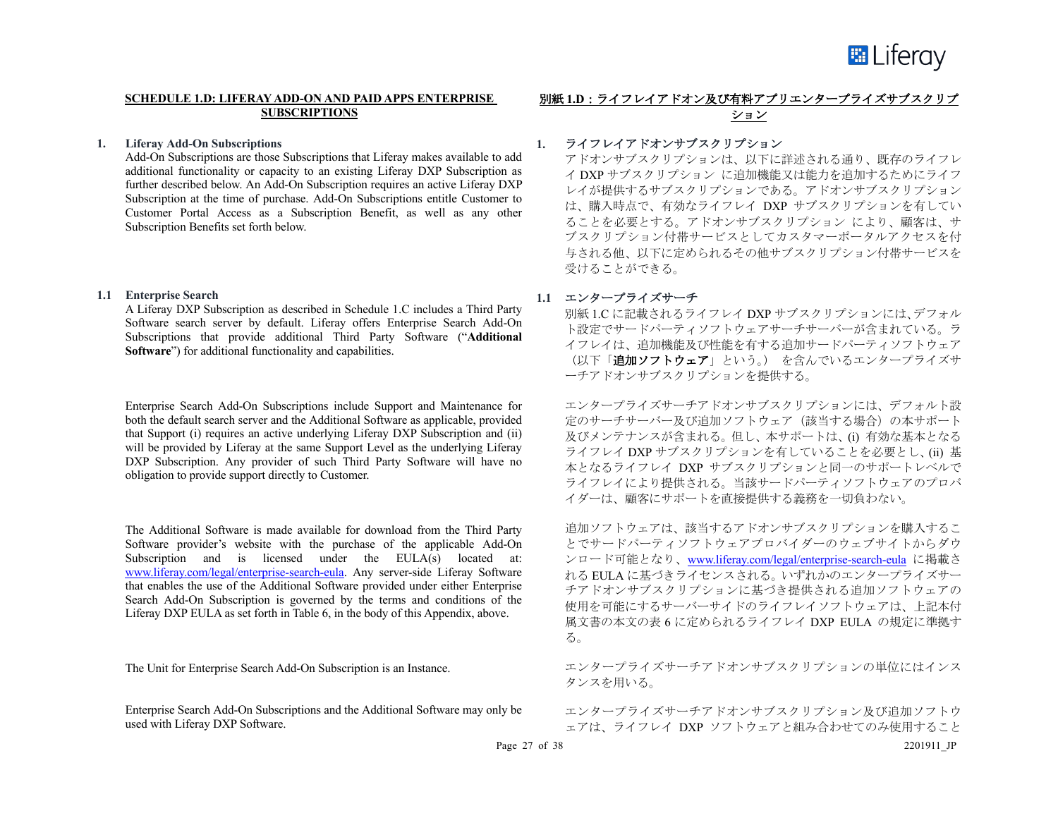

# **SCHEDULE 1.D: LIFERAY ADD-ON AND PAID APPS ENTERPRISE SUBSCRIPTIONS**

#### **1. Liferay Add-On Subscriptions**

Add-On Subscriptions are those Subscriptions that Liferay makes available to add additional functionality or capacity to an existing Liferay DXP Subscription as further described below. An Add-On Subscription requires an active Liferay DXP Subscription at the time of purchase. Add-On Subscriptions entitle Customer to Customer Portal Access as a Subscription Benefit, as well as any other Subscription Benefits set forth below.

#### **1.1 Enterprise Search**

A Liferay DXP Subscription as described in Schedule 1.C includes a Third Party Software search server by default. Liferay offers Enterprise Search Add-On Subscriptions that provide additional Third Party Software ("**Additional Software**") for additional functionality and capabilities.

Enterprise Search Add-On Subscriptions include Support and Maintenance for both the default search server and the Additional Software as applicable, provided that Support (i) requires an active underlying Liferay DXP Subscription and (ii) will be provided by Liferay at the same Support Level as the underlying Liferay DXP Subscription. Any provider of such Third Party Software will have no obligation to provide support directly to Customer.

The Additional Software is made available for download from the Third Party Software provider's website with the purchase of the applicable Add-On Subscription and is licensed under the EULA(s) located at: www.liferay.com/legal/enterprise-search-eula. Any server-side Liferay Software that enables the use of the Additional Software provided under either Enterprise Search Add-On Subscription is governed by the terms and conditions of the Liferay DXP EULA as set forth in Table 6, in the body of this Appendix, above.

The Unit for Enterprise Search Add-On Subscription is an Instance.

Enterprise Search Add-On Subscriptions and the Additional Software may only be used with Liferay DXP Software.

# 別紙 **1.D**:ライフレイアドオン及び有料アプリエンタープライズサブスクリプ ション

# **1.** ライフレイアドオンサブスクリプション

アドオンサブスクリプションは、以下に詳述される通り、既存のライフレ イ DXP サブスクリプション に追加機能又は能力を追加するためにライフ レイが提供するサブスクリプションである。アドオンサブスクリプション は、購入時点で、有効なライフレイ DXP サブスクリプションを有してい ることを必要とする。アドオンサブスクリプション により、顧客は、サ ブスクリプション付帯サービスとしてカスタマーポータルアクセスを付 与される他、以下に定められるその他サブスクリプション付帯サービスを 受けることができる。

# **1.1** エンタープライズサーチ

別紙 1.C に記載されるライフレイ DXP サブスクリプションには、デフォル ト設定でサードパーティソフトウェアサーチサーバーが含まれている。ラ イフレイは、追加機能及び性能を有する追加サードパーティソフトウェア (以下「追加ソフトウェア」という。) を含んでいるエンタープライズサ ーチアドオンサブスクリプションを提供する。

エンタープライズサーチアドオンサブスクリプションには、デフォルト設 定のサーチサーバー及び追加ソフトウェア(該当する場合)の本サポート 及びメンテナンスが含まれる。但し、本サポートは、(i) 有効な基本となる ライフレイ DXP サブスクリプションを有していることを必要とし、(ii) 基 本となるライフレイ DXP サブスクリプションと同一のサポートレベルで ライフレイにより提供される。当該サードパーティソフトウェアのプロバ イダーは、顧客にサポートを直接提供する義務を一切負わない。

追加ソフトウェアは、該当するアドオンサブスクリプションを購入するこ とでサードパーティソフトウェアプロバイダーのウェブサイトからダウ ンロード可能となり、www.liferay.com/legal/enterprise-search-eula に掲載さ れる EULA に基づきライセンスされる。いずれかのエンタープライズサー チアドオンサブスクリプションに基づき提供される追加ソフトウェアの 使用を可能にするサーバーサイドのライフレイソフトウェアは、上記本付 属文書の本文の表 6 に定められるライフレイ DXP EULA の規定に準拠す る。

エンタープライズサーチアドオンサブスクリプションの単位にはインス タンスを用いる。

エンタープライズサーチアドオンサブスクリプション及び追加ソフトウ ェアは、ライフレイ DXP ソフトウェアと組み合わせてのみ使用すること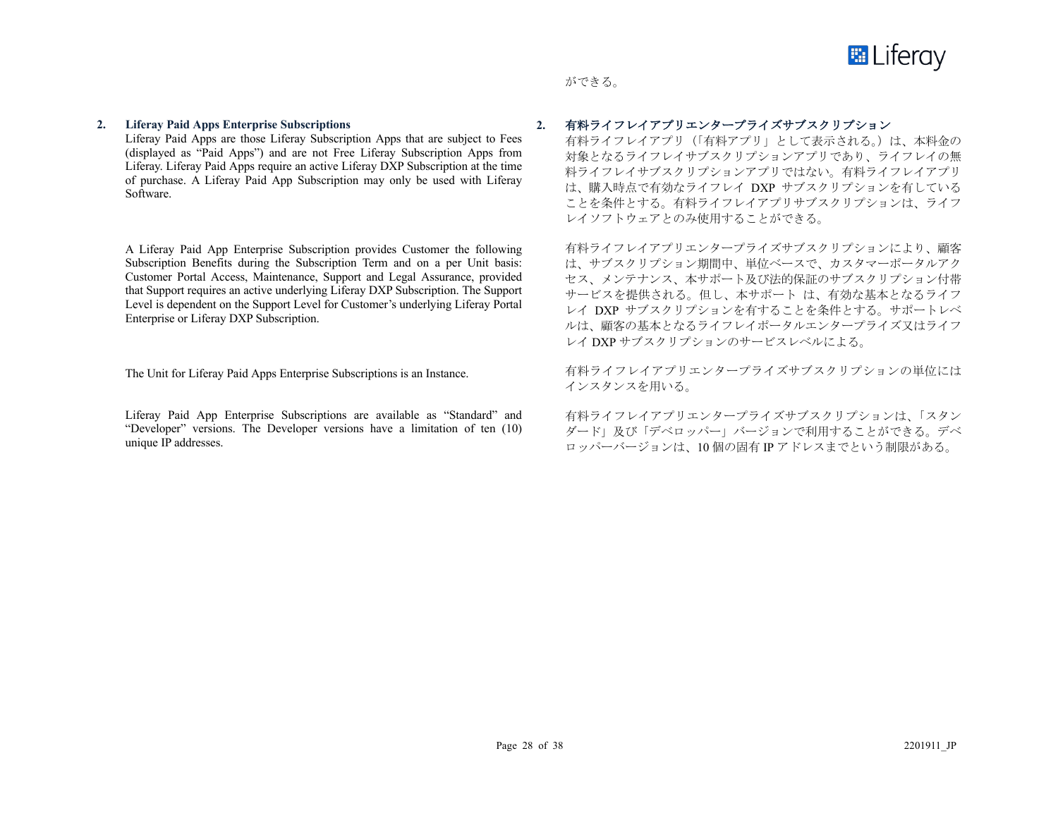

# ができる。

#### **2. Liferay Paid Apps Enterprise Subscriptions**

Liferay Paid Apps are those Liferay Subscription Apps that are subject to Fees (displayed as "Paid Apps") and are not Free Liferay Subscription Apps from Liferay. Liferay Paid Apps require an active Liferay DXP Subscription at the time of purchase. A Liferay Paid App Subscription may only be used with Liferay Software.

A Liferay Paid App Enterprise Subscription provides Customer the following Subscription Benefits during the Subscription Term and on a per Unit basis: Customer Portal Access, Maintenance, Support and Legal Assurance, provided that Support requires an active underlying Liferay DXP Subscription. The Support Level is dependent on the Support Level for Customer's underlying Liferay Portal Enterprise or Liferay DXP Subscription.

The Unit for Liferay Paid Apps Enterprise Subscriptions is an Instance.

Liferay Paid App Enterprise Subscriptions are available as "Standard" and "Developer" versions. The Developer versions have a limitation of ten (10) unique IP addresses.

# **2.** 有料ライフレイアプリエンタープライズサブスクリプション

有料ライフレイアプリ (「有料アプリ」として表示される。)は、本料金の 対象となるライフレイサブスクリプションアプリであり、ライフレイの無 料ライフレイサブスクリプションアプリではない。有料ライフレイアプリ は、購入時点で有効なライフレイ DXP サブスクリプションを有している ことを条件とする。有料ライフレイアプリサブスクリプションは、ライフ レイソフトウェアとのみ使用することができる。

有料ライフレイアプリエンタープライズサブスクリプションにより、顧客 は、サブスクリプション期間中、単位ベースで、カスタマーポータルアク セス、メンテナンス、本サポート及び法的保証のサブスクリプション付帯 サービスを提供される。但し、本サポート は、有効な基本となるライフ レイ DXP サブスクリプションを有することを条件とする。サポートレベ ルは、顧客の基本となるライフレイポータルエンタープライズ又はライフ レイ DXP サブスクリプションのサービスレベルによる。

有料ライフレイアプリエンタープライズサブスクリプションの単位には インスタンスを用いる。

有料ライフレイアプリエンタープライズサブスクリプションは、「スタン ダード」及び「デベロッパー」バージョンで利用することができる。デベ ロッパーバージョンは、10 個の固有 IP アドレスまでという制限がある。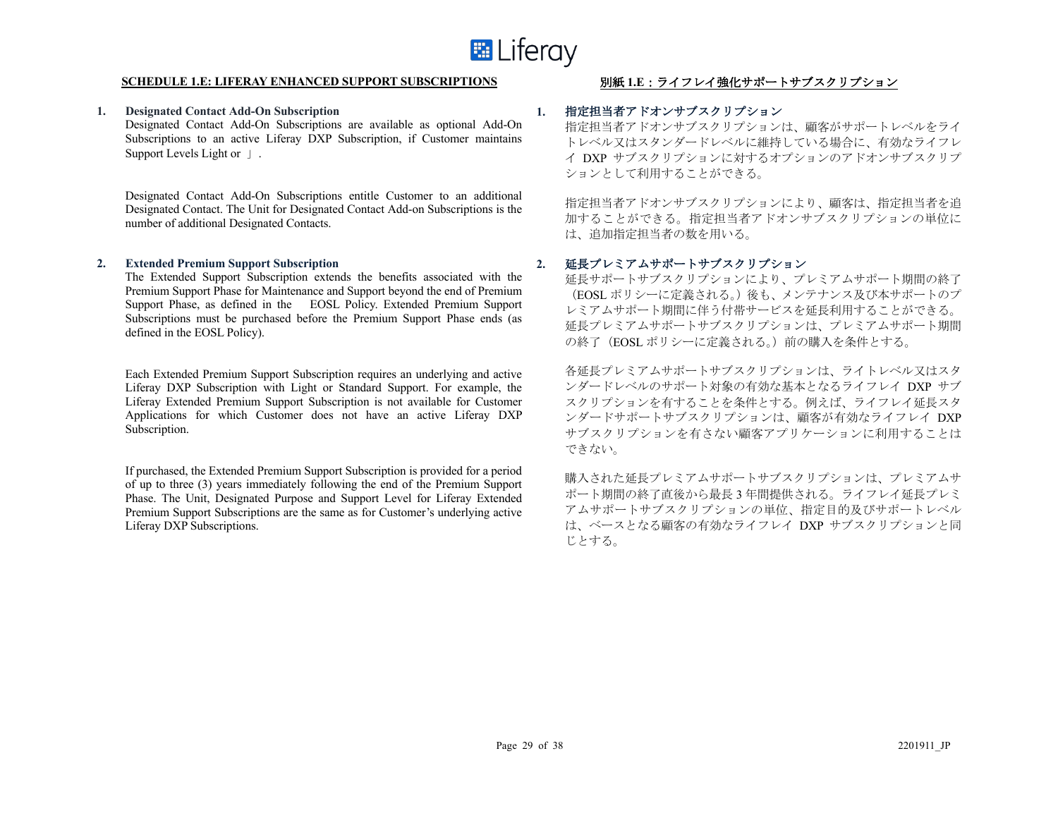

#### **SCHEDULE 1.E: LIFERAY ENHANCED SUPPORT SUBSCRIPTIONS** 別紙 **1.E**:ライフレイ強化サポートサブスクリプション

#### **1. Designated Contact Add-On Subscription**

Designated Contact Add-On Subscriptions are available as optional Add-On Subscriptions to an active Liferay DXP Subscription, if Customer maintains Support Levels Light or 」.

Designated Contact Add-On Subscriptions entitle Customer to an additional Designated Contact. The Unit for Designated Contact Add-on Subscriptions is the number of additional Designated Contacts.

#### **2. Extended Premium Support Subscription**

The Extended Support Subscription extends the benefits associated with the Premium Support Phase for Maintenance and Support beyond the end of Premium Support Phase, as defined in the EOSL Policy. Extended Premium Support Subscriptions must be purchased before the Premium Support Phase ends (as defined in the EOSL Policy).

Each Extended Premium Support Subscription requires an underlying and active Liferay DXP Subscription with Light or Standard Support. For example, the Liferay Extended Premium Support Subscription is not available for Customer Applications for which Customer does not have an active Liferay DXP Subscription.

If purchased, the Extended Premium Support Subscription is provided for a period of up to three (3) years immediately following the end of the Premium Support Phase. The Unit, Designated Purpose and Support Level for Liferay Extended Premium Support Subscriptions are the same as for Customer's underlying active Liferay DXP Subscriptions.

# **1.** 指定担当者アドオンサブスクリプション

指定担当者アドオンサブスクリプションは、顧客がサポートレベルをライ トレベル又はスタンダードレベルに維持している場合に、有効なライフレ イ DXP サブスクリプションに対するオプションのアドオンサブスクリプ ションとして利用することができる。

指定担当者アドオンサブスクリプションにより、顧客は、指定担当者を追 加することができる。指定担当者アドオンサブスクリプションの単位に は、追加指定担当者の数を用いる。

# **2.** 延長プレミアムサポートサブスクリプション

延長サポートサブスクリプションにより、プレミアムサポート期間の終了 (EOSL ポリシーに定義される。)後も、メンテナンス及び本サポートのプ レミアムサポート期間に伴う付帯サービスを延長利用することができる。 延長プレミアムサポートサブスクリプションは、プレミアムサポート期間 の終了(EOSL ポリシーに定義される。)前の購入を条件とする。

各延長プレミアムサポートサブスクリプションは、ライトレベル又はスタ ンダードレベルのサポート対象の有効な基本となるライフレイ DXP サブ スクリプションを有することを条件とする。例えば、ライフレイ延長スタ ンダードサポートサブスクリプションは、顧客が有効なライフレイ DXP サブスクリプションを有さない顧客アプリケーションに利用することは できない。

購入された延長プレミアムサポートサブスクリプションは、プレミアムサ ポート期間の終了直後から最長 3 年間提供される。ライフレイ延長プレミ アムサポートサブスクリプションの単位、指定目的及びサポートレベル は、ベースとなる顧客の有効なライフレイ DXP サブスクリプションと同 じとする。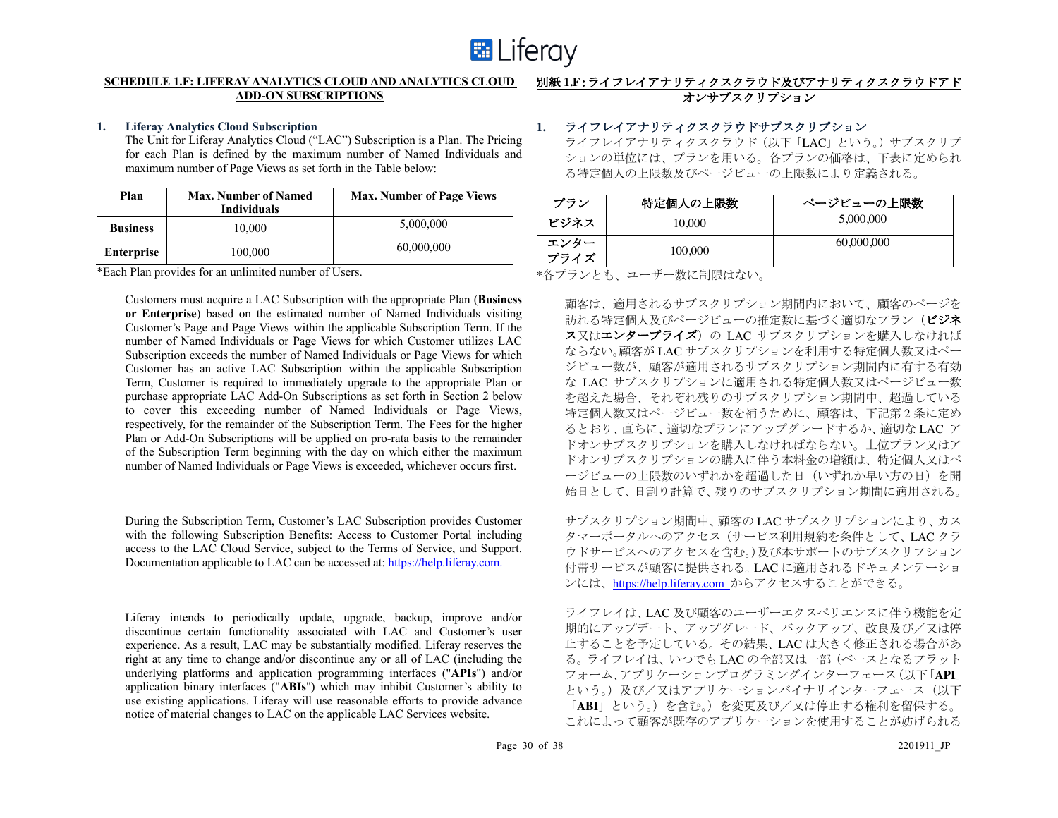

# **SCHEDULE 1.F: LIFERAY ANALYTICS CLOUD AND ANALYTICS CLOUD ADD-ON SUBSCRIPTIONS**

#### **1. Liferay Analytics Cloud Subscription**

The Unit for Liferay Analytics Cloud ("LAC") Subscription is a Plan. The Pricing for each Plan is defined by the maximum number of Named Individuals and maximum number of Page Views as set forth in the Table below:

| Plan              | <b>Max. Number of Named</b><br><b>Individuals</b> | <b>Max. Number of Page Views</b> |
|-------------------|---------------------------------------------------|----------------------------------|
| <b>Business</b>   | 10,000                                            | 5,000,000                        |
| <b>Enterprise</b> | 100,000                                           | 60,000,000                       |

\*Each Plan provides for an unlimited number of Users.

Customers must acquire a LAC Subscription with the appropriate Plan (**Business or Enterprise**) based on the estimated number of Named Individuals visiting Customer's Page and Page Views within the applicable Subscription Term. If the number of Named Individuals or Page Views for which Customer utilizes LAC Subscription exceeds the number of Named Individuals or Page Views for which Customer has an active LAC Subscription within the applicable Subscription Term, Customer is required to immediately upgrade to the appropriate Plan or purchase appropriate LAC Add-On Subscriptions as set forth in Section 2 below to cover this exceeding number of Named Individuals or Page Views, respectively, for the remainder of the Subscription Term. The Fees for the higher Plan or Add-On Subscriptions will be applied on pro-rata basis to the remainder of the Subscription Term beginning with the day on which either the maximum number of Named Individuals or Page Views is exceeded, whichever occurs first.

During the Subscription Term, Customer's LAC Subscription provides Customer with the following Subscription Benefits: Access to Customer Portal including access to the LAC Cloud Service, subject to the Terms of Service, and Support. Documentation applicable to LAC can be accessed at: https://help.liferay.com.

Liferay intends to periodically update, upgrade, backup, improve and/or discontinue certain functionality associated with LAC and Customer's user experience. As a result, LAC may be substantially modified. Liferay reserves the right at any time to change and/or discontinue any or all of LAC (including the underlying platforms and application programming interfaces ("**APIs**") and/or application binary interfaces ("**ABIs**") which may inhibit Customer's ability to use existing applications. Liferay will use reasonable efforts to provide advance notice of material changes to LAC on the applicable LAC Services website.

# 別紙 **1.F**:ライフレイアナリティクスクラウド及びアナリティクスクラウドアド オンサブスクリプション

# **1.** ライフレイアナリティクスクラウドサブスクリプション

ライフレイアナリティクスクラウド(以下「LAC」という。)サブスクリプ ションの単位には、プランを用いる。各プランの価格は、下表に定められ る特定個人の上限数及びページビューの上限数により定義される。

| プラン          | 特定個人の上限数 | ページビューの上限数 |
|--------------|----------|------------|
| ビジネス         | 10.000   | 5,000,000  |
| エンター<br>プライズ | 100,000  | 60,000,000 |

\*各プランとも、ユーザー数に制限はない。

顧客は、適用されるサブスクリプション期間内において、顧客のページを おれる特定個人及びページビューの推定数に基づく適切なプラン(ビジネ ス又はエンタープライズ)の LAC サブスクリプションを購入しなければ ならない。顧客が LAC サブスクリプションを利用する特定個人数又はペー ジビュー数が、顧客が適用されるサブスクリプション期間内に有する有効 な LAC サブスクリプションに適用される特定個人数又はページビュー数 を超えた場合、それぞれ残りのサブスクリプション期間中、超過している 特定個人数又はページビュー数を補うために、顧客は、下記第 2 条に定め るとおり、直ちに、適切なプランにアップグレードするか、適切な LAC ア ドオンサブスクリプションを購入しなければならない。上位プラン又はア ドオンサブスクリプションの購入に伴う本料金の増額は、特定個人又はペ ージビューの上限数のいずれかを超過した日(いずれか早い方の日)を開 始日として、日割り計算で、残りのサブスクリプション期間に適用される。

サブスクリプション期間中、顧客の LAC サブスクリプションにより、カス タマーポータルへのアクセス(サービス利用規約を条件として、LAC クラ ウドサービスへのアクセスを含む。)及び本サポートのサブスクリプション 付帯サービスが顧客に提供される。LAC に適用されるドキュメンテーショ ンには、https://help.liferay.com からアクセスすることができる。

ライフレイは、LAC 及び顧客のユーザーエクスペリエンスに伴う機能を定 期的にアップデート、アップグレード、バックアップ、改良及び/又は停 止することを予定している。その結果、LAC は大きく修正される場合があ る。ライフレイは、いつでも LAC の全部又は一部(ベースとなるプラット フォーム、アプリケーションプログラミングインターフェース(以下「**API**」 という。)及び/又はアプリケーションバイナリインターフェース (以下 「**ABI**」という。)を含む。)を変更及び/又は停止する権利を留保する。 これによって顧客が既存のアプリケーションを使用することが妨げられる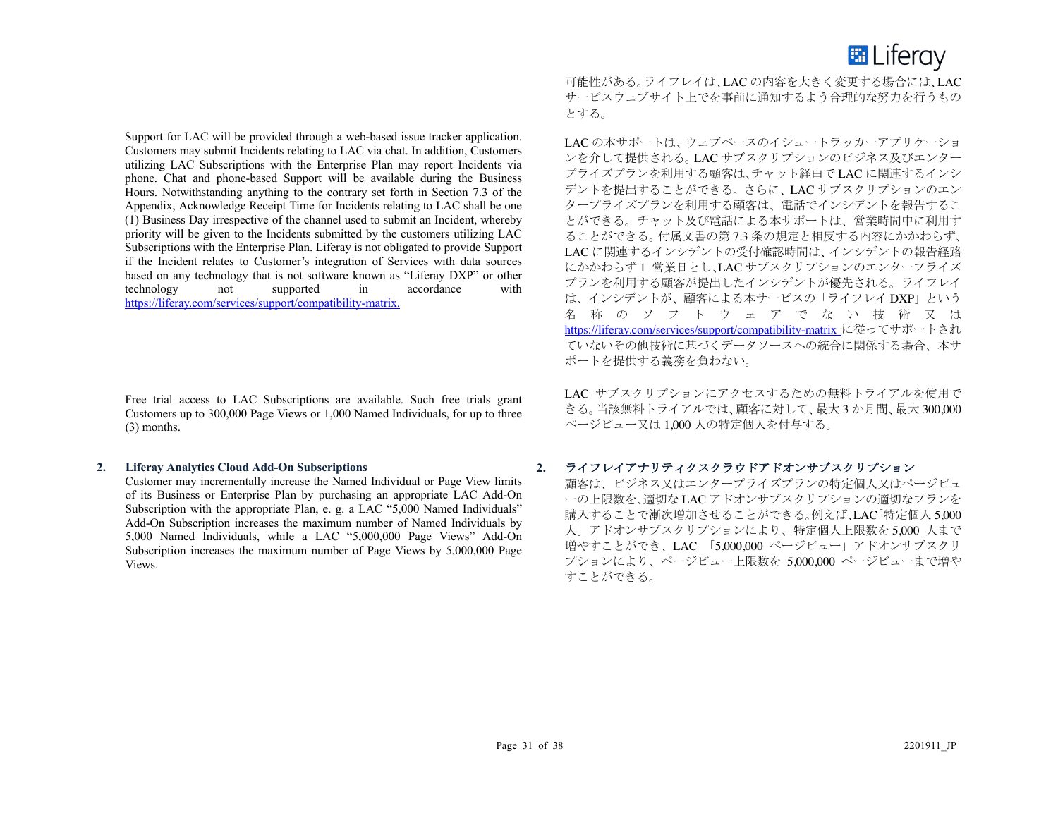

Support for LAC will be provided through a web-based issue tracker application. Customers may submit Incidents relating to LAC via chat. In addition, Customers utilizing LAC Subscriptions with the Enterprise Plan may report Incidents via phone. Chat and phone-based Support will be available during the Business Hours. Notwithstanding anything to the contrary set forth in Section 7.3 of the Appendix, Acknowledge Receipt Time for Incidents relating to LAC shall be one (1) Business Day irrespective of the channel used to submit an Incident, whereby priority will be given to the Incidents submitted by the customers utilizing LAC Subscriptions with the Enterprise Plan. Liferay is not obligated to provide Support if the Incident relates to Customer's integration of Services with data sources based on any technology that is not software known as "Liferay DXP" or other technology not supported in accordance with https://liferay.com/services/support/compatibility-matrix.

Free trial access to LAC Subscriptions are available. Such free trials grant Customers up to 300,000 Page Views or 1,000 Named Individuals, for up to three (3) months.

#### **2. Liferay Analytics Cloud Add-On Subscriptions**

Customer may incrementally increase the Named Individual or Page View limits of its Business or Enterprise Plan by purchasing an appropriate LAC Add-On Subscription with the appropriate Plan, e. g. a LAC "5,000 Named Individuals" Add-On Subscription increases the maximum number of Named Individuals by 5,000 Named Individuals, while a LAC "5,000,000 Page Views" Add-On Subscription increases the maximum number of Page Views by 5,000,000 Page Views.

可能性がある。ライフレイは、LAC の内容を大きく変更する場合には、LAC サービスウェブサイト上でを事前に通知するよう合理的な努力を行うもの とする。

LAC の本サポートは、ウェブベースのイシュートラッカーアプリケーショ ンを介して提供される。LAC サブスクリプションのビジネス及びエンター プライズプランを利用する顧客は、チャット経由で LAC に関連するインシ デントを提出することができる。さらに、LAC サブスクリプションのエン タープライズプランを利用する顧客は、電話でインシデントを報告するこ とができる。チャット及び電話による本サポートは、営業時間中に利用す ることができる。付属文書の第 7.3 条の規定と相反する内容にかかわらず、 LAC に関連するインシデントの受付確認時間は、インシデントの報告経路 にかかわらず 1 営業日とし、LAC サブスクリプションのエンタープライズ プランを利用する顧客が提出したインシデントが優先される。ライフレイ は、インシデントが、顧客による本サービスの「ライフレイ DXP」という 名 称のソフトウェア でない 技 術 又 は https://liferay.com/services/support/compatibility-matrix に従ってサポートされ ていないその他技術に基づくデータソースへの統合に関係する場合、本サ ポートを提供する義務を負わない。

LAC サブスクリプションにアクセスするための無料トライアルを使用で きる。当該無料トライアルでは、顧客に対して、最大 3 か月間、最大 300,000 ページビュー又は 1,000 人の特定個人を付与する。

# **2.** ライフレイアナリティクスクラウドアドオンサブスクリプション

顧客は、ビジネス又はエンタープライズプランの特定個人又はページビュ ーの上限数を、適切な LAC アドオンサブスクリプションの適切なプランを 購入することで漸次増加させることができる。例えば、LAC「特定個人 5,000 人」アドオンサブスクリプションにより、特定個人上限数を 5,000 人まで 増やすことができ、LAC 「5,000,000 ページビュー」アドオンサブスクリ プションにより、ページビュー上限数を 5,000,000 ページビューまで増や すことができる。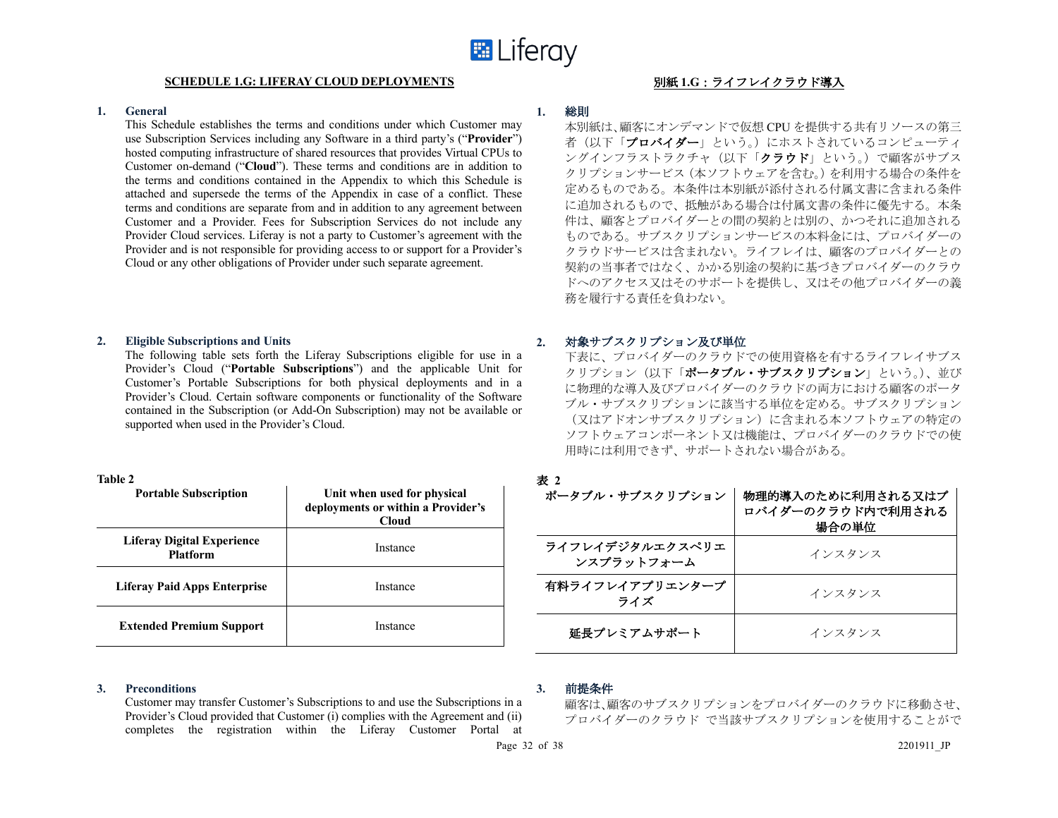#### **SCHEDULE 1.G: LIFERAY CLOUD DEPLOYMENTS** 別紙 **1.G**:ライフレイクラウド導入

#### **1. General**

This Schedule establishes the terms and conditions under which Customer may use Subscription Services including any Software in a third party's ("**Provider**") hosted computing infrastructure of shared resources that provides Virtual CPUs to Customer on-demand ("**Cloud**"). These terms and conditions are in addition to the terms and conditions contained in the Appendix to which this Schedule is attached and supersede the terms of the Appendix in case of a conflict. These terms and conditions are separate from and in addition to any agreement between Customer and a Provider. Fees for Subscription Services do not include any Provider Cloud services. Liferay is not a party to Customer's agreement with the Provider and is not responsible for providing access to or support for a Provider's Cloud or any other obligations of Provider under such separate agreement.

#### **2. Eligible Subscriptions and Units**

The following table sets forth the Liferay Subscriptions eligible for use in a Provider's Cloud ("**Portable Subscriptions**") and the applicable Unit for Customer's Portable Subscriptions for both physical deployments and in a Provider's Cloud. Certain software components or functionality of the Software contained in the Subscription (or Add-On Subscription) may not be available or supported when used in the Provider's Cloud.

| `able |
|-------|
|-------|

| <b>Portable Subscription</b>                  | Unit when used for physical<br>deployments or within a Provider's<br><b>Cloud</b> |
|-----------------------------------------------|-----------------------------------------------------------------------------------|
| Liferay Digital Experience<br><b>Platform</b> | Instance                                                                          |
| Liferay Paid Apps Enterprise                  | Instance                                                                          |
| <b>Extended Premium Support</b>               | Instance                                                                          |

# **3. Preconditions**

Customer may transfer Customer's Subscriptions to and use the Subscriptions in a Provider's Cloud provided that Customer (i) complies with the Agreement and (ii) completes the registration within the Liferay Customer Portal at

# **1.** 総則

本別紙は、顧客にオンデマンドで仮想 CPU を提供する共有リソースの第三 者(以下「プロバイダー」という。)にホストされているコンピューティ ングインフラストラクチャ(以下「クラウド」という。)で顧客がサブス クリプションサービス(本ソフトウェアを含む。)を利用する場合の条件を 定めるものである。本条件は本別紙が添付される付属文書に含まれる条件 に追加されるもので、抵触がある場合は付属文書の条件に優先する。本条 件は、顧客とプロバイダーとの間の契約とは別の、かつそれに追加される ものである。サブスクリプションサービスの本料金には、プロバイダーの クラウドサービスは含まれない。ライフレイは、顧客のプロバイダーとの 契約の当事者ではなく、かかる別途の契約に基づきプロバイダーのクラウ ドへのアクセス又はそのサポートを提供し、又はその他プロバイダーの義 務を履行する責任を負わない。

# **2.** 対象サブスクリプション及び単位

下表に、プロバイダーのクラウドでの使用資格を有するライフレイサブス クリプション(以下「ポータブル・サブスクリプション」という。)、並び に物理的な導入及びプロバイダーのクラウドの両方における顧客のポータ ブル・サブスクリプションに該当する単位を定める。サブスクリプション (又はアドオンサブスクリプション)に含まれる本ソフトウェアの特定の ソフトウェアコンポーネント又は機能は、プロバイダーのクラウドでの使 用時には利用できず、サポートされない場合がある。

| 表 2<br>ポータブル・サブスクリプション        | 物理的導入のために利用される又はプ<br>ロバイダーのクラウド内で利用される<br>場合の単位 |
|-------------------------------|-------------------------------------------------|
| ライフレイデジタルエクスペリエ<br>ンスプラットフォーム | インスタンス                                          |
| 有料ライフレイアプリエンタープ<br>ライズ        | インスタンス                                          |
| 延長プレミアムサポート                   | インスタンス                                          |

# **3.**

顧客は、顧客のサブスクリプションをプロバイダーのクラウドに移動させ、 プロバイダーのクラウド で当該サブスクリプションを使用することがで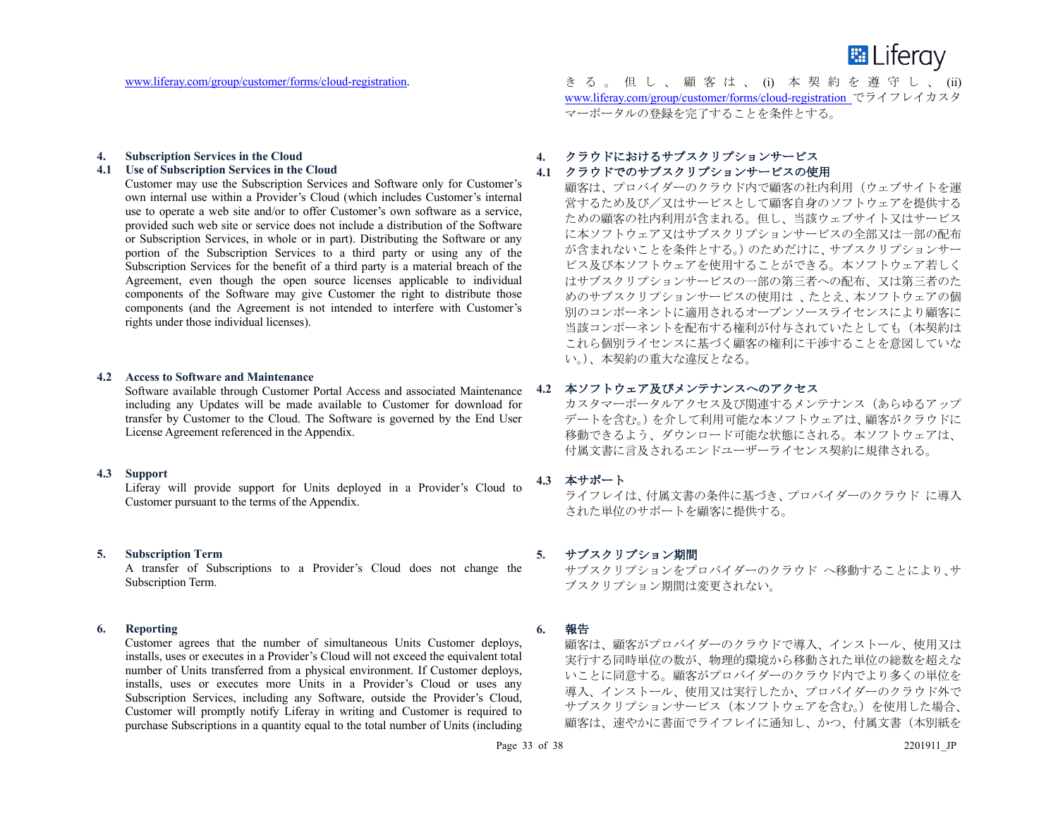

#### **4. Subscription Services in the Cloud**

#### **4.1 Use of Subscription Services in the Cloud**

Customer may use the Subscription Services and Software only for Customer's own internal use within a Provider's Cloud (which includes Customer's internal use to operate a web site and/or to offer Customer's own software as a service, provided such web site or service does not include a distribution of the Software or Subscription Services, in whole or in part). Distributing the Software or any portion of the Subscription Services to a third party or using any of the Subscription Services for the benefit of a third party is a material breach of the Agreement, even though the open source licenses applicable to individual components of the Software may give Customer the right to distribute those components (and the Agreement is not intended to interfere with Customer's rights under those individual licenses).

#### **4.2 Access to Software and Maintenance**

Software available through Customer Portal Access and associated Maintenance including any Updates will be made available to Customer for download for transfer by Customer to the Cloud. The Software is governed by the End User License Agreement referenced in the Appendix.

# **4.3 Support**

Liferay will provide support for Units deployed in a Provider's Cloud to Customer pursuant to the terms of the Appendix.

#### **5. Subscription Term**

A transfer of Subscriptions to a Provider's Cloud does not change the Subscription Term.

#### **6. Reporting**

Customer agrees that the number of simultaneous Units Customer deploys, installs, uses or executes in a Provider's Cloud will not exceed the equivalent total number of Units transferred from a physical environment. If Customer deploys, installs, uses or executes more Units in a Provider's Cloud or uses any Subscription Services, including any Software, outside the Provider's Cloud, Customer will promptly notify Liferay in writing and Customer is required to purchase Subscriptions in a quantity equal to the total number of Units (including

www.liferay.com/group/customer/forms/cloud-registration. きる。但し、顧客は、(i) 本契約を遵守し、(ii) www.liferay.com/group/customer/forms/cloud-registration でライフレイカスタ マーポータルの登録を完了することを条件とする。

#### **4.** クラウドにおけるサブスクリプションサービス

#### **4.1** クラウドでのサブスクリプションサービスの使用

顧客は、プロバイダーのクラウド内で顧客の社内利用(ウェブサイトを運 営するため及び/又はサービスとして顧客自身のソフトウェアを提供する ための顧客の社内利用が含まれる。但し、当該ウェブサイト又はサービス に本ソフトウェア又はサブスクリプションサービスの全部又は一部の配布 が含まれないことを条件とする。)のためだけに、サブスクリプションサー ビス及び本ソフトウェアを使用することができる。本ソフトウェア若しく はサブスクリプションサービスの一部の第三者への配布、又は第三者のた めのサブスクリプションサービスの使用は 、たとえ、本ソフトウェアの個 別のコンポーネントに適用されるオープンソースライセンスにより顧客に 当該コンポーネントを配布する権利が付与されていたとしても(本契約は これら個別ライセンスに基づく顧客の権利に干渉することを意図していな い。)、本契約の重大な違反となる。

#### **4.2** 本ソフトウェア及びメンテナンスへのアクセス

カスタマーポータルアクセス及び関連するメンテナンス(あらゆるアップ デートを含む。)を介して利用可能な本ソフトウェアは、顧客がクラウドに 移動できるよう、ダウンロード可能な状態にされる。本ソフトウェアは、 付属文書に言及されるエンドユーザーライセンス契約に規律される。

# **4.3** 本サポート

ライフレイは、付属文書の条件に基づき、プロバイダーのクラウド に導入 された単位のサポートを顧客に提供する。

#### **5.** サブスクリプション期間

サブスクリプションをプロバイダーのクラウド へ移動することにより、サ ブスクリプション期間は変更されない。

#### **6.** 報告

顧客は、顧客がプロバイダーのクラウドで導入、インストール、使用又は 実行する同時単位の数が、物理的環境から移動された単位の総数を超えな いことに同意する。顧客がプロバイダーのクラウド内でより多くの単位を 導入、インストール、使用又は実行したか、プロバイダーのクラウド外で サブスクリプションサービス(本ソフトウェアを含む。)を使用した場合、 顧客は、速やかに書面でライフレイに通知し、かつ、付属文書(本別紙を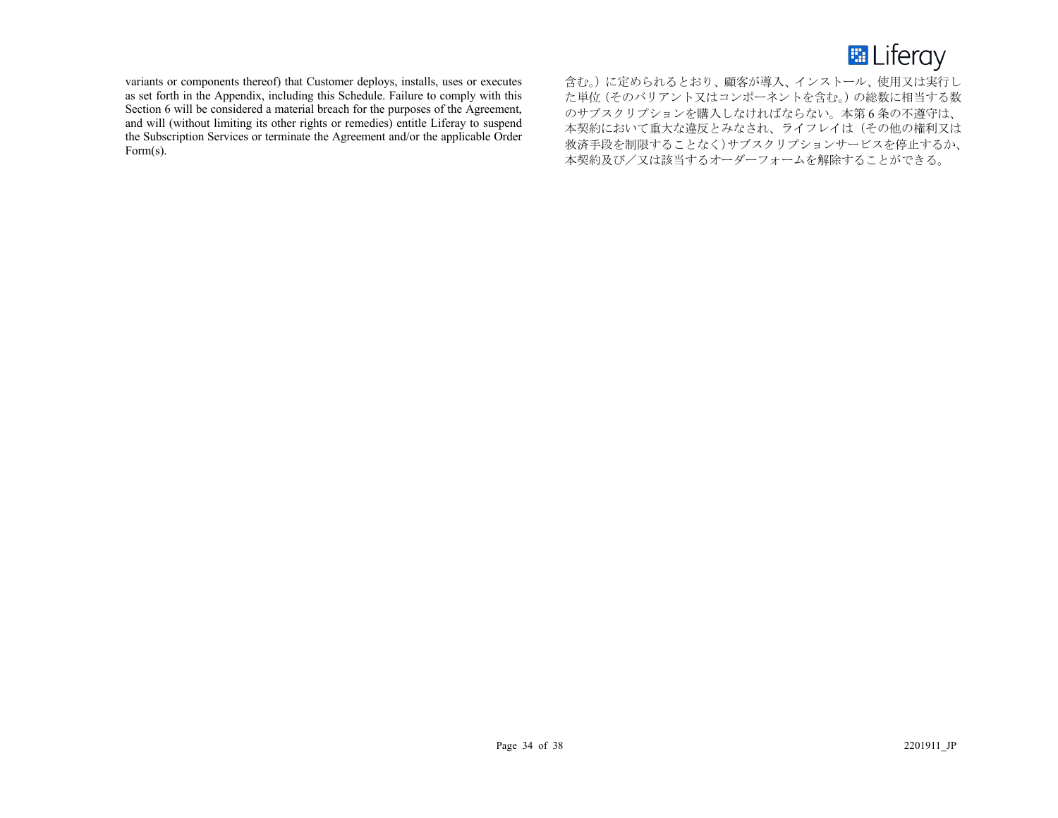

variants or components thereof) that Customer deploys, installs, uses or executes as set forth in the Appendix, including this Schedule. Failure to comply with this Section 6 will be considered a material breach for the purposes of the Agreement, and will (without limiting its other rights or remedies) entitle Liferay to suspend the Subscription Services or terminate the Agreement and/or the applicable Order Form(s).

含む。)に定められるとおり、顧客が導入、インストール、使用又は実行し た単位(そのバリアント又はコンポーネントを含む。)の総数に相当する数 のサブスクリプションを購入しなければならない。本第 6 条の不遵守は、 本契約において重大な違反とみなされ、ライフレイは(その他の権利又は 救済手段を制限することなく)サブスクリプションサービスを停止するか、 本契約及び/又は該当するオーダーフォームを解除することができる。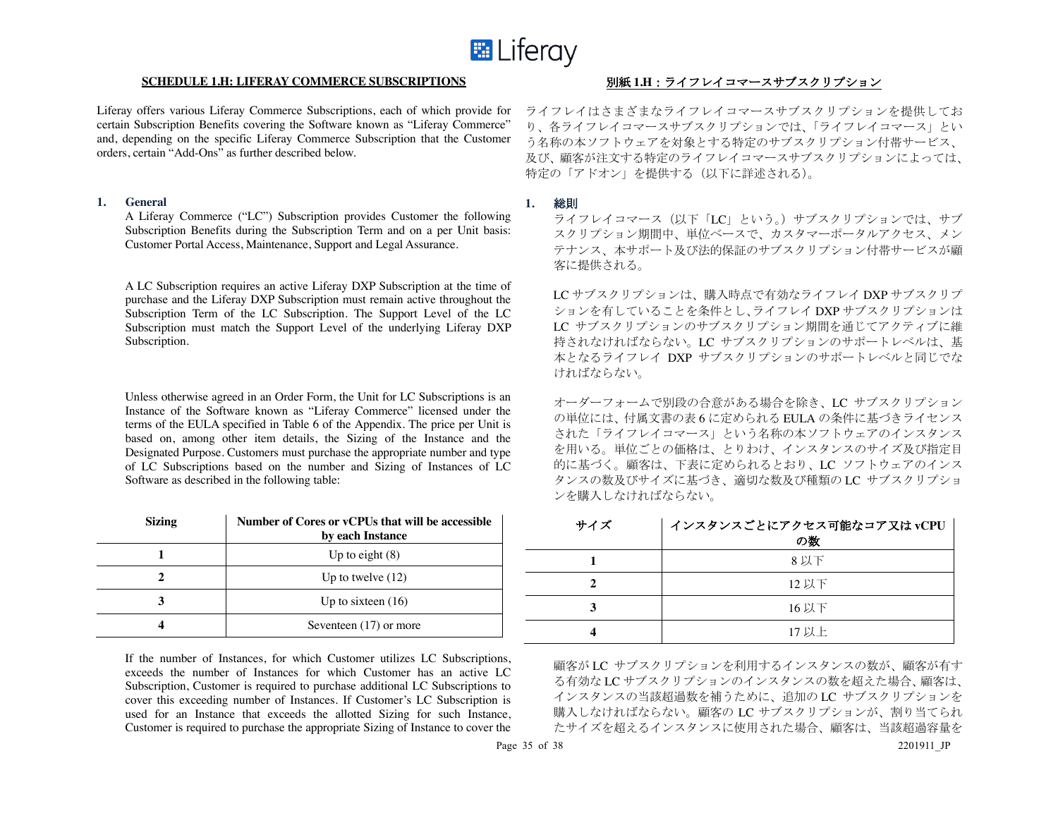

#### **SCHEDULE 1.H: LIFERAY COMMERCE SUBSCRIPTIONS** 別紙 1.H : ライフレイコマースサブスクリプション

Liferay offers various Liferay Commerce Subscriptions, each of which provide for certain Subscription Benefits covering the Software known as "Liferay Commerce" and, depending on the specific Liferay Commerce Subscription that the Customer orders, certain "Add-Ons" as further described below.

#### **1. General**

A Liferay Commerce ("LC") Subscription provides Customer the following Subscription Benefits during the Subscription Term and on a per Unit basis: Customer Portal Access, Maintenance, Support and Legal Assurance.

A LC Subscription requires an active Liferay DXP Subscription at the time of purchase and the Liferay DXP Subscription must remain active throughout the Subscription Term of the LC Subscription. The Support Level of the LC Subscription must match the Support Level of the underlying Liferay DXP Subscription.

Unless otherwise agreed in an Order Form, the Unit for LC Subscriptions is an Instance of the Software known as "Liferay Commerce" licensed under the terms of the EULA specified in Table 6 of the Appendix. The price per Unit is based on, among other item details, the Sizing of the Instance and the Designated Purpose. Customers must purchase the appropriate number and type of LC Subscriptions based on the number and Sizing of Instances of LC Software as described in the following table:

| <b>Sizing</b> | Number of Cores or vCPUs that will be accessible<br>by each Instance |
|---------------|----------------------------------------------------------------------|
|               | Up to eight $(8)$                                                    |
|               | Up to twelve $(12)$                                                  |
| 3             | Up to sixteen $(16)$                                                 |
|               | Seventeen (17) or more                                               |

If the number of Instances, for which Customer utilizes LC Subscriptions, exceeds the number of Instances for which Customer has an active LC Subscription, Customer is required to purchase additional LC Subscriptions to cover this exceeding number of Instances. If Customer's LC Subscription is used for an Instance that exceeds the allotted Sizing for such Instance, Customer is required to purchase the appropriate Sizing of Instance to cover the

ライフレイはさまざまなライフレイコマースサブスクリプションを提供してお り、各ライフレイコマースサブスクリプションでは、「ライフレイコマース」とい う名称の本ソフトウェアを対象とする特定のサブスクリプション付帯サービス、 及び、顧客が注文する特定のライフレイコマースサブスクリプションによっては、 特定の「アドオン」を提供する(以下に詳述される)。

#### **1.** 総則

ライフレイコマース(以下「LC」という。)サブスクリプションでは、サブ スクリプション期間中、単位ベースで、カスタマーポータルアクセス、メン テナンス、本サポート及び法的保証のサブスクリプション付帯サービスが顧 客に提供される。

LC サブスクリプションは、購入時点で有効なライフレイ DXP サブスクリプ ションを有していることを条件とし、ライフレイ DXP サブスクリプションは LC サブスクリプションのサブスクリプション期間を通じてアクティブに維 持されなければならない。LC サブスクリプションのサポートレベルは、基 本となるライフレイ DXP サブスクリプションのサポートレベルと同じでな ければならない。

オーダーフォームで別段の合意がある場合を除き、LC サブスクリプション の単位には、付属文書の表 6 に定められる EULA の条件に基づきライセンス された「ライフレイコマース」という名称の本ソフトウェアのインスタンス を用いる。単位ごとの価格は、とりわけ、インスタンスのサイズ及び指定目 的に基づく。顧客は、下表に定められるとおり、LC ソフトウェアのインス タンスの数及びサイズに基づき、適切な数及び種類の LC サブスクリプショ ンを購入しなければならない。

| サイズ | インスタンスごとにアクセス可能なコア又はvCPU<br>の数 |
|-----|--------------------------------|
|     | 8 以下                           |
|     | 12 以下                          |
|     | 16 以下                          |
|     | 17 以上                          |

顧客が LC サブスクリプションを利用するインスタンスの数が、顧客が有す る有効な LC サブスクリプションのインスタンスの数を超えた場合、顧客は、 インスタンスの当該超過数を補うために、追加の LC サブスクリプションを 購入しなければならない。顧客の LC サブスクリプションが、割り当てられ たサイズを超えるインスタンスに使用された場合、顧客は、当該超過容量を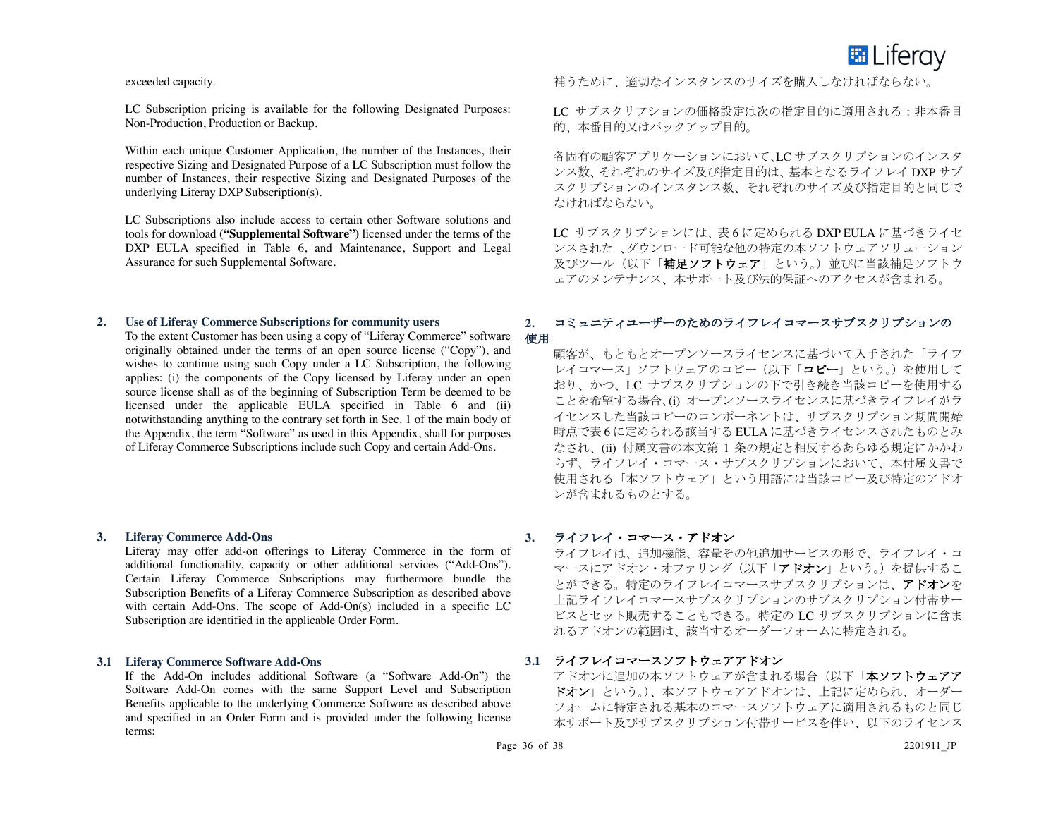

exceeded capacity.

LC Subscription pricing is available for the following Designated Purposes: Non-Production, Production or Backup.

Within each unique Customer Application, the number of the Instances, their respective Sizing and Designated Purpose of a LC Subscription must follow the number of Instances, their respective Sizing and Designated Purposes of the underlying Liferay DXP Subscription(s).

LC Subscriptions also include access to certain other Software solutions and tools for download **("Supplemental Software")** licensed under the terms of the DXP EULA specified in Table 6, and Maintenance, Support and Legal Assurance for such Supplemental Software.

# **2. Use of Liferay Commerce Subscriptions for community users**

To the extent Customer has been using a copy of "Liferay Commerce" software 使用 originally obtained under the terms of an open source license ("Copy"), and wishes to continue using such Copy under a LC Subscription, the following applies: (i) the components of the Copy licensed by Liferay under an open source license shall as of the beginning of Subscription Term be deemed to be licensed under the applicable EULA specified in Table 6 and (ii) notwithstanding anything to the contrary set forth in Sec. 1 of the main body of the Appendix, the term "Software" as used in this Appendix, shall for purposes of Liferay Commerce Subscriptions include such Copy and certain Add-Ons.

#### **3. Liferay Commerce Add-Ons**

Liferay may offer add-on offerings to Liferay Commerce in the form of additional functionality, capacity or other additional services ("Add-Ons"). Certain Liferay Commerce Subscriptions may furthermore bundle the Subscription Benefits of a Liferay Commerce Subscription as described above with certain Add-Ons. The scope of Add-On(s) included in a specific LC Subscription are identified in the applicable Order Form.

#### **3.1 Liferay Commerce Software Add-Ons**

If the Add-On includes additional Software (a "Software Add-On") the Software Add-On comes with the same Support Level and Subscription Benefits applicable to the underlying Commerce Software as described above and specified in an Order Form and is provided under the following license terms:

補うために、適切なインスタンスのサイズを購入しなければならない。

LC サブスクリプションの価格設定は次の指定目的に適用される:非本番目 的、本番目的又はバックアップ目的。

各固有の顧客アプリケーションにおいて、LC サブスクリプションのインスタ ンス数、それぞれのサイズ及び指定目的は、基本となるライフレイ DXP サブ スクリプションのインスタンス数、それぞれのサイズ及び指定目的と同じで なければならない。

LC サブスクリプションには、表 6 に定められる DXP EULA に基づきライセ ンスされた 、ダウンロード可能な他の特定の本ソフトウェアソリューション 及びツール(以下「補足ソフトウェア」という。)並びに当該補足ソフトウ ェアのメンテナンス、本サポート及び法的保証へのアクセスが含まれる。

# **2.** コミュニティユーザーのためのライフレイコマースサブスクリプションの

顧客が、もともとオープンソースライセンスに基づいて入手された「ライフ レイコマース」ソフトウェアのコピー(以下「コピー」という。)を使用して おり、かつ、LC サブスクリプションの下で引き続き当該コピーを使用する ことを希望する場合、(i) オープンソースライセンスに基づきライフレイがラ イセンスした当該コピーのコンポーネントは、サブスクリプション期間開始 時点で表 6 に定められる該当する EULA に基づきライセンスされたものとみ なされ、(ii) 付属文書の本文第 1 条の規定と相反するあらゆる規定にかかわ らず、ライフレイ・コマース・サブスクリプションにおいて、本付属文書で 使用される「本ソフトウェア」という用語には当該コピー及び特定のアドオ ンが含まれるものとする。

#### **3.** ライフレイ・コマース・アドオン

ライフレイは、追加機能、容量その他追加サービスの形で、ライフレイ・コ マースにアドオン・オファリング(以下「アドオン」という。)を提供するこ とができる。特定のライフレイコマースサブスクリプションは、アドオンを 上記ライフレイコマースサブスクリプションのサブスクリプション付帯サー ビスとセット販売することもできる。特定の LC サブスクリプションに含ま れるアドオンの範囲は、該当するオーダーフォームに特定される。

#### **3.1** ライフレイコマースソフトウェアアドオン

アドオンに追加の本ソフトウェアが含まれる場合(以下「本ソフトウェアア ドオン」という。)、本ソフトウェアアドオンは、上記に定められ、オーダー フォームに特定される基本のコマースソフトウェアに適用されるものと同じ 本サポート及びサブスクリプション付帯サービスを伴い、以下のライセンス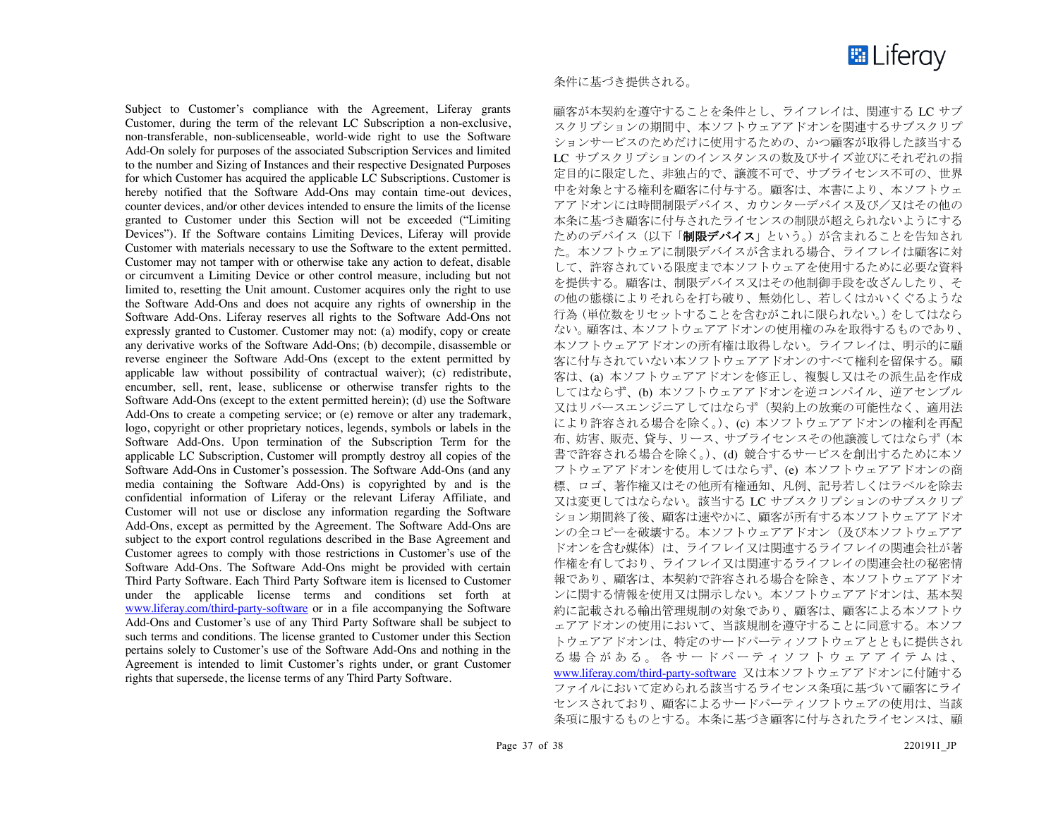

Subject to Customer's compliance with the Agreement, Liferay grants Customer, during the term of the relevant LC Subscription a non-exclusive, non-transferable, non-sublicenseable, world-wide right to use the Software Add-On solely for purposes of the associated Subscription Services and limited to the number and Sizing of Instances and their respective Designated Purposes for which Customer has acquired the applicable LC Subscriptions. Customer is hereby notified that the Software Add-Ons may contain time-out devices, counter devices, and/or other devices intended to ensure the limits of the license granted to Customer under this Section will not be exceeded ("Limiting Devices"). If the Software contains Limiting Devices, Liferay will provide Customer with materials necessary to use the Software to the extent permitted. Customer may not tamper with or otherwise take any action to defeat, disable or circumvent a Limiting Device or other control measure, including but not limited to, resetting the Unit amount. Customer acquires only the right to use the Software Add-Ons and does not acquire any rights of ownership in the Software Add-Ons. Liferay reserves all rights to the Software Add-Ons not expressly granted to Customer. Customer may not: (a) modify, copy or create any derivative works of the Software Add-Ons; (b) decompile, disassemble or reverse engineer the Software Add-Ons (except to the extent permitted by applicable law without possibility of contractual waiver); (c) redistribute, encumber, sell, rent, lease, sublicense or otherwise transfer rights to the Software Add-Ons (except to the extent permitted herein); (d) use the Software Add-Ons to create a competing service; or (e) remove or alter any trademark, logo, copyright or other proprietary notices, legends, symbols or labels in the Software Add-Ons. Upon termination of the Subscription Term for the applicable LC Subscription, Customer will promptly destroy all copies of the Software Add-Ons in Customer's possession. The Software Add-Ons (and any media containing the Software Add-Ons) is copyrighted by and is the confidential information of Liferay or the relevant Liferay Affiliate, and Customer will not use or disclose any information regarding the Software Add-Ons, except as permitted by the Agreement. The Software Add-Ons are subject to the export control regulations described in the Base Agreement and Customer agrees to comply with those restrictions in Customer's use of the Software Add-Ons. The Software Add-Ons might be provided with certain Third Party Software. Each Third Party Software item is licensed to Customer under the applicable license terms and conditions set forth at www.liferay.com/third-party-software or in a file accompanying the Software Add-Ons and Customer's use of any Third Party Software shall be subject to such terms and conditions. The license granted to Customer under this Section pertains solely to Customer's use of the Software Add-Ons and nothing in the Agreement is intended to limit Customer's rights under, or grant Customer rights that supersede, the license terms of any Third Party Software.

#### 条件に基づき提供される。

顧客が本契約を遵守することを条件とし、ライフレイは、関連する LC サブ スクリプションの期間中、本ソフトウェアアドオンを関連するサブスクリプ ションサービスのためだけに使用するための、かつ顧客が取得した該当する LC サブスクリプションのインスタンスの数及びサイズ並びにそれぞれの指 定目的に限定した、非独占的で、譲渡不可で、サブライセンス不可の、世界 中を対象とする権利を顧客に付与する。顧客は、本書により、本ソフトウェ アアドオンには時間制限デバイス、カウンターデバイス及び/又はその他の 本条に基づき顧客に付与されたライセンスの制限が超えられないようにする ためのデバイス(以下「制限デバイス」という。)が含まれることを告知され た。本ソフトウェアに制限デバイスが含まれる場合、ライフレイは顧客に対 して、許容されている限度まで本ソフトウェアを使用するために必要な資料 を提供する。顧客は、制限デバイス又はその他制御手段を改ざんしたり、そ の他の態様によりそれらを打ち破り、無効化し、若しくはかいくぐるような 行為(単位数をリセットすることを含むがこれに限られない。)をしてはなら ない。顧客は、本ソフトウェアアドオンの使用権のみを取得するものであり、 本ソフトウェアアドオンの所有権は取得しない。ライフレイは、明示的に顧 客に付与されていない本ソフトウェアアドオンのすべて権利を留保する。顧 客は、(a) 本ソフトウェアアドオンを修正し、複製し又はその派生品を作成 してはならず、(b) 本ソフトウェアアドオンを逆コンパイル、逆アセンブル 又はリバースエンジニアしてはならず(契約上の放棄の可能性なく、適用法 により許容される場合を除く。)、(c) 本ソフトウェアアドオンの権利を再配 布、妨害、販売、貸与、リース、サブライセンスその他譲渡してはならず(本 書で許容される場合を除く。)、(d) 競合するサービスを創出するために本ソ フトウェアアドオンを使用してはならず、(e) 本ソフトウェアアドオンの商 標、ロゴ、著作権又はその他所有権通知、凡例、記号若しくはラベルを除去 又は変更してはならない。該当する LC サブスクリプションのサブスクリプ ション期間終了後、顧客は速やかに、顧客が所有する本ソフトウェアアドオ ンの全コピーを破壊する。本ソフトウェアアドオン(及び本ソフトウェアア ドオンを含む媒体)は、ライフレイ又は関連するライフレイの関連会社が著 作権を有しており、ライフレイ又は関連するライフレイの関連会社の秘密情 報であり、顧客は、本契約で許容される場合を除き、本ソフトウェアアドオ ンに関する情報を使用又は開示しない。本ソフトウェアアドオンは、基本契 約に記載される輸出管理規制の対象であり、顧客は、顧客による本ソフトウ ェアアドオンの使用において、当該規制を遵守することに同意する。本ソフ トウェアアドオンは、特定のサードパーティソフトウェアとともに提供され る場合がある。各サードパーティソフトウェアアイテムは、 www.liferay.com/third-party-software 又は本ソフトウェアアドオンに付随する ファイルにおいて定められる該当するライセンス条項に基づいて顧客にライ センスされており、顧客によるサードパーティソフトウェアの使用は、当該 条項に服するものとする。本条に基づき顧客に付与されたライセンスは、顧